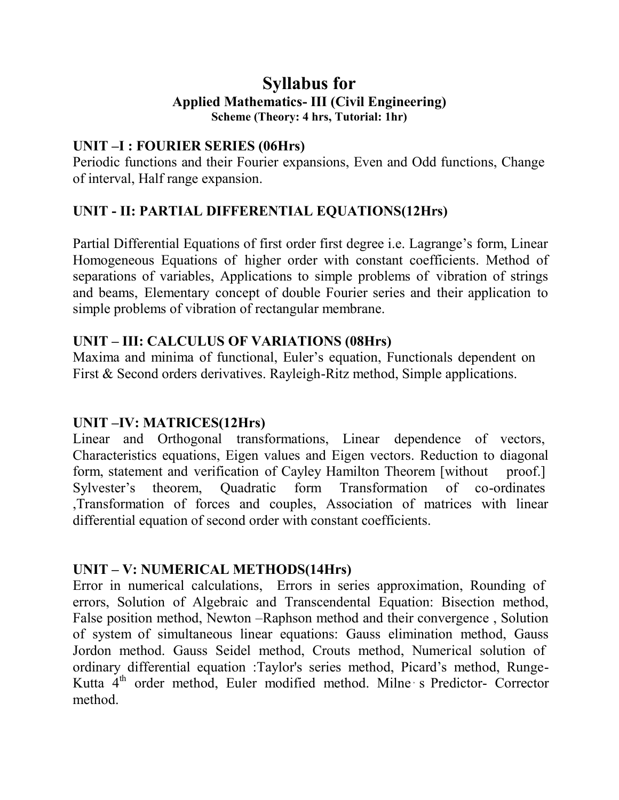## **Syllabus for Applied Mathematics- III (Civil Engineering) Scheme (Theory: 4 hrs, Tutorial: 1hr)**

## **UNIT –I : FOURIER SERIES (06Hrs)**

Periodic functions and their Fourier expansions, Even and Odd functions, Change of interval, Half range expansion.

## **UNIT - II: PARTIAL DIFFERENTIAL EQUATIONS(12Hrs)**

Partial Differential Equations of first order first degree i.e. Lagrange's form, Linear Homogeneous Equations of higher order with constant coefficients. Method of separations of variables, Applications to simple problems of vibration of strings and beams, Elementary concept of double Fourier series and their application to simple problems of vibration of rectangular membrane.

## **UNIT – III: CALCULUS OF VARIATIONS (08Hrs)**

Maxima and minima of functional, Euler's equation, Functionals dependent on First & Second orders derivatives. Rayleigh-Ritz method, Simple applications.

## **UNIT –IV: MATRICES(12Hrs)**

Linear and Orthogonal transformations, Linear dependence of vectors, Characteristics equations, Eigen values and Eigen vectors. Reduction to diagonal form, statement and verification of Cayley Hamilton Theorem [without proof.] Sylvester's theorem, Quadratic form Transformation of co-ordinates ,Transformation of forces and couples, Association of matrices with linear differential equation of second order with constant coefficients.

## **UNIT – V: NUMERICAL METHODS(14Hrs)**

Error in numerical calculations, Errors in series approximation, Rounding of errors, Solution of Algebraic and Transcendental Equation: Bisection method, False position method, Newton –Raphson method and their convergence , Solution of system of simultaneous linear equations: Gauss elimination method, Gauss Jordon method. Gauss Seidel method, Crouts method, Numerical solution of ordinary differential equation :Taylor's series method, Picard's method, Runge-Kutta 4<sup>th</sup> order method, Euler modified method. Milne s Predictor- Corrector method.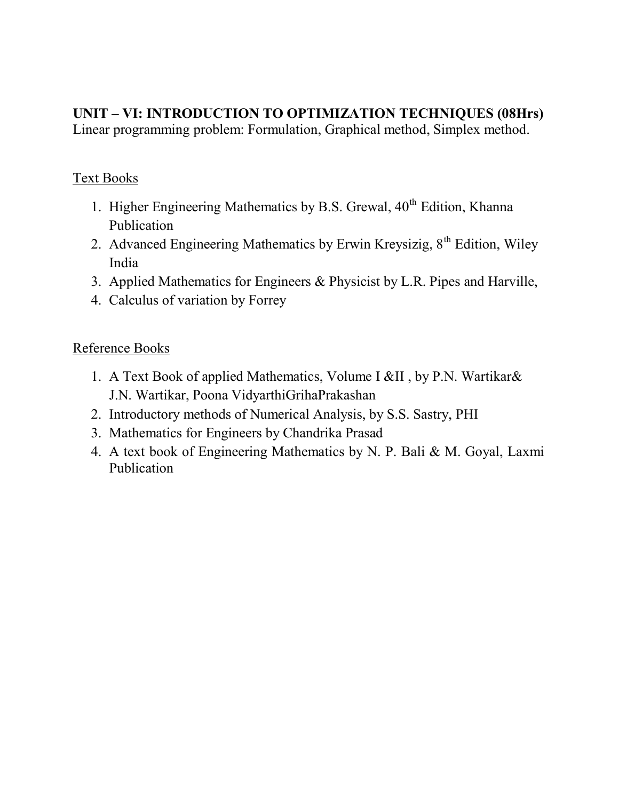# **UNIT – VI: INTRODUCTION TO OPTIMIZATION TECHNIQUES (08Hrs)**

Linear programming problem: Formulation, Graphical method, Simplex method.

## Text Books

- 1. Higher Engineering Mathematics by B.S. Grewal, 40<sup>th</sup> Edition, Khanna Publication
- 2. Advanced Engineering Mathematics by Erwin Kreysizig, 8<sup>th</sup> Edition, Wiley India
- 3. Applied Mathematics for Engineers & Physicist by L.R. Pipes and Harville,
- 4. Calculus of variation by Forrey

## Reference Books

- 1. A Text Book of applied Mathematics, Volume I &II , by P.N. Wartikar& J.N. Wartikar, Poona VidyarthiGrihaPrakashan
- 2. Introductory methods of Numerical Analysis, by S.S. Sastry, PHI
- 3. Mathematics for Engineers by Chandrika Prasad
- 4. A text book of Engineering Mathematics by N. P. Bali & M. Goyal, Laxmi Publication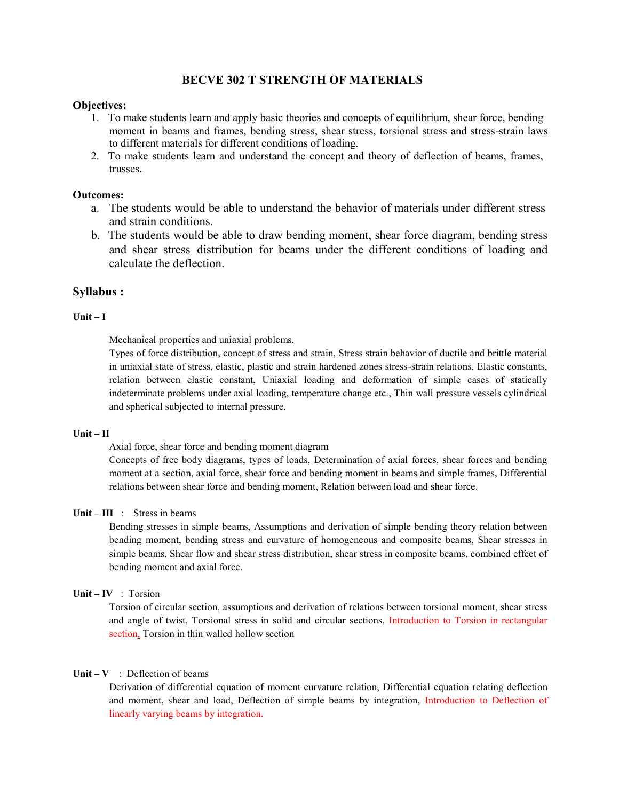## **BECVE 302 T STRENGTH OF MATERIALS**

#### **Objectives:**

- 1. To make students learn and apply basic theories and concepts of equilibrium, shear force, bending moment in beams and frames, bending stress, shear stress, torsional stress and stress-strain laws to different materials for different conditions of loading.
- 2. To make students learn and understand the concept and theory of deflection of beams, frames, trusses.

#### **Outcomes:**

- a. The students would be able to understand the behavior of materials under different stress and strain conditions.
- b. The students would be able to draw bending moment, shear force diagram, bending stress and shear stress distribution for beams under the different conditions of loading and calculate the deflection.

#### **Syllabus :**

#### **Unit – I**

Mechanical properties and uniaxial problems.

Types of force distribution, concept of stress and strain, Stress strain behavior of ductile and brittle material in uniaxial state of stress, elastic, plastic and strain hardened zones stress-strain relations, Elastic constants, relation between elastic constant, Uniaxial loading and deformation of simple cases of statically indeterminate problems under axial loading, temperature change etc., Thin wall pressure vessels cylindrical and spherical subjected to internal pressure.

#### **Unit – II**

Axial force, shear force and bending moment diagram

Concepts of free body diagrams, types of loads, Determination of axial forces, shear forces and bending moment at a section, axial force, shear force and bending moment in beams and simple frames, Differential relations between shear force and bending moment, Relation between load and shear force.

#### **Unit – III** : Stress in beams

Bending stresses in simple beams, Assumptions and derivation of simple bending theory relation between bending moment, bending stress and curvature of homogeneous and composite beams, Shear stresses in simple beams, Shear flow and shear stress distribution, shear stress in composite beams, combined effect of bending moment and axial force.

#### **Unit – IV** : Torsion

Torsion of circular section, assumptions and derivation of relations between torsional moment, shear stress and angle of twist, Torsional stress in solid and circular sections, Introduction to Torsion in rectangular section, Torsion in thin walled hollow section

#### **Unit**  $-V$  : Deflection of beams

Derivation of differential equation of moment curvature relation, Differential equation relating deflection and moment, shear and load, Deflection of simple beams by integration, Introduction to Deflection of linearly varying beams by integration.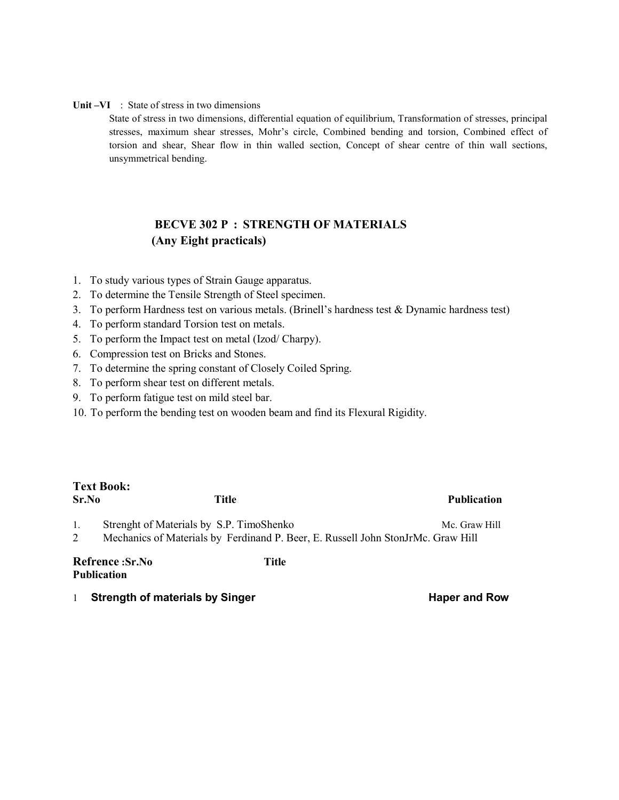#### **Unit –VI** : State of stress in two dimensions

State of stress in two dimensions, differential equation of equilibrium, Transformation of stresses, principal stresses, maximum shear stresses, Mohr's circle, Combined bending and torsion, Combined effect of torsion and shear, Shear flow in thin walled section, Concept of shear centre of thin wall sections, unsymmetrical bending.

## **BECVE 302 P : STRENGTH OF MATERIALS (Any Eight practicals)**

- 1. To study various types of Strain Gauge apparatus.
- 2. To determine the Tensile Strength of Steel specimen.
- 3. To perform Hardness test on various metals. (Brinell's hardness test & Dynamic hardness test)
- 4. To perform standard Torsion test on metals.
- 5. To perform the Impact test on metal (Izod/ Charpy).
- 6. Compression test on Bricks and Stones.
- 7. To determine the spring constant of Closely Coiled Spring.
- 8. To perform shear test on different metals.
- 9. To perform fatigue test on mild steel bar.
- 10. To perform the bending test on wooden beam and find its Flexural Rigidity.

| Sr.No        | <b>Text Book:</b>                      | Title                                                                                                                        | <b>Publication</b>   |
|--------------|----------------------------------------|------------------------------------------------------------------------------------------------------------------------------|----------------------|
| 1.<br>2      |                                        | Strenght of Materials by S.P. TimoShenko<br>Mechanics of Materials by Ferdinand P. Beer, E. Russell John StonJrMc. Graw Hill | Mc. Graw Hill        |
|              | Refrence:Sr.No<br><b>Publication</b>   | Title                                                                                                                        |                      |
| $\mathbf{1}$ | <b>Strength of materials by Singer</b> |                                                                                                                              | <b>Haper and Row</b> |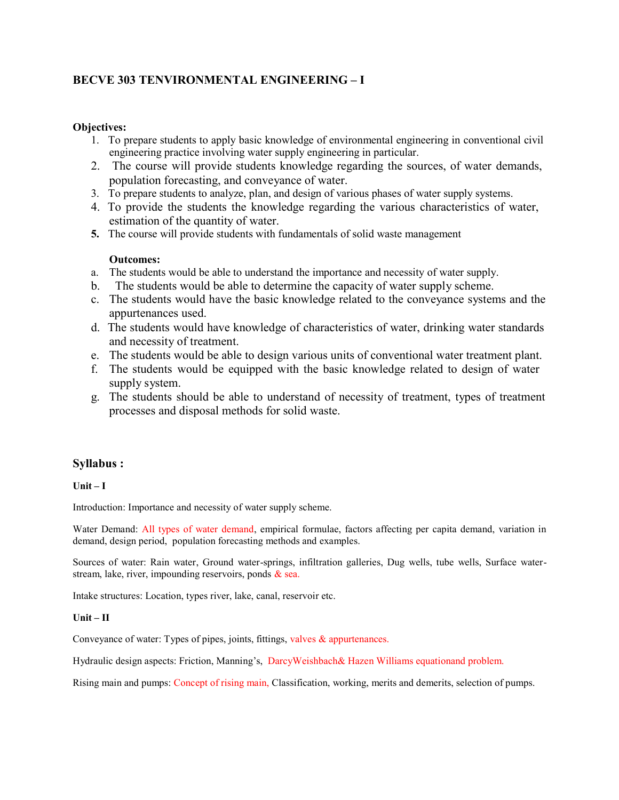## **BECVE 303 TENVIRONMENTAL ENGINEERING – I**

#### **Objectives:**

- 1. To prepare students to apply basic knowledge of environmental engineering in conventional civil engineering practice involving water supply engineering in particular.
- 2. The course will provide students knowledge regarding the sources, of water demands, population forecasting, and conveyance of water.
- 3. To prepare students to analyze, plan, and design of various phases of water supply systems.
- 4. To provide the students the knowledge regarding the various characteristics of water, estimation of the quantity of water.
- **5.** The course will provide students with fundamentals of solid waste management

#### **Outcomes:**

- a. The students would be able to understand the importance and necessity of water supply.
- b. The students would be able to determine the capacity of water supply scheme.
- c. The students would have the basic knowledge related to the conveyance systems and the appurtenances used.
- d. The students would have knowledge of characteristics of water, drinking water standards and necessity of treatment.
- e. The students would be able to design various units of conventional water treatment plant.
- f. The students would be equipped with the basic knowledge related to design of water supply system.
- g. The students should be able to understand of necessity of treatment, types of treatment processes and disposal methods for solid waste.

## **Syllabus :**

#### **Unit – I**

Introduction: Importance and necessity of water supply scheme.

Water Demand: All types of water demand, empirical formulae, factors affecting per capita demand, variation in demand, design period, population forecasting methods and examples.

Sources of water: Rain water, Ground water-springs, infiltration galleries, Dug wells, tube wells, Surface waterstream, lake, river, impounding reservoirs, ponds  $\&$  sea.

Intake structures: Location, types river, lake, canal, reservoir etc.

#### **Unit – II**

Conveyance of water: Types of pipes, joints, fittings, valves & appurtenances.

Hydraulic design aspects: Friction, Manning's, DarcyWeishbach& Hazen Williams equationand problem.

Rising main and pumps: Concept of rising main, Classification, working, merits and demerits, selection of pumps.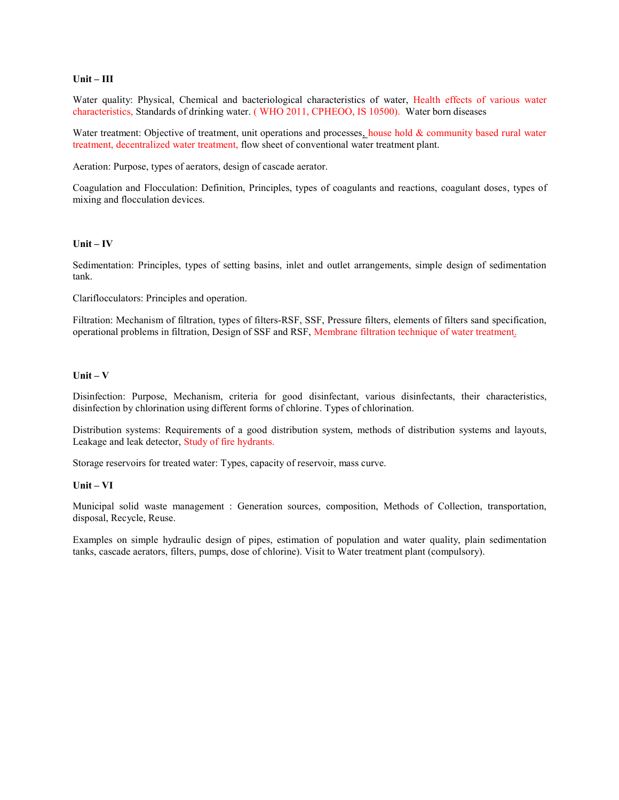#### **Unit – III**

Water quality: Physical, Chemical and bacteriological characteristics of water, Health effects of various water characteristics, Standards of drinking water. ( WHO 2011, CPHEOO, IS 10500). Water born diseases

Water treatment: Objective of treatment, unit operations and processes, house hold & community based rural water treatment, decentralized water treatment, flow sheet of conventional water treatment plant.

Aeration: Purpose, types of aerators, design of cascade aerator.

Coagulation and Flocculation: Definition, Principles, types of coagulants and reactions, coagulant doses, types of mixing and flocculation devices.

#### **Unit – IV**

Sedimentation: Principles, types of setting basins, inlet and outlet arrangements, simple design of sedimentation tank.

Clariflocculators: Principles and operation.

Filtration: Mechanism of filtration, types of filters-RSF, SSF, Pressure filters, elements of filters sand specification, operational problems in filtration, Design of SSF and RSF, Membrane filtration technique of water treatment.

#### **Unit – V**

Disinfection: Purpose, Mechanism, criteria for good disinfectant, various disinfectants, their characteristics, disinfection by chlorination using different forms of chlorine. Types of chlorination.

Distribution systems: Requirements of a good distribution system, methods of distribution systems and layouts, Leakage and leak detector, Study of fire hydrants.

Storage reservoirs for treated water: Types, capacity of reservoir, mass curve.

#### **Unit – VI**

Municipal solid waste management : Generation sources, composition, Methods of Collection, transportation, disposal, Recycle, Reuse.

Examples on simple hydraulic design of pipes, estimation of population and water quality, plain sedimentation tanks, cascade aerators, filters, pumps, dose of chlorine). Visit to Water treatment plant (compulsory).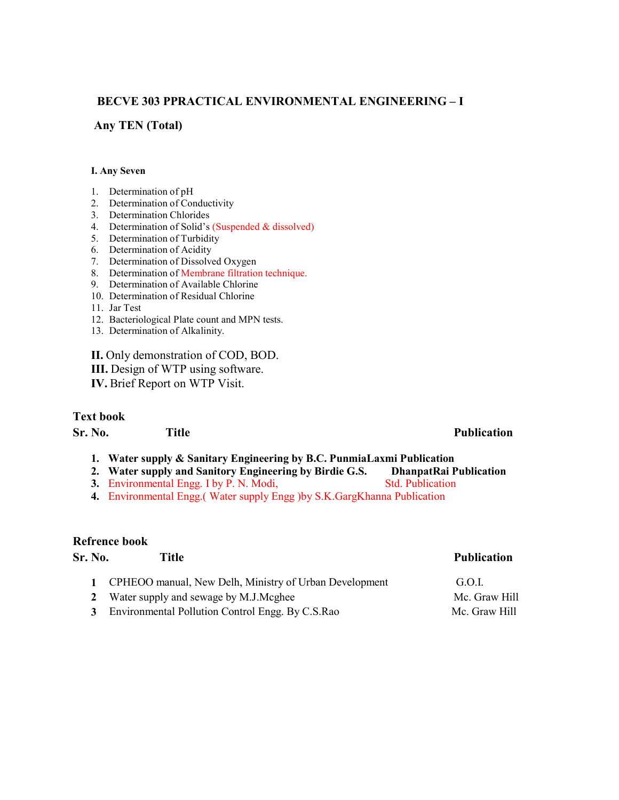## **BECVE 303 PPRACTICAL ENVIRONMENTAL ENGINEERING – I**

## **Any TEN (Total)**

#### **I. Any Seven**

- 1. Determination of pH
- 2. Determination of Conductivity
- 3. Determination Chlorides
- 4. Determination of Solid's (Suspended & dissolved)
- 5. Determination of Turbidity
- 6. Determination of Acidity
- 7. Determination of Dissolved Oxygen
- 8. Determination of Membrane filtration technique.
- 9. Determination of Available Chlorine
- 10. Determination of Residual Chlorine
- 11. Jar Test
- 12. Bacteriological Plate count and MPN tests.
- 13. Determination of Alkalinity.

**II.** Only demonstration of COD, BOD.

**III.** Design of WTP using software.

**IV.** Brief Report on WTP Visit.

#### **Text book**

## **Sr. No. Title Publication**

- **1. Water supply & Sanitary Engineering by B.C. PunmiaLaxmi Publication**
- **2. Water supply and Sanitory Engineering by Birdie G.S. DhanpatRai Publication**
- **3.** Environmental Engg. I by P. N. Modi, Std. Publication
- **4.** Environmental Engg.( Water supply Engg )by S.K.GargKhanna Publication

#### **Refrence book**

| <b>Sr. No.</b> | Title                                                    | <b>Publication</b> |
|----------------|----------------------------------------------------------|--------------------|
|                | 1 CPHEOO manual, New Delh, Ministry of Urban Development | GOL                |
|                | 2 Water supply and sewage by M.J.Mcghee                  | Mc. Graw Hill      |
| 3              | Environmental Pollution Control Engg. By C.S.Rao         | Mc. Graw Hill      |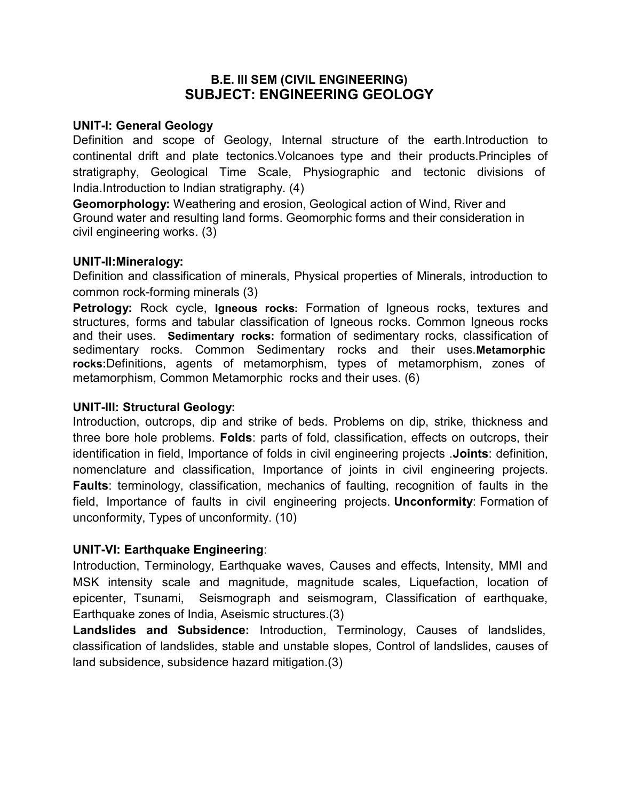## **B.E. III SEM (CIVIL ENGINEERING) SUBJECT: ENGINEERING GEOLOGY**

## **UNIT-I: General Geology**

Definition and scope of Geology, Internal structure of the earth.Introduction to continental drift and plate tectonics.Volcanoes type and their products.Principles of stratigraphy, Geological Time Scale, Physiographic and tectonic divisions of India.Introduction to Indian stratigraphy. (4)

**Geomorphology:** Weathering and erosion, Geological action of Wind, River and Ground water and resulting land forms. Geomorphic forms and their consideration in civil engineering works. (3)

## **UNIT-II:Mineralogy:**

Definition and classification of minerals, Physical properties of Minerals, introduction to common rock-forming minerals (3)

**Petrology:** Rock cycle, **Igneous rocks:** Formation of Igneous rocks, textures and structures, forms and tabular classification of Igneous rocks. Common Igneous rocks and their uses. **Sedimentary rocks:** formation of sedimentary rocks, classification of sedimentary rocks. Common Sedimentary rocks and their uses.**Metamorphic rocks:**Definitions, agents of metamorphism, types of metamorphism, zones of metamorphism, Common Metamorphic rocks and their uses. (6)

## **UNIT-III: Structural Geology:**

Introduction, outcrops, dip and strike of beds. Problems on dip, strike, thickness and three bore hole problems. **Folds**: parts of fold, classification, effects on outcrops, their identification in field, Importance of folds in civil engineering projects .**Joints**: definition, nomenclature and classification, Importance of joints in civil engineering projects. **Faults**: terminology, classification, mechanics of faulting, recognition of faults in the field, Importance of faults in civil engineering projects. **Unconformity**: Formation of unconformity, Types of unconformity. (10)

## **UNIT-VI: Earthquake Engineering**:

Introduction, Terminology, Earthquake waves, Causes and effects, Intensity, MMI and MSK intensity scale and magnitude, magnitude scales, Liquefaction, location of epicenter, Tsunami, Seismograph and seismogram, Classification of earthquake, Earthquake zones of India, Aseismic structures.(3)

**Landslides and Subsidence:** Introduction, Terminology, Causes of landslides, classification of landslides, stable and unstable slopes, Control of landslides, causes of land subsidence, subsidence hazard mitigation.(3)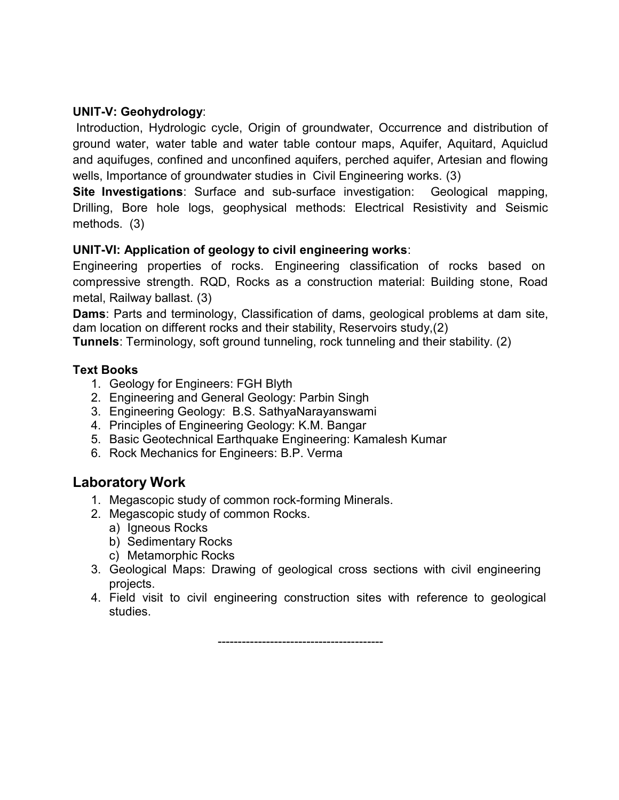## **UNIT-V: Geohydrology**:

Introduction, Hydrologic cycle, Origin of groundwater, Occurrence and distribution of ground water, water table and water table contour maps, Aquifer, Aquitard, Aquiclud and aquifuges, confined and unconfined aquifers, perched aquifer, Artesian and flowing wells, Importance of groundwater studies in Civil Engineering works. (3)

**Site Investigations**: Surface and sub-surface investigation: Geological mapping, Drilling, Bore hole logs, geophysical methods: Electrical Resistivity and Seismic methods. (3)

## **UNIT-VI: Application of geology to civil engineering works**:

Engineering properties of rocks. Engineering classification of rocks based on compressive strength. RQD, Rocks as a construction material: Building stone, Road metal, Railway ballast. (3)

**Dams**: Parts and terminology, Classification of dams, geological problems at dam site, dam location on different rocks and their stability, Reservoirs study,(2)

**Tunnels**: Terminology, soft ground tunneling, rock tunneling and their stability. (2)

## **Text Books**

- 1. Geology for Engineers: FGH Blyth
- 2. Engineering and General Geology: Parbin Singh
- 3. Engineering Geology: B.S. SathyaNarayanswami
- 4. Principles of Engineering Geology: K.M. Bangar
- 5. Basic Geotechnical Earthquake Engineering: Kamalesh Kumar
- 6. Rock Mechanics for Engineers: B.P. Verma

## **Laboratory Work**

- 1. Megascopic study of common rock-forming Minerals.
- 2. Megascopic study of common Rocks.
	- a) Igneous Rocks
	- b) Sedimentary Rocks
	- c) Metamorphic Rocks
- 3. Geological Maps: Drawing of geological cross sections with civil engineering projects.
- 4. Field visit to civil engineering construction sites with reference to geological studies.

-----------------------------------------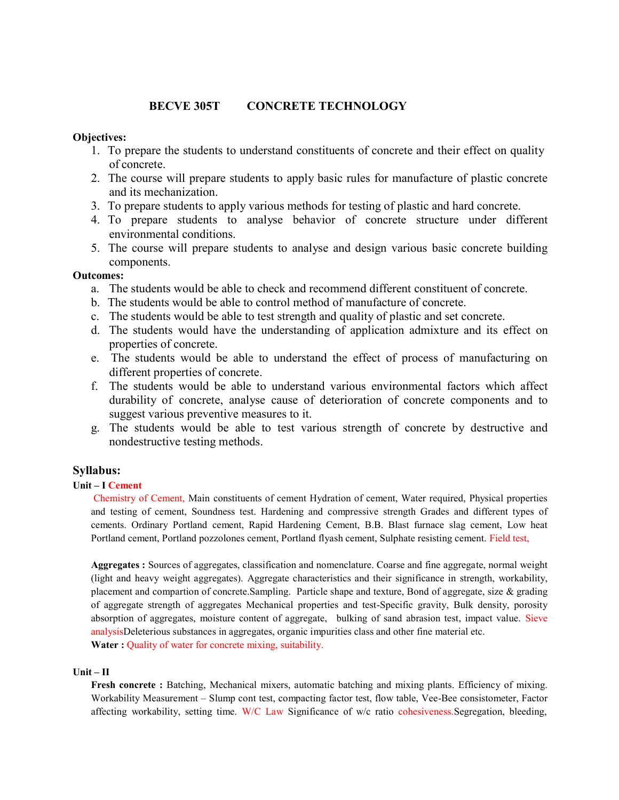### **BECVE 305T CONCRETE TECHNOLOGY**

#### **Objectives:**

- 1. To prepare the students to understand constituents of concrete and their effect on quality of concrete.
- 2. The course will prepare students to apply basic rules for manufacture of plastic concrete and its mechanization.
- 3. To prepare students to apply various methods for testing of plastic and hard concrete.
- 4. To prepare students to analyse behavior of concrete structure under different environmental conditions.
- 5. The course will prepare students to analyse and design various basic concrete building components.

#### **Outcomes:**

- a. The students would be able to check and recommend different constituent of concrete.
- b. The students would be able to control method of manufacture of concrete.
- c. The students would be able to test strength and quality of plastic and set concrete.
- d. The students would have the understanding of application admixture and its effect on properties of concrete.
- e. The students would be able to understand the effect of process of manufacturing on different properties of concrete.
- f. The students would be able to understand various environmental factors which affect durability of concrete, analyse cause of deterioration of concrete components and to suggest various preventive measures to it.
- g. The students would be able to test various strength of concrete by destructive and nondestructive testing methods.

## **Syllabus:**

#### **Unit – I Cement**

Chemistry of Cement, Main constituents of cement Hydration of cement, Water required, Physical properties and testing of cement, Soundness test. Hardening and compressive strength Grades and different types of cements. Ordinary Portland cement, Rapid Hardening Cement, B.B. Blast furnace slag cement, Low heat Portland cement, Portland pozzolones cement, Portland flyash cement, Sulphate resisting cement. Field test,

**Aggregates :** Sources of aggregates, classification and nomenclature. Coarse and fine aggregate, normal weight (light and heavy weight aggregates). Aggregate characteristics and their significance in strength, workability, placement and compartion of concrete.Sampling. Particle shape and texture, Bond of aggregate, size & grading of aggregate strength of aggregates Mechanical properties and test-Specific gravity, Bulk density, porosity absorption of aggregates, moisture content of aggregate, bulking of sand abrasion test, impact value. Sieve analysisDeleterious substances in aggregates, organic impurities class and other fine material etc. **Water :** Quality of water for concrete mixing, suitability.

#### **Unit – II**

**Fresh concrete :** Batching, Mechanical mixers, automatic batching and mixing plants. Efficiency of mixing. Workability Measurement – Slump cont test, compacting factor test, flow table, Vee-Bee consistometer, Factor affecting workability, setting time. W/C Law Significance of w/c ratio cohesiveness. Segregation, bleeding,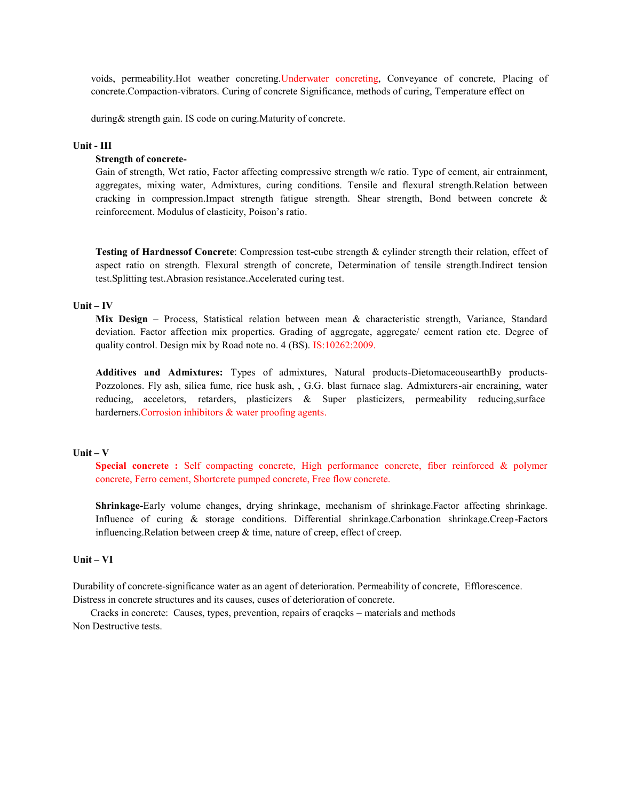voids, permeability.Hot weather concreting.Underwater concreting, Conveyance of concrete, Placing of concrete.Compaction-vibrators. Curing of concrete Significance, methods of curing, Temperature effect on

during& strength gain. IS code on curing.Maturity of concrete.

#### **Unit - III**

#### **Strength of concrete-**

Gain of strength, Wet ratio, Factor affecting compressive strength w/c ratio. Type of cement, air entrainment, aggregates, mixing water, Admixtures, curing conditions. Tensile and flexural strength.Relation between cracking in compression.Impact strength fatigue strength. Shear strength, Bond between concrete & reinforcement. Modulus of elasticity, Poison's ratio.

**Testing of Hardnessof Concrete**: Compression test-cube strength & cylinder strength their relation, effect of aspect ratio on strength. Flexural strength of concrete, Determination of tensile strength.Indirect tension test.Splitting test.Abrasion resistance.Accelerated curing test.

#### **Unit – IV**

**Mix Design** – Process, Statistical relation between mean & characteristic strength, Variance, Standard deviation. Factor affection mix properties. Grading of aggregate, aggregate/ cement ration etc. Degree of quality control. Design mix by Road note no. 4 (BS). IS:10262:2009.

**Additives and Admixtures:** Types of admixtures, Natural products-DietomaceousearthBy products-Pozzolones. Fly ash, silica fume, rice husk ash, , G.G. blast furnace slag. Admixturers-air encraining, water reducing, acceletors, retarders, plasticizers & Super plasticizers, permeability reducing,surface harderners. Corrosion inhibitors & water proofing agents.

#### **Unit – V**

**Special concrete :** Self compacting concrete, High performance concrete, fiber reinforced & polymer concrete, Ferro cement, Shortcrete pumped concrete, Free flow concrete.

**Shrinkage-**Early volume changes, drying shrinkage, mechanism of shrinkage.Factor affecting shrinkage. Influence of curing & storage conditions. Differential shrinkage.Carbonation shrinkage.Creep-Factors influencing.Relation between creep & time, nature of creep, effect of creep.

#### **Unit – VI**

Durability of concrete-significance water as an agent of deterioration. Permeability of concrete, Efflorescence. Distress in concrete structures and its causes, cuses of deterioration of concrete.

Cracks in concrete: Causes, types, prevention, repairs of craqcks – materials and methods Non Destructive tests.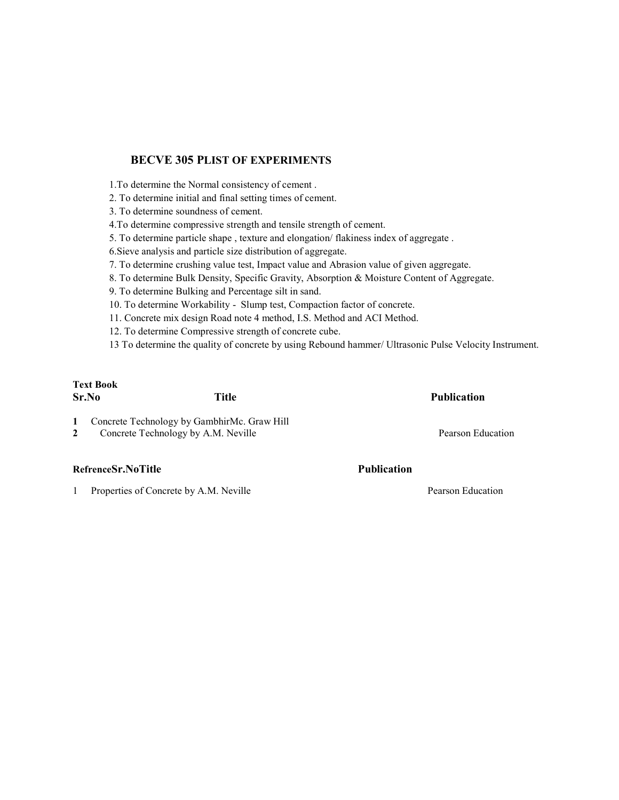#### **BECVE 305 PLIST OF EXPERIMENTS**

1.To determine the Normal consistency of cement .

2. To determine initial and final setting times of cement.

3. To determine soundness of cement.

4.To determine compressive strength and tensile strength of cement.

5. To determine particle shape , texture and elongation/ flakiness index of aggregate .

6.Sieve analysis and particle size distribution of aggregate.

7. To determine crushing value test, Impact value and Abrasion value of given aggregate.

8. To determine Bulk Density, Specific Gravity, Absorption & Moisture Content of Aggregate.

9. To determine Bulking and Percentage silt in sand.

10. To determine Workability - Slump test, Compaction factor of concrete.

11. Concrete mix design Road note 4 method, I.S. Method and ACI Method.

12. To determine Compressive strength of concrete cube.

13 To determine the quality of concrete by using Rebound hammer/ Ultrasonic Pulse Velocity Instrument.

| <b>Text Book</b><br>Sr.No    | Title                                                                              |                    | <b>Publication</b> |
|------------------------------|------------------------------------------------------------------------------------|--------------------|--------------------|
| $\mathbf{1}$<br>$\mathbf{2}$ | Concrete Technology by GambhirMc. Graw Hill<br>Concrete Technology by A.M. Neville |                    | Pearson Education  |
| RefrenceSr.NoTitle           |                                                                                    | <b>Publication</b> |                    |

1 Properties of Concrete by A.M. Neville Pearson Education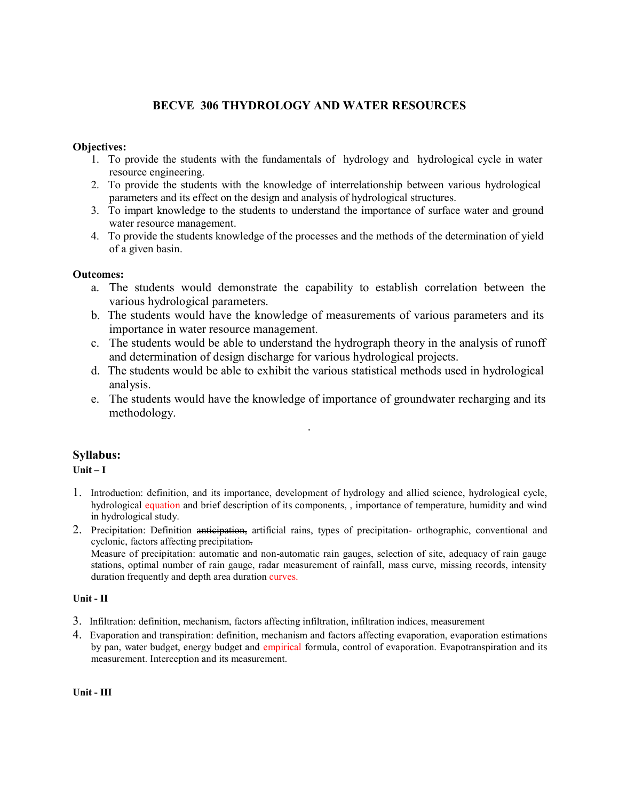## **BECVE 306 THYDROLOGY AND WATER RESOURCES**

#### **Objectives:**

- 1. To provide the students with the fundamentals of hydrology and hydrological cycle in water resource engineering.
- 2. To provide the students with the knowledge of interrelationship between various hydrological parameters and its effect on the design and analysis of hydrological structures.
- 3. To impart knowledge to the students to understand the importance of surface water and ground water resource management.
- 4. To provide the students knowledge of the processes and the methods of the determination of yield of a given basin.

#### **Outcomes:**

- a. The students would demonstrate the capability to establish correlation between the various hydrological parameters.
- b. The students would have the knowledge of measurements of various parameters and its importance in water resource management.
- c. The students would be able to understand the hydrograph theory in the analysis of runoff and determination of design discharge for various hydrological projects.
- d. The students would be able to exhibit the various statistical methods used in hydrological analysis.
- e. The students would have the knowledge of importance of groundwater recharging and its methodology.

.

## **Syllabus:**

#### **Unit – I**

- 1. Introduction: definition, and its importance, development of hydrology and allied science, hydrological cycle, hydrological equation and brief description of its components, , importance of temperature, humidity and wind in hydrological study.
- 2. Precipitation: Definition anticipation, artificial rains, types of precipitation- orthographic, conventional and cyclonic, factors affecting precipitation. Measure of precipitation: automatic and non-automatic rain gauges, selection of site, adequacy of rain gauge stations, optimal number of rain gauge, radar measurement of rainfall, mass curve, missing records, intensity

duration frequently and depth area duration curves.

#### **Unit - II**

- 3. Infiltration: definition, mechanism, factors affecting infiltration, infiltration indices, measurement
- 4. Evaporation and transpiration: definition, mechanism and factors affecting evaporation, evaporation estimations by pan, water budget, energy budget and empirical formula, control of evaporation. Evapotranspiration and its measurement. Interception and its measurement.

**Unit - III**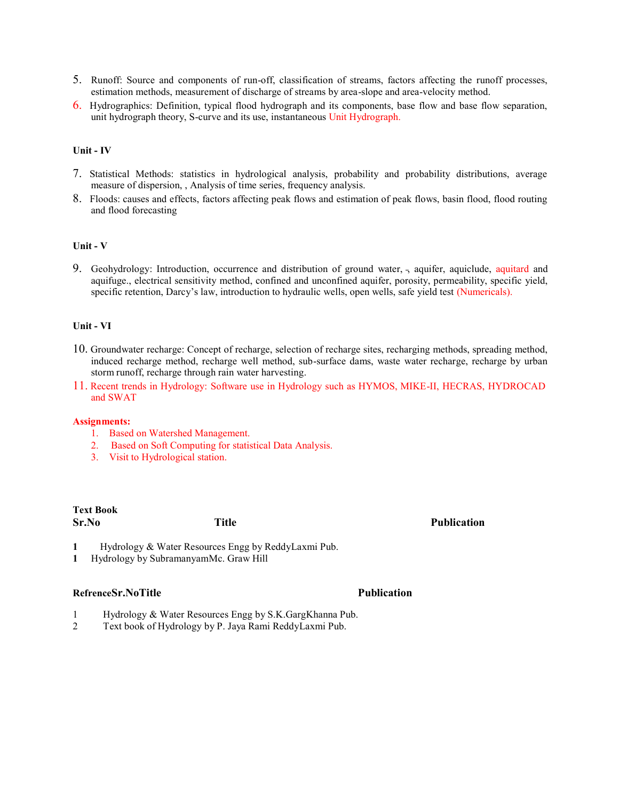- 5. Runoff: Source and components of run-off, classification of streams, factors affecting the runoff processes, estimation methods, measurement of discharge of streams by area-slope and area-velocity method.
- 6. Hydrographics: Definition, typical flood hydrograph and its components, base flow and base flow separation, unit hydrograph theory, S-curve and its use, instantaneous Unit Hydrograph.

#### **Unit - IV**

- 7. Statistical Methods: statistics in hydrological analysis, probability and probability distributions, average measure of dispersion, , Analysis of time series, frequency analysis.
- 8. Floods: causes and effects, factors affecting peak flows and estimation of peak flows, basin flood, flood routing and flood forecasting

#### **Unit - V**

9. Geohydrology: Introduction, occurrence and distribution of ground water, , aquifer, aquiclude, aquitard and aquifuge., electrical sensitivity method, confined and unconfined aquifer, porosity, permeability, specific yield, specific retention, Darcy's law, introduction to hydraulic wells, open wells, safe yield test (Numericals).

#### **Unit - VI**

- 10. Groundwater recharge: Concept of recharge, selection of recharge sites, recharging methods, spreading method, induced recharge method, recharge well method, sub-surface dams, waste water recharge, recharge by urban storm runoff, recharge through rain water harvesting.
- 11. Recent trends in Hydrology: Software use in Hydrology such as HYMOS, MIKE-II, HECRAS, HYDROCAD and SWAT

#### **Assignments:**

- 1. Based on Watershed Management.
- 2. Based on Soft Computing for statistical Data Analysis.
- 3. Visit to Hydrological station.

# **Text Book**

#### **Sr.No Title Publication**

- **1** Hydrology & Water Resources Engg by ReddyLaxmi Pub.
- **1** Hydrology by SubramanyamMc. Graw Hill

#### **RefrenceSr.NoTitle Publication**

- 1 Hydrology & Water Resources Engg by S.K.GargKhanna Pub.
- 2 Text book of Hydrology by P. Jaya Rami ReddyLaxmi Pub.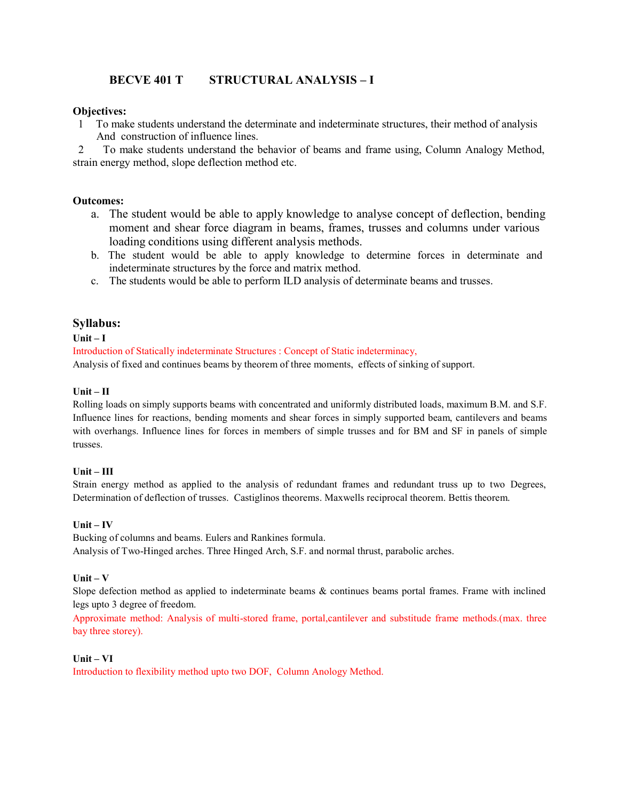## **BECVE 401 T STRUCTURAL ANALYSIS – I**

#### **Objectives:**

1 To make students understand the determinate and indeterminate structures, their method of analysis And construction of influence lines.

2 To make students understand the behavior of beams and frame using, Column Analogy Method, strain energy method, slope deflection method etc.

#### **Outcomes:**

- a. The student would be able to apply knowledge to analyse concept of deflection, bending moment and shear force diagram in beams, frames, trusses and columns under various loading conditions using different analysis methods.
- b. The student would be able to apply knowledge to determine forces in determinate and indeterminate structures by the force and matrix method.
- c. The students would be able to perform ILD analysis of determinate beams and trusses.

#### **Syllabus:**

#### **Unit – I**

Introduction of Statically indeterminate Structures : Concept of Static indeterminacy, Analysis of fixed and continues beams by theorem of three moments, effects of sinking of support.

#### **Unit – II**

Rolling loads on simply supports beams with concentrated and uniformly distributed loads, maximum B.M. and S.F. Influence lines for reactions, bending moments and shear forces in simply supported beam, cantilevers and beams with overhangs. Influence lines for forces in members of simple trusses and for BM and SF in panels of simple trusses.

#### **Unit – III**

Strain energy method as applied to the analysis of redundant frames and redundant truss up to two Degrees, Determination of deflection of trusses. Castiglinos theorems. Maxwells reciprocal theorem. Bettis theorem.

#### **Unit – IV**

Bucking of columns and beams. Eulers and Rankines formula. Analysis of Two-Hinged arches. Three Hinged Arch, S.F. and normal thrust, parabolic arches.

#### **Unit – V**

Slope defection method as applied to indeterminate beams & continues beams portal frames. Frame with inclined legs upto 3 degree of freedom.

Approximate method: Analysis of multi-stored frame, portal,cantilever and substitude frame methods.(max. three bay three storey).

#### **Unit – VI**

Introduction to flexibility method upto two DOF, Column Anology Method.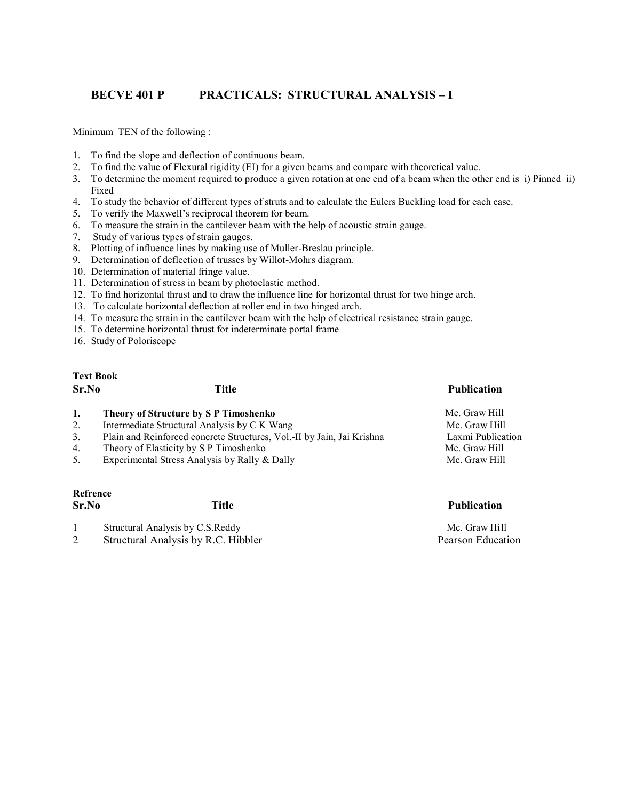## **BECVE 401 P PRACTICALS: STRUCTURAL ANALYSIS – I**

Minimum TEN of the following :

- 1. To find the slope and deflection of continuous beam.
- 2. To find the value of Flexural rigidity (EI) for a given beams and compare with theoretical value.
- 3. To determine the moment required to produce a given rotation at one end of a beam when the other end is i) Pinned ii) Fixed
- 4. To study the behavior of different types of struts and to calculate the Eulers Buckling load for each case.
- 5. To verify the Maxwell's reciprocal theorem for beam.
- 6. To measure the strain in the cantilever beam with the help of acoustic strain gauge.
- 7. Study of various types of strain gauges.
- 8. Plotting of influence lines by making use of Muller-Breslau principle.
- 9. Determination of deflection of trusses by Willot-Mohrs diagram.
- 10. Determination of material fringe value.
- 11. Determination of stress in beam by photoelastic method.
- 12. To find horizontal thrust and to draw the influence line for horizontal thrust for two hinge arch.
- 13. To calculate horizontal deflection at roller end in two hinged arch.
- 14. To measure the strain in the cantilever beam with the help of electrical resistance strain gauge.
- 15. To determine horizontal thrust for indeterminate portal frame
- 16. Study of Poloriscope

#### **Text Book**

|  | l |
|--|---|
|--|---|

#### **Similar Example 2018 Publication**

| $\mathbf{1}$ . | Theory of Structure by S P Timoshenko                                  | Mc. Graw Hill     |
|----------------|------------------------------------------------------------------------|-------------------|
| 2.             | Intermediate Structural Analysis by C K Wang                           | Mc. Graw Hill     |
| 3.             | Plain and Reinforced concrete Structures, Vol.-II by Jain, Jai Krishna | Laxmi Publication |
| $\overline{4}$ | Theory of Elasticity by S P Timoshenko                                 | Mc. Graw Hill     |
| 5.             | Experimental Stress Analysis by Rally & Dally                          | Mc. Graw Hill     |

#### **Refrence**

## **Sr.No Title Publication**

1 Structural Analysis by C.S.Reddy Mc. Graw Hill

2 Structural Analysis by R.C. Hibbler Pearson Education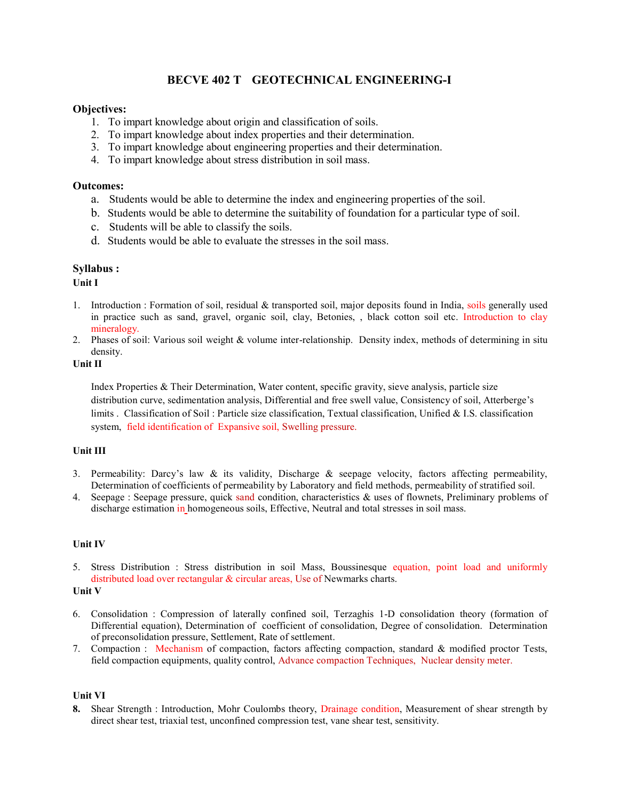## **BECVE 402 T GEOTECHNICAL ENGINEERING-I**

#### **Objectives:**

- 1. To impart knowledge about origin and classification of soils.
- 2. To impart knowledge about index properties and their determination.
- 3. To impart knowledge about engineering properties and their determination.
- 4. To impart knowledge about stress distribution in soil mass.

#### **Outcomes:**

- a. Students would be able to determine the index and engineering properties of the soil.
- b. Students would be able to determine the suitability of foundation for a particular type of soil.
- c. Students will be able to classify the soils.
- d. Students would be able to evaluate the stresses in the soil mass.

#### **Syllabus :**

#### **Unit I**

- 1. Introduction : Formation of soil, residual & transported soil, major deposits found in India, soils generally used in practice such as sand, gravel, organic soil, clay, Betonies, , black cotton soil etc. Introduction to clay mineralogy.
- 2. Phases of soil: Various soil weight & volume inter-relationship. Density index, methods of determining in situ density.

#### **Unit II**

Index Properties & Their Determination, Water content, specific gravity, sieve analysis, particle size distribution curve, sedimentation analysis, Differential and free swell value, Consistency of soil, Atterberge's limits . Classification of Soil : Particle size classification, Textual classification, Unified & I.S. classification system, field identification of Expansive soil, Swelling pressure.

#### **Unit III**

- 3. Permeability: Darcy's law & its validity, Discharge & seepage velocity, factors affecting permeability, Determination of coefficients of permeability by Laboratory and field methods, permeability of stratified soil.
- 4. Seepage : Seepage pressure, quick sand condition, characteristics & uses of flownets, Preliminary problems of discharge estimation in homogeneous soils, Effective, Neutral and total stresses in soil mass.

#### **Unit IV**

5. Stress Distribution : Stress distribution in soil Mass, Boussinesque equation, point load and uniformly distributed load over rectangular  $&$  circular areas, Use of Newmarks charts.

#### **Unit V**

- 6. Consolidation : Compression of laterally confined soil, Terzaghis 1-D consolidation theory (formation of Differential equation), Determination of coefficient of consolidation, Degree of consolidation. Determination of preconsolidation pressure, Settlement, Rate of settlement.
- 7. Compaction : Mechanism of compaction, factors affecting compaction, standard & modified proctor Tests, field compaction equipments, quality control, Advance compaction Techniques, Nuclear density meter.

#### **Unit VI**

**8.** Shear Strength : Introduction, Mohr Coulombs theory, Drainage condition, Measurement of shear strength by direct shear test, triaxial test, unconfined compression test, vane shear test, sensitivity.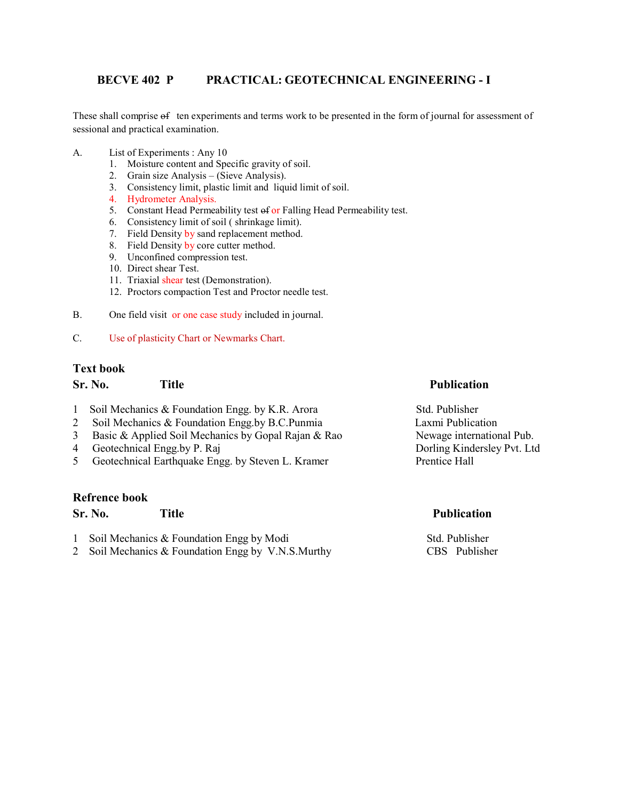## **BECVE 402 P PRACTICAL: GEOTECHNICAL ENGINEERING - I**

These shall comprise of ten experiments and terms work to be presented in the form of journal for assessment of sessional and practical examination.

- A. List of Experiments : Any 10
	- 1. Moisture content and Specific gravity of soil.
	- 2. Grain size Analysis (Sieve Analysis).
	- 3. Consistency limit, plastic limit and liquid limit of soil.
	- 4. Hydrometer Analysis.
	- 5. Constant Head Permeability test of or Falling Head Permeability test.
	- 6. Consistency limit of soil ( shrinkage limit).
	- 7. Field Density by sand replacement method.
	- 8. Field Density by core cutter method.
	- 9. Unconfined compression test.
	- 10. Direct shear Test.
	- 11. Triaxial shear test (Demonstration).
	- 12. Proctors compaction Test and Proctor needle test.
- B. One field visit or one case study included in journal.
- C. Use of plasticity Chart or Newmarks Chart.

#### **Text book**

#### **Sr. No. Title Publication**

- 1 Soil Mechanics & Foundation Engg. by K.R. Arora Std. Publisher
- 2 Soil Mechanics & Foundation Engg.by B.C.Punmia Laxmi Publication
- 3 Basic & Applied Soil Mechanics by Gopal Rajan & Rao Newage international Pub.
- 4 Geotechnical Engg.by P. Raj Dorling Kindersley Pvt. Ltd
- 5 Geotechnical Earthquake Engg. by Steven L. Kramer Prentice Hall

#### **Refrence book**

- 1 Soil Mechanics & Foundation Engg by Modi Std. Publisher
- 2 Soil Mechanics & Foundation Engg by V.N.S. Murthy CBS Publisher

#### **Sr. No. Title Publication**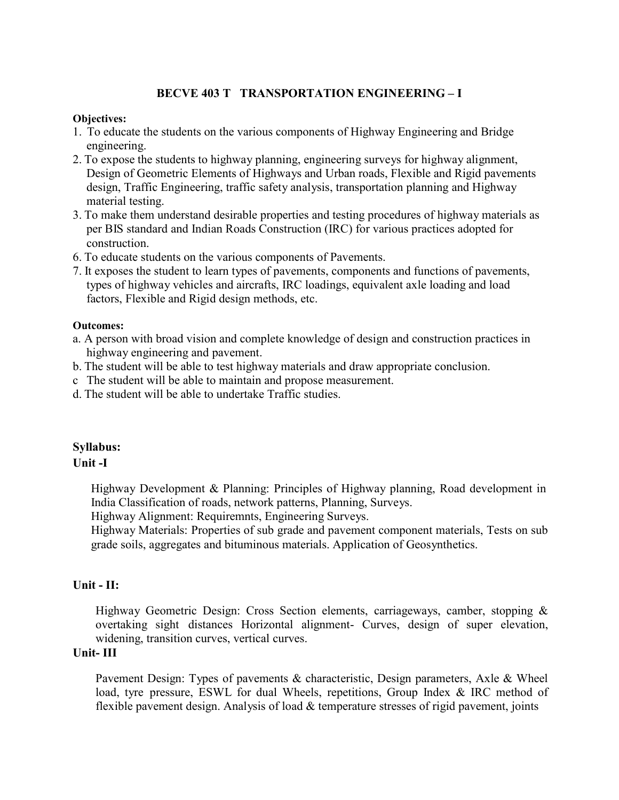## **BECVE 403 T TRANSPORTATION ENGINEERING – I**

#### **Objectives:**

- 1. To educate the students on the various components of Highway Engineering and Bridge engineering.
- 2. To expose the students to highway planning, engineering surveys for highway alignment, Design of Geometric Elements of Highways and Urban roads, Flexible and Rigid pavements design, Traffic Engineering, traffic safety analysis, transportation planning and Highway material testing.
- 3. To make them understand desirable properties and testing procedures of highway materials as per BIS standard and Indian Roads Construction (IRC) for various practices adopted for construction.
- 6. To educate students on the various components of Pavements.
- 7. It exposes the student to learn types of pavements, components and functions of pavements, types of highway vehicles and aircrafts, IRC loadings, equivalent axle loading and load factors, Flexible and Rigid design methods, etc.

#### **Outcomes:**

- a. A person with broad vision and complete knowledge of design and construction practices in highway engineering and pavement.
- b. The student will be able to test highway materials and draw appropriate conclusion.
- c The student will be able to maintain and propose measurement.
- d. The student will be able to undertake Traffic studies.

## **Syllabus:**

## **Unit -I**

Highway Development & Planning: Principles of Highway planning, Road development in India Classification of roads, network patterns, Planning, Surveys.

Highway Alignment: Requiremnts, Engineering Surveys.

Highway Materials: Properties of sub grade and pavement component materials, Tests on sub grade soils, aggregates and bituminous materials. Application of Geosynthetics.

## **Unit - II:**

Highway Geometric Design: Cross Section elements, carriageways, camber, stopping & overtaking sight distances Horizontal alignment- Curves, design of super elevation, widening, transition curves, vertical curves.

## **Unit- III**

Pavement Design: Types of pavements & characteristic, Design parameters, Axle & Wheel load, tyre pressure, ESWL for dual Wheels, repetitions, Group Index & IRC method of flexible pavement design. Analysis of load & temperature stresses of rigid pavement, joints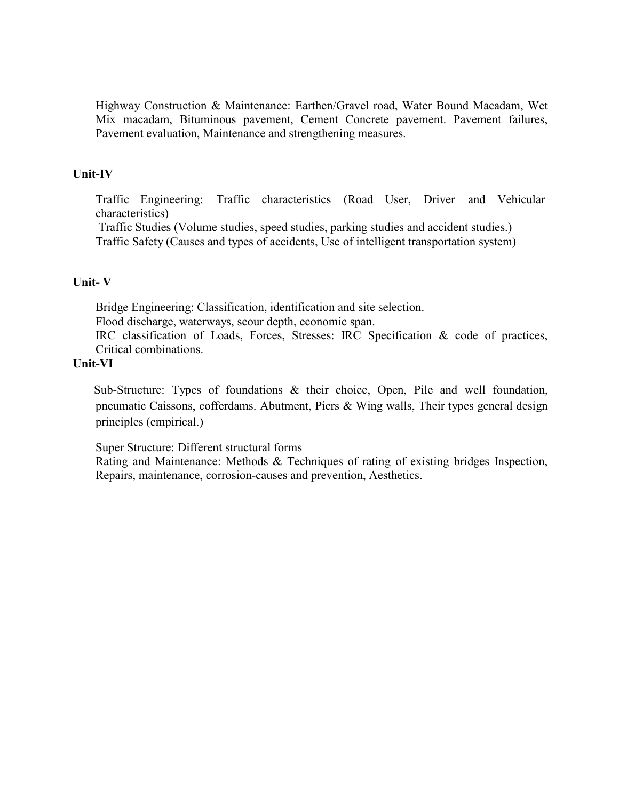Highway Construction & Maintenance: Earthen/Gravel road, Water Bound Macadam, Wet Mix macadam, Bituminous pavement, Cement Concrete pavement. Pavement failures, Pavement evaluation, Maintenance and strengthening measures.

#### **Unit-IV**

Traffic Engineering: Traffic characteristics (Road User, Driver and Vehicular characteristics)

Traffic Studies (Volume studies, speed studies, parking studies and accident studies.)

Traffic Safety (Causes and types of accidents, Use of intelligent transportation system)

### **Unit- V**

Bridge Engineering: Classification, identification and site selection. Flood discharge, waterways, scour depth, economic span. IRC classification of Loads, Forces, Stresses: IRC Specification & code of practices, Critical combinations.

## **Unit-VI**

Sub-Structure: Types of foundations & their choice, Open, Pile and well foundation, pneumatic Caissons, cofferdams. Abutment, Piers & Wing walls, Their types general design principles (empirical.)

Super Structure: Different structural forms

Rating and Maintenance: Methods & Techniques of rating of existing bridges Inspection, Repairs, maintenance, corrosion-causes and prevention, Aesthetics.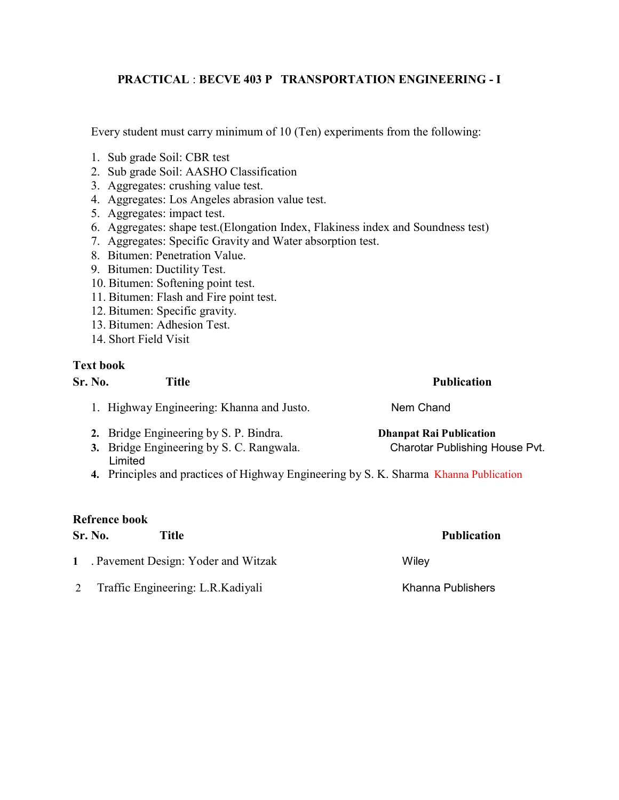## **PRACTICAL** : **BECVE 403 P TRANSPORTATION ENGINEERING - I**

Every student must carry minimum of 10 (Ten) experiments from the following:

- 1. Sub grade Soil: CBR test
- 2. Sub grade Soil: AASHO Classification
- 3. Aggregates: crushing value test.
- 4. Aggregates: Los Angeles abrasion value test.
- 5. Aggregates: impact test.
- 6. Aggregates: shape test.(Elongation Index, Flakiness index and Soundness test)
- 7. Aggregates: Specific Gravity and Water absorption test.
- 8. Bitumen: Penetration Value.
- 9. Bitumen: Ductility Test.
- 10. Bitumen: Softening point test.
- 11. Bitumen: Flash and Fire point test.
- 12. Bitumen: Specific gravity.
- 13. Bitumen: Adhesion Test.
- 14. Short Field Visit

## **Text book**

**Sr. No. Title Publication** 1. Highway Engineering: Khanna and Justo. Nem Chand **2.** Bridge Engineering by S. P. Bindra. **Dhanpat Rai Publication 3.** Bridge Engineering by S. C. Rangwala. Charotar Publishing House Pvt.

- Limited
- **4.** Principles and practices of Highway Engineering by S. K. Sharma Khanna Publication

## **Refrence book**

| <b>Sr. No.</b><br>Title             | <b>Publication</b> |
|-------------------------------------|--------------------|
| 1 Pavement Design: Yoder and Witzak | Wilev              |
| 2 Traffic Engineering: L.R.Kadiyali | Khanna Publishers  |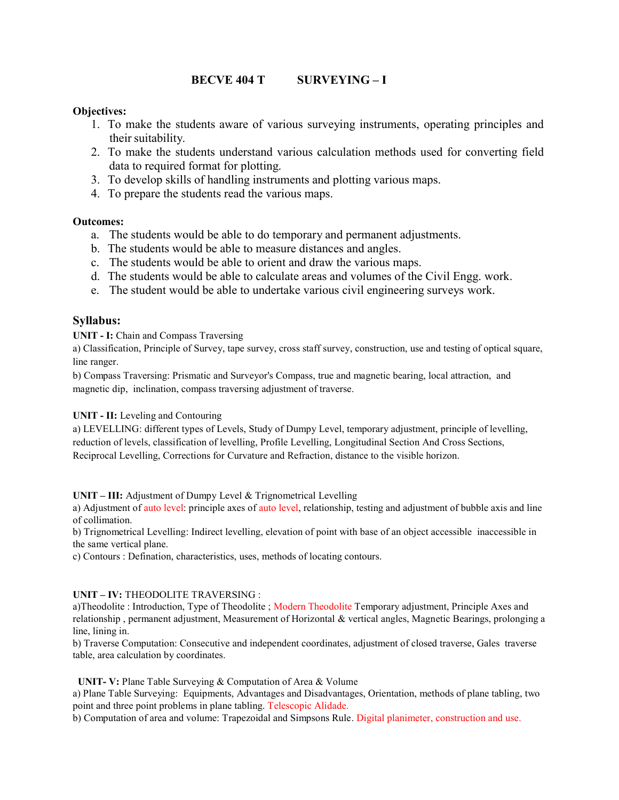## **BECVE 404 T SURVEYING – I**

#### **Objectives:**

- 1. To make the students aware of various surveying instruments, operating principles and their suitability.
- 2. To make the students understand various calculation methods used for converting field data to required format for plotting.
- 3. To develop skills of handling instruments and plotting various maps.
- 4. To prepare the students read the various maps.

#### **Outcomes:**

- a. The students would be able to do temporary and permanent adjustments.
- b. The students would be able to measure distances and angles.
- c. The students would be able to orient and draw the various maps.
- d. The students would be able to calculate areas and volumes of the Civil Engg. work.
- e. The student would be able to undertake various civil engineering surveys work.

#### **Syllabus:**

**UNIT - I:** Chain and Compass Traversing

a) Classification, Principle of Survey, tape survey, cross staff survey, construction, use and testing of optical square, line ranger.

b) Compass Traversing: Prismatic and Surveyor's Compass, true and magnetic bearing, local attraction, and magnetic dip, inclination, compass traversing adjustment of traverse.

#### **UNIT - II:** Leveling and Contouring

a) LEVELLING: different types of Levels, Study of Dumpy Level, temporary adjustment, principle of levelling, reduction of levels, classification of levelling, Profile Levelling, Longitudinal Section And Cross Sections, Reciprocal Levelling, Corrections for Curvature and Refraction, distance to the visible horizon.

#### **UNIT – III:** Adjustment of Dumpy Level & Trignometrical Levelling

a) Adjustment of auto level: principle axes of auto level, relationship, testing and adjustment of bubble axis and line of collimation.

b) Trignometrical Levelling: Indirect levelling, elevation of point with base of an object accessible inaccessible in the same vertical plane.

c) Contours : Defination, characteristics, uses, methods of locating contours.

#### **UNIT – IV:** THEODOLITE TRAVERSING :

a)Theodolite : Introduction, Type of Theodolite ; Modern Theodolite Temporary adjustment, Principle Axes and relationship , permanent adjustment, Measurement of Horizontal & vertical angles, Magnetic Bearings, prolonging a line, lining in.

b) Traverse Computation: Consecutive and independent coordinates, adjustment of closed traverse, Gales traverse table, area calculation by coordinates.

**UNIT- V:** Plane Table Surveying & Computation of Area & Volume

a) Plane Table Surveying: Equipments, Advantages and Disadvantages, Orientation, methods of plane tabling, two point and three point problems in plane tabling. Telescopic Alidade.

b) Computation of area and volume: Trapezoidal and Simpsons Rule. Digital planimeter, construction and use.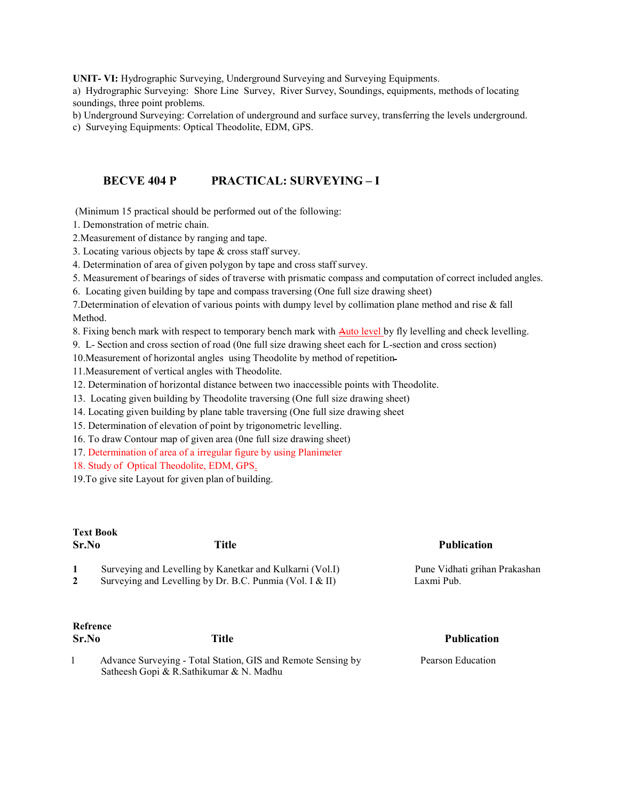**UNIT- VI:** Hydrographic Surveying, Underground Surveying and Surveying Equipments.

a) Hydrographic Surveying: Shore Line Survey, River Survey, Soundings, equipments, methods of locating soundings, three point problems.

b) Underground Surveying: Correlation of underground and surface survey, transferring the levels underground.

c) Surveying Equipments: Optical Theodolite, EDM, GPS.

#### **BECVE 404 P PRACTICAL: SURVEYING – I**

(Minimum 15 practical should be performed out of the following:

1. Demonstration of metric chain.

2.Measurement of distance by ranging and tape.

3. Locating various objects by tape & cross staff survey.

4. Determination of area of given polygon by tape and cross staff survey.

5. Measurement of bearings of sides of traverse with prismatic compass and computation of correct included angles.

6. Locating given building by tape and compass traversing (One full size drawing sheet)

7.Determination of elevation of various points with dumpy level by collimation plane method and rise & fall Method.

8. Fixing bench mark with respect to temporary bench mark with **Auto level by fly levelling and check levelling**.

9. L- Section and cross section of road (0ne full size drawing sheet each for L-section and cross section)

10.Measurement of horizontal angles using Theodolite by method of repetition

11.Measurement of vertical angles with Theodolite.

12. Determination of horizontal distance between two inaccessible points with Theodolite.

13. Locating given building by Theodolite traversing (One full size drawing sheet)

14. Locating given building by plane table traversing (One full size drawing sheet

15. Determination of elevation of point by trigonometric levelling.

16. To draw Contour map of given area (0ne full size drawing sheet)

17. Determination of area of a irregular figure by using Planimeter

18. Study of Optical Theodolite, EDM, GPS.

19.To give site Layout for given plan of building.

#### **Text Book**

#### **Sr.No Title Publication**

**1** Surveying and Levelling by Kanetkar and Kulkarni (Vol.I) Pune Vidhati grihan Prakashan **2** Surveying and Levelling by Dr. B.C. Punmia (Vol. I & II) Laxmi Pub.

| Refrence<br>Sr.No | Title                                                                                                   | <b>Publication</b> |
|-------------------|---------------------------------------------------------------------------------------------------------|--------------------|
|                   | Advance Surveying - Total Station, GIS and Remote Sensing by<br>Satheesh Gopi & R.Sathikumar & N. Madhu | Pearson Education  |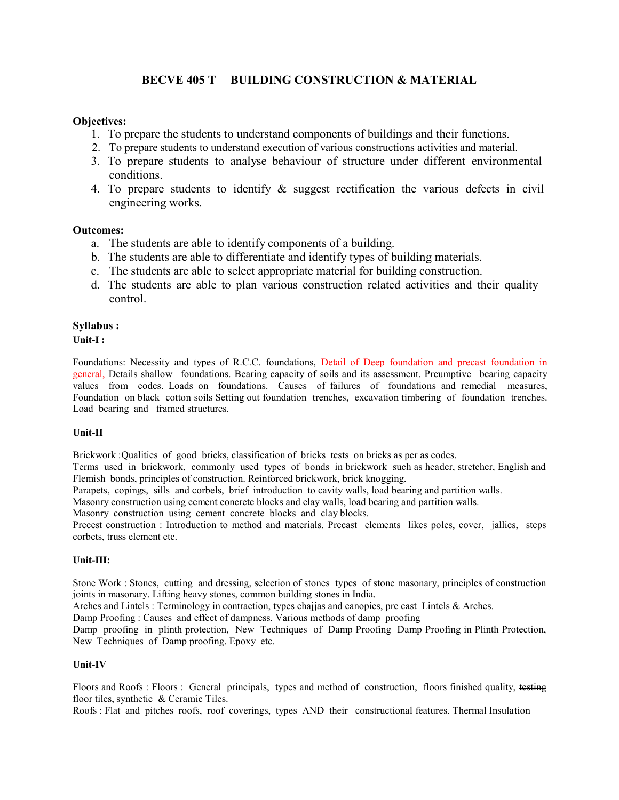## **BECVE 405 T BUILDING CONSTRUCTION & MATERIAL**

#### **Objectives:**

- 1. To prepare the students to understand components of buildings and their functions.
- 2. To prepare students to understand execution of various constructions activities and material.
- 3. To prepare students to analyse behaviour of structure under different environmental conditions.
- 4. To prepare students to identify & suggest rectification the various defects in civil engineering works.

#### **Outcomes:**

- a. The students are able to identify components of a building.
- b. The students are able to differentiate and identify types of building materials.
- c. The students are able to select appropriate material for building construction.
- d. The students are able to plan various construction related activities and their quality control.

#### **Syllabus :**

#### **Unit-I :**

Foundations: Necessity and types of R.C.C. foundations, Detail of Deep foundation and precast foundation in general, Details shallow foundations. Bearing capacity of soils and its assessment. Preumptive bearing capacity values from codes. Loads on foundations. Causes of failures of foundations and remedial measures, Foundation on black cotton soils Setting out foundation trenches, excavation timbering of foundation trenches. Load bearing and framed structures.

#### **Unit-II**

Brickwork :Qualities of good bricks, classification of bricks tests on bricks as per as codes.

Terms used in brickwork, commonly used types of bonds in brickwork such as header, stretcher, English and Flemish bonds, principles of construction. Reinforced brickwork, brick knogging.

Parapets, copings, sills and corbels, brief introduction to cavity walls, load bearing and partition walls.

Masonry construction using cement concrete blocks and clay walls, load bearing and partition walls.

Masonry construction using cement concrete blocks and clay blocks.

Precest construction : Introduction to method and materials. Precast elements likes poles, cover, jallies, steps corbets, truss element etc.

#### **Unit-III:**

Stone Work : Stones, cutting and dressing, selection of stones types of stone masonary, principles of construction joints in masonary. Lifting heavy stones, common building stones in India.

Arches and Lintels : Terminology in contraction, types chajjas and canopies, pre cast Lintels & Arches.

Damp Proofing : Causes and effect of dampness. Various methods of damp proofing

Damp proofing in plinth protection, New Techniques of Damp Proofing Damp Proofing in Plinth Protection, New Techniques of Damp proofing. Epoxy etc.

#### **Unit-IV**

Floors and Roofs : Floors : General principals, types and method of construction, floors finished quality, testing floor tiles, synthetic & Ceramic Tiles.

Roofs : Flat and pitches roofs, roof coverings, types AND their constructional features. Thermal Insulation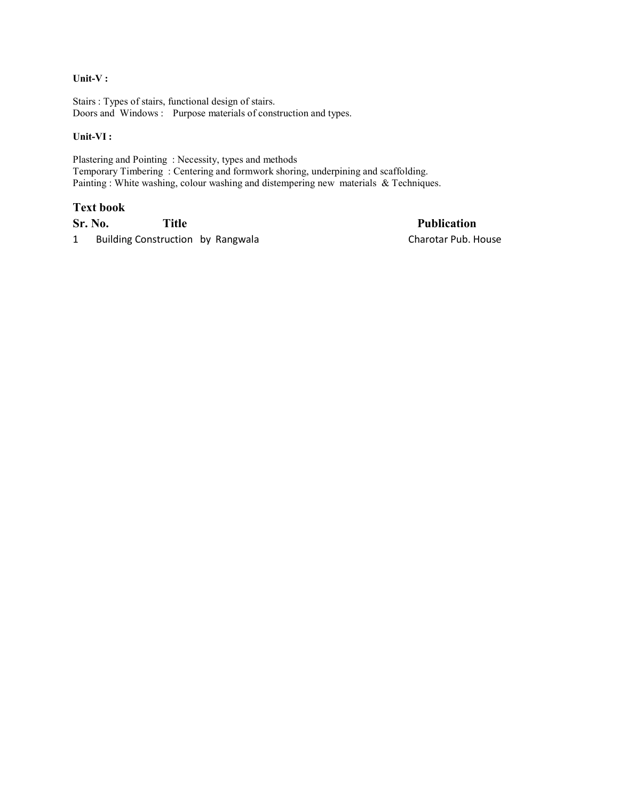#### **Unit-V :**

Stairs : Types of stairs, functional design of stairs. Doors and Windows : Purpose materials of construction and types.

#### **Unit-VI :**

Plastering and Pointing : Necessity, types and methods Temporary Timbering : Centering and formwork shoring, underpining and scaffolding. Painting : White washing, colour washing and distempering new materials & Techniques.

#### **Text book**

| Sr. No. | Title                             | <b>Publication</b>  |
|---------|-----------------------------------|---------------------|
|         | Building Construction by Rangwala | Charotar Pub. House |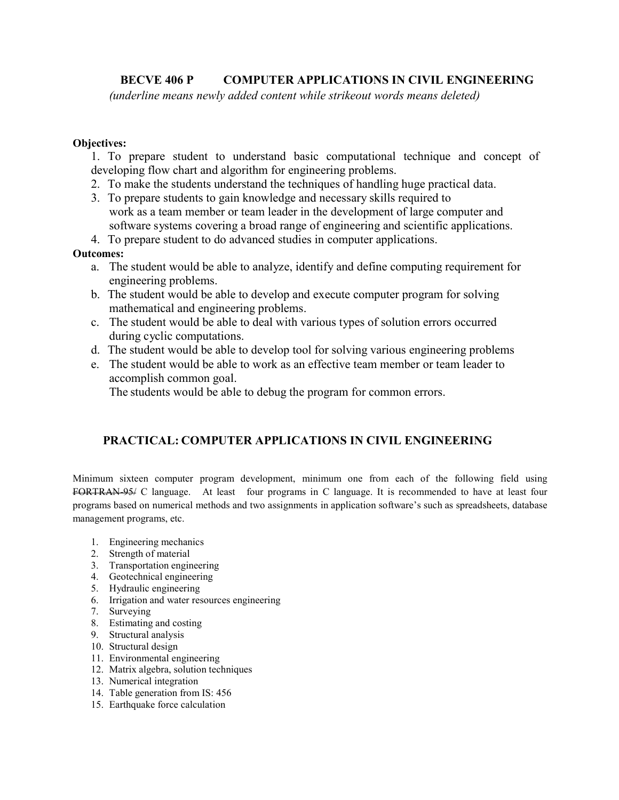## **BECVE 406 P COMPUTER APPLICATIONS IN CIVIL ENGINEERING**

*(underline means newly added content while strikeout words means deleted)*

#### **Objectives:**

1. To prepare student to understand basic computational technique and concept of developing flow chart and algorithm for engineering problems.

- 2. To make the students understand the techniques of handling huge practical data.
- 3. To prepare students to gain knowledge and necessary skills required to work as a team member or team leader in the development of large computer and software systems covering a broad range of engineering and scientific applications.
- 4. To prepare student to do advanced studies in computer applications.

#### **Outcomes:**

- a. The student would be able to analyze, identify and define computing requirement for engineering problems.
- b. The student would be able to develop and execute computer program for solving mathematical and engineering problems.
- c. The student would be able to deal with various types of solution errors occurred during cyclic computations.
- d. The student would be able to develop tool for solving various engineering problems
- e. The student would be able to work as an effective team member or team leader to accomplish common goal.

The students would be able to debug the program for common errors.

## **PRACTICAL: COMPUTER APPLICATIONS IN CIVIL ENGINEERING**

Minimum sixteen computer program development, minimum one from each of the following field using FORTRAN-95/ C language. At least four programs in C language. It is recommended to have at least four programs based on numerical methods and two assignments in application software's such as spreadsheets, database management programs, etc.

- 1. Engineering mechanics
- 2. Strength of material
- 3. Transportation engineering
- 4. Geotechnical engineering
- 5. Hydraulic engineering
- 6. Irrigation and water resources engineering
- 7. Surveying
- 8. Estimating and costing
- 9. Structural analysis
- 10. Structural design
- 11. Environmental engineering
- 12. Matrix algebra, solution techniques
- 13. Numerical integration
- 14. Table generation from IS: 456
- 15. Earthquake force calculation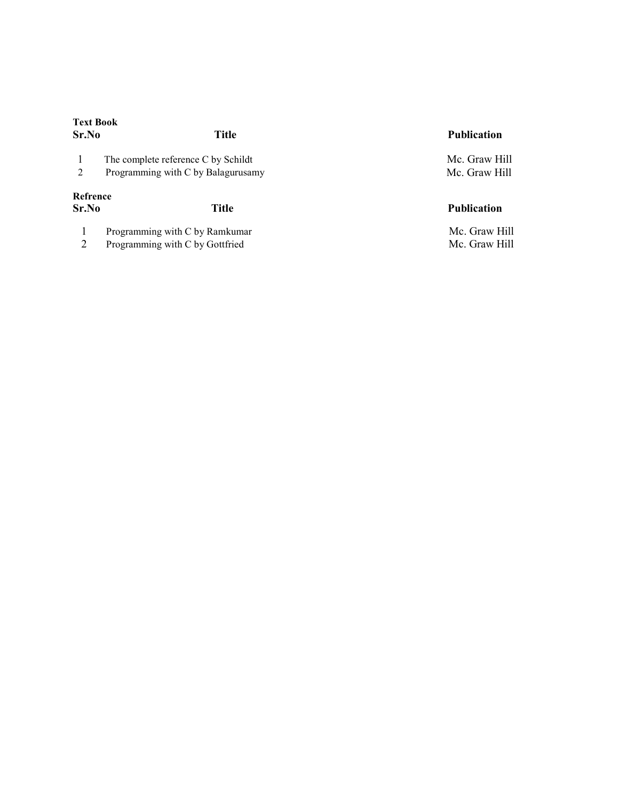| <b>Text Book</b> |                                     |                    |
|------------------|-------------------------------------|--------------------|
| Sr.No            | Title                               | <b>Publication</b> |
| -1               | The complete reference C by Schildt | Mc. Graw Hill      |
| 2                | Programming with C by Balagurusamy  | Mc. Graw Hill      |
| Refrence         |                                     |                    |
| Sr.No            | <b>Title</b>                        | <b>Publication</b> |
|                  | Programming with C by Ramkumar      | Mc. Graw Hill      |
| 2                | Programming with C by Gottfried     | Mc. Graw Hill      |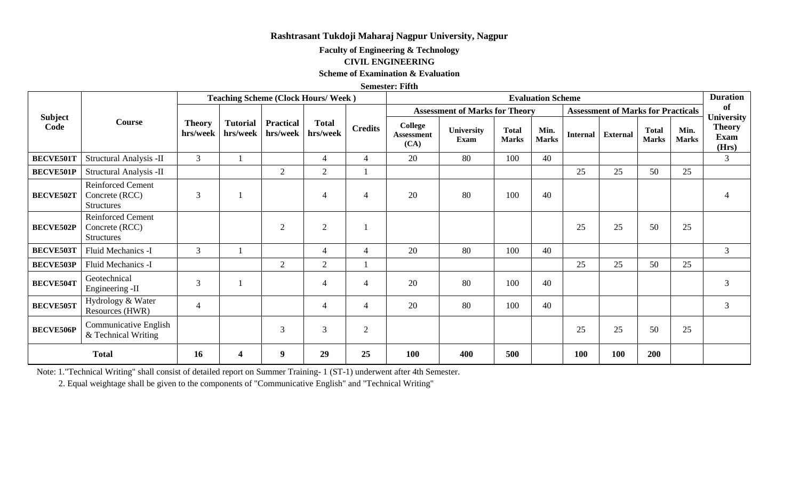## **Rashtrasant Tukdoji Maharaj Nagpur University, Nagpur**

**Faculty of Engineering & Technology**

### **CIVIL ENGINEERING**

## **Scheme of Examination & Evaluation**

### **Semester: Fifth**

|                        |                                                          | <b>Teaching Scheme (Clock Hours/Week)</b> |                             |                              |                          |                | <b>Evaluation Scheme</b>              |                                  |                                           |                      |                 |                 |                              | <b>Duration</b>      |                                                     |
|------------------------|----------------------------------------------------------|-------------------------------------------|-----------------------------|------------------------------|--------------------------|----------------|---------------------------------------|----------------------------------|-------------------------------------------|----------------------|-----------------|-----------------|------------------------------|----------------------|-----------------------------------------------------|
|                        |                                                          |                                           |                             |                              |                          |                | <b>Assessment of Marks for Theory</b> |                                  | <b>Assessment of Marks for Practicals</b> |                      |                 |                 | of                           |                      |                                                     |
| <b>Subject</b><br>Code | Course                                                   | <b>Theory</b><br>hrs/week                 | <b>Tutorial</b><br>hrs/week | <b>Practical</b><br>hrs/week | <b>Total</b><br>hrs/week | <b>Credits</b> | College<br><b>Assessment</b><br>(CA)  | <b>University</b><br><b>Exam</b> | <b>Total</b><br><b>Marks</b>              | Min.<br><b>Marks</b> | <b>Internal</b> | <b>External</b> | <b>Total</b><br><b>Marks</b> | Min.<br><b>Marks</b> | University<br><b>Theory</b><br><b>Exam</b><br>(Hrs) |
| <b>BECVE501T</b>       | Structural Analysis -II                                  | 3                                         |                             |                              | $\overline{4}$           | 4              | 20                                    | 80                               | 100                                       | 40                   |                 |                 |                              |                      | 3                                                   |
| <b>BECVE501P</b>       | Structural Analysis -II                                  |                                           |                             | $\overline{2}$               | 2                        |                |                                       |                                  |                                           |                      | 25              | 25              | 50                           | 25                   |                                                     |
| <b>BECVE502T</b>       | Reinforced Cement<br>Concrete (RCC)<br><b>Structures</b> | 3                                         |                             |                              | $\overline{4}$           | 4              | 20                                    | 80                               | 100                                       | 40                   |                 |                 |                              |                      | $\overline{4}$                                      |
| <b>BECVE502P</b>       | Reinforced Cement<br>Concrete (RCC)<br><b>Structures</b> |                                           |                             | $\overline{2}$               | $\overline{2}$           |                |                                       |                                  |                                           |                      | 25              | 25              | 50                           | 25                   |                                                     |
| <b>BECVE503T</b>       | Fluid Mechanics -I                                       | $\overline{3}$                            |                             |                              | $\overline{4}$           | $\overline{4}$ | 20                                    | 80                               | 100                                       | 40                   |                 |                 |                              |                      | 3                                                   |
| <b>BECVE503P</b>       | Fluid Mechanics -I                                       |                                           |                             | $\overline{2}$               | 2                        |                |                                       |                                  |                                           |                      | 25              | 25              | 50                           | 25                   |                                                     |
| <b>BECVE504T</b>       | Geotechnical<br>Engineering -II                          | 3                                         |                             |                              | $\overline{4}$           |                | 20                                    | 80                               | 100                                       | 40                   |                 |                 |                              |                      | 3                                                   |
| <b>BECVE505T</b>       | Hydrology & Water<br>Resources (HWR)                     | $\overline{4}$                            |                             |                              | $\overline{4}$           |                | 20                                    | 80                               | 100                                       | 40                   |                 |                 |                              |                      | 3                                                   |
| <b>BECVE506P</b>       | Communicative English<br>& Technical Writing             |                                           |                             | 3                            | 3                        | $\overline{2}$ |                                       |                                  |                                           |                      | 25              | 25              | 50                           | 25                   |                                                     |
| <b>Total</b>           |                                                          | 16                                        | 4                           | 9                            | 29                       | 25             | 100                                   | 400                              | 500                                       |                      | 100             | 100             | 200                          |                      |                                                     |

Note: 1."Technical Writing" shall consist of detailed report on Summer Training- 1 (ST-1) underwent after 4th Semester.

2. Equal weightage shall be given to the components of "Communicative English" and "Technical Writing"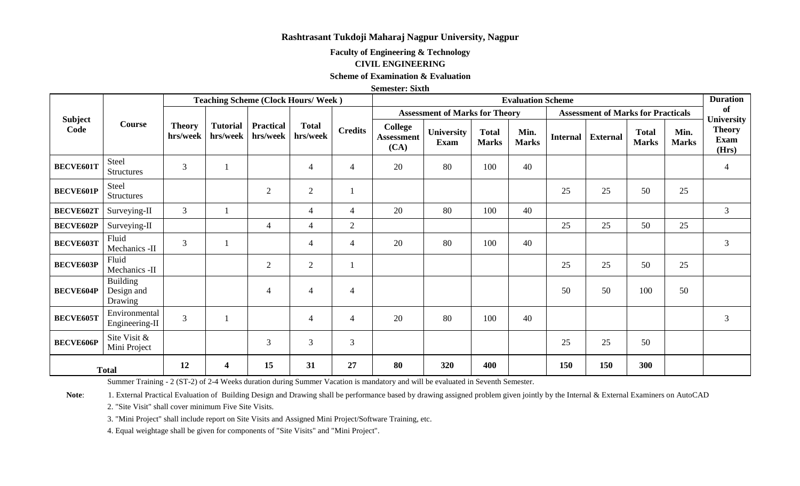## **Rashtrasant Tukdoji Maharaj Nagpur University, Nagpur**

**Faculty of Engineering & Technology**

#### **CIVIL ENGINEERING**

#### **Scheme of Examination & Evaluation**

#### **Semester: Sixth**

|                        | Course                                   | <b>Teaching Scheme (Clock Hours/Week)</b> |                             |                              |                          |                | <b>Evaluation Scheme</b>             |                                       |                              |                      |                                           |                 |                              | <b>Duration</b>      |                                                     |
|------------------------|------------------------------------------|-------------------------------------------|-----------------------------|------------------------------|--------------------------|----------------|--------------------------------------|---------------------------------------|------------------------------|----------------------|-------------------------------------------|-----------------|------------------------------|----------------------|-----------------------------------------------------|
|                        |                                          |                                           |                             |                              |                          |                |                                      | <b>Assessment of Marks for Theory</b> |                              |                      | <b>Assessment of Marks for Practicals</b> |                 |                              |                      | of                                                  |
| <b>Subject</b><br>Code |                                          | <b>Theory</b><br>hrs/week                 | <b>Tutorial</b><br>hrs/week | <b>Practical</b><br>hrs/week | <b>Total</b><br>hrs/week | <b>Credits</b> | <b>College</b><br>Assessment<br>(CA) | University<br><b>Exam</b>             | <b>Total</b><br><b>Marks</b> | Min.<br><b>Marks</b> | Internal                                  | <b>External</b> | <b>Total</b><br><b>Marks</b> | Min.<br><b>Marks</b> | University<br><b>Theory</b><br><b>Exam</b><br>(Hrs) |
| <b>BECVE601T</b>       | Steel<br><b>Structures</b>               | 3                                         |                             |                              | $\overline{4}$           | $\overline{4}$ | 20                                   | 80                                    | 100                          | 40                   |                                           |                 |                              |                      | 4                                                   |
| <b>BECVE601P</b>       | <b>Steel</b><br><b>Structures</b>        |                                           |                             | $\mathbf{2}$                 | $\overline{2}$           | $\mathbf{1}$   |                                      |                                       |                              |                      | 25                                        | 25              | 50                           | 25                   |                                                     |
| <b>BECVE602T</b>       | Surveying-II                             | 3                                         |                             |                              | $\overline{4}$           | 4              | 20                                   | 80                                    | 100                          | 40                   |                                           |                 |                              |                      | $\mathfrak{Z}$                                      |
| <b>BECVE602P</b>       | Surveying-II                             |                                           |                             | $\overline{4}$               | $\overline{4}$           | $\overline{2}$ |                                      |                                       |                              |                      | 25                                        | 25              | 50                           | 25                   |                                                     |
| <b>BECVE603T</b>       | Fluid<br>Mechanics -II                   | $\mathfrak{Z}$                            |                             |                              | 4                        | $\overline{4}$ | 20                                   | 80                                    | 100                          | 40                   |                                           |                 |                              |                      | $\mathfrak{Z}$                                      |
| <b>BECVE603P</b>       | Fluid<br>Mechanics -II                   |                                           |                             | $\mathfrak{2}$               | $\overline{2}$           |                |                                      |                                       |                              |                      | 25                                        | 25              | 50                           | 25                   |                                                     |
| <b>BECVE604P</b>       | <b>Building</b><br>Design and<br>Drawing |                                           |                             | $\overline{4}$               | $\overline{4}$           | $\overline{4}$ |                                      |                                       |                              |                      | 50                                        | 50              | 100                          | 50                   |                                                     |
| <b>BECVE605T</b>       | Environmental<br>Engineering-II          | 3                                         |                             |                              | $\overline{4}$           | $\overline{4}$ | 20                                   | 80                                    | 100                          | 40                   |                                           |                 |                              |                      | 3                                                   |
| <b>BECVE606P</b>       | Site Visit &<br>Mini Project             |                                           |                             | 3                            | $\mathfrak{Z}$           | 3              |                                      |                                       |                              |                      | 25                                        | 25              | 50                           |                      |                                                     |
| <b>Total</b>           |                                          | 12                                        | 4                           | 15                           | 31                       | 27             | 80                                   | 320                                   | 400                          |                      | 150                                       | 150             | 300                          |                      |                                                     |

Summer Training - 2 (ST-2) of 2-4 Weeks duration during Summer Vacation is mandatory and will be evaluated in Seventh Semester.

Note: 1. External Practical Evaluation of Building Design and Drawing shall be performance based by drawing assigned problem given jointly by the Internal & External Examiners on AutoCAD

2. "Site Visit" shall cover minimum Five Site Visits.

3. "Mini Project" shall include report on Site Visits and Assigned Mini Project/Software Training, etc.

4. Equal weightage shall be given for components of "Site Visits" and "Mini Project".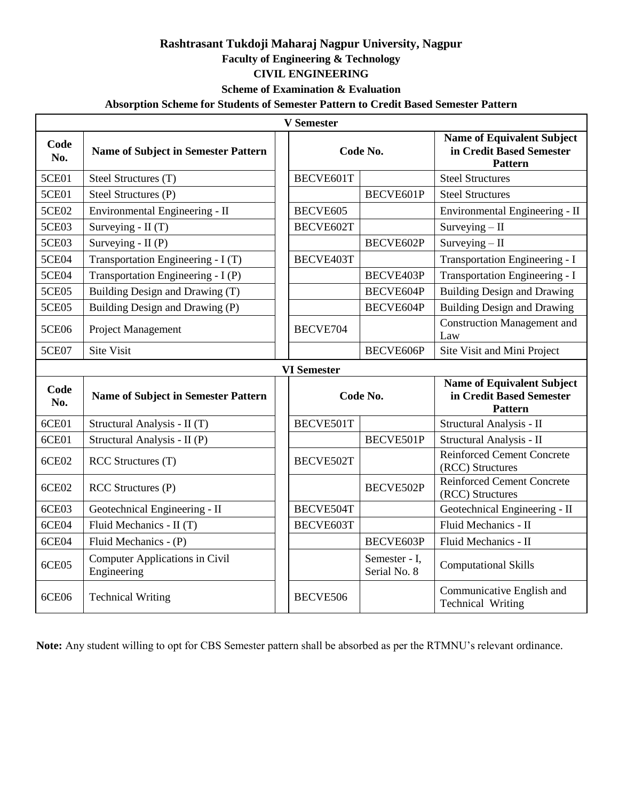## **Rashtrasant Tukdoji Maharaj Nagpur University, Nagpur Faculty of Engineering & Technology CIVIL ENGINEERING**

#### **Scheme of Examination & Evaluation**

## **Absorption Scheme for Students of Semester Pattern to Credit Based Semester Pattern**

| <b>V</b> Semester |                                               |  |                    |                               |                                                                                 |  |  |  |  |
|-------------------|-----------------------------------------------|--|--------------------|-------------------------------|---------------------------------------------------------------------------------|--|--|--|--|
| Code<br>No.       | <b>Name of Subject in Semester Pattern</b>    |  |                    | Code No.                      | <b>Name of Equivalent Subject</b><br>in Credit Based Semester<br><b>Pattern</b> |  |  |  |  |
| 5CE01             | Steel Structures (T)                          |  | BECVE601T          |                               | <b>Steel Structures</b>                                                         |  |  |  |  |
| 5CE01             | Steel Structures (P)                          |  |                    | BECVE601P                     | <b>Steel Structures</b>                                                         |  |  |  |  |
| 5CE02             | Environmental Engineering - II                |  | BECVE605           |                               | Environmental Engineering - II                                                  |  |  |  |  |
| 5CE03             | Surveying - II (T)                            |  | BECVE602T          |                               | $Surveying - II$                                                                |  |  |  |  |
| 5CE03             | Surveying - II (P)                            |  |                    | BECVE602P                     | $Surveying - II$                                                                |  |  |  |  |
| 5CE04             | Transportation Engineering - I (T)            |  | <b>BECVE403T</b>   |                               | Transportation Engineering - I                                                  |  |  |  |  |
| 5CE04             | Transportation Engineering - I (P)            |  |                    | BECVE403P                     | Transportation Engineering - I                                                  |  |  |  |  |
| 5CE05             | Building Design and Drawing (T)               |  |                    | BECVE604P                     | <b>Building Design and Drawing</b>                                              |  |  |  |  |
| 5CE05             | Building Design and Drawing (P)               |  |                    | BECVE604P                     | <b>Building Design and Drawing</b>                                              |  |  |  |  |
| 5CE06             | <b>Project Management</b>                     |  | BECVE704           |                               | <b>Construction Management and</b><br>Law                                       |  |  |  |  |
| 5CE07             | <b>Site Visit</b>                             |  |                    | BECVE606P                     | Site Visit and Mini Project                                                     |  |  |  |  |
|                   |                                               |  | <b>VI</b> Semester |                               |                                                                                 |  |  |  |  |
| Code<br>No.       | <b>Name of Subject in Semester Pattern</b>    |  |                    | Code No.                      | <b>Name of Equivalent Subject</b><br>in Credit Based Semester<br><b>Pattern</b> |  |  |  |  |
| 6CE01             | Structural Analysis - II (T)                  |  | BECVE501T          |                               | Structural Analysis - II                                                        |  |  |  |  |
| 6CE01             | Structural Analysis - II (P)                  |  |                    | BECVE501P                     | Structural Analysis - II                                                        |  |  |  |  |
| 6CE02             | RCC Structures (T)                            |  | BECVE502T          |                               | <b>Reinforced Cement Concrete</b><br>(RCC) Structures                           |  |  |  |  |
| 6CE02             | RCC Structures (P)                            |  |                    | BECVE502P                     | <b>Reinforced Cement Concrete</b><br>(RCC) Structures                           |  |  |  |  |
| 6CE03             | Geotechnical Engineering - II                 |  | BECVE504T          |                               | Geotechnical Engineering - II                                                   |  |  |  |  |
| 6CE04             | Fluid Mechanics - II (T)                      |  | BECVE603T          |                               | Fluid Mechanics - II                                                            |  |  |  |  |
| 6CE04             | Fluid Mechanics - (P)                         |  |                    | BECVE603P                     | Fluid Mechanics - II                                                            |  |  |  |  |
| 6CE05             | Computer Applications in Civil<br>Engineering |  |                    | Semester - I,<br>Serial No. 8 | <b>Computational Skills</b>                                                     |  |  |  |  |
| 6CE06             | <b>Technical Writing</b>                      |  | BECVE506           |                               | Communicative English and<br><b>Technical Writing</b>                           |  |  |  |  |

**Note:** Any student willing to opt for CBS Semester pattern shall be absorbed as per the RTMNU's relevant ordinance.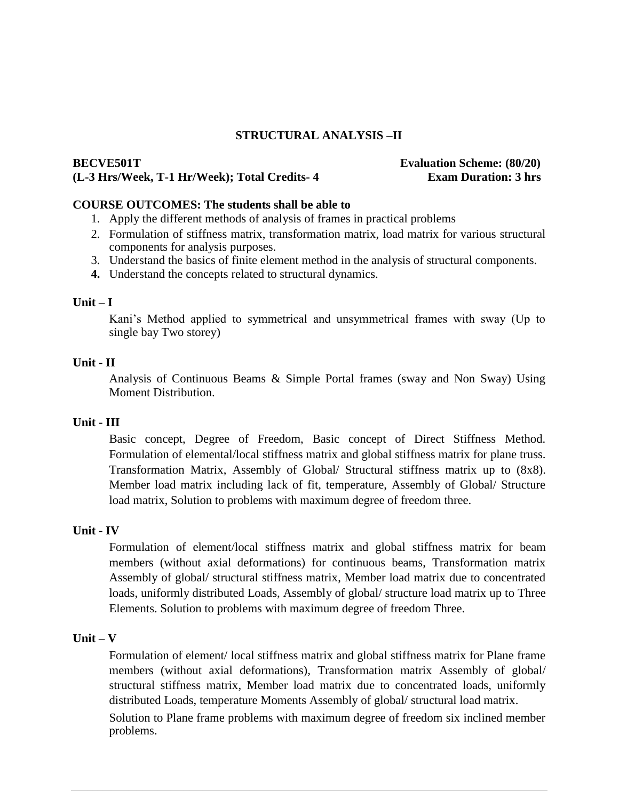## **STRUCTURAL ANALYSIS –II**

#### **BECVE501T Evaluation Scheme: (80/20) (L-3 Hrs/Week, T-1 Hr/Week); Total Credits- 4 Exam Duration: 3 hrs**

## **COURSE OUTCOMES: The students shall be able to**

- 1. Apply the different methods of analysis of frames in practical problems
- 2. Formulation of stiffness matrix, transformation matrix, load matrix for various structural components for analysis purposes.
- 3. Understand the basics of finite element method in the analysis of structural components.
- **4.** Understand the concepts related to structural dynamics.

#### $Unit - I$

Kani's Method applied to symmetrical and unsymmetrical frames with sway (Up to single bay Two storey)

#### **Unit - II**

Analysis of Continuous Beams & Simple Portal frames (sway and Non Sway) Using Moment Distribution.

### **Unit - III**

Basic concept, Degree of Freedom, Basic concept of Direct Stiffness Method. Formulation of elemental/local stiffness matrix and global stiffness matrix for plane truss. Transformation Matrix, Assembly of Global/ Structural stiffness matrix up to (8x8). Member load matrix including lack of fit, temperature, Assembly of Global/ Structure load matrix, Solution to problems with maximum degree of freedom three.

## **Unit - IV**

Formulation of element/local stiffness matrix and global stiffness matrix for beam members (without axial deformations) for continuous beams, Transformation matrix Assembly of global/ structural stiffness matrix, Member load matrix due to concentrated loads, uniformly distributed Loads, Assembly of global/ structure load matrix up to Three Elements. Solution to problems with maximum degree of freedom Three.

#### $\textbf{Unit} - \textbf{V}$

Formulation of element/ local stiffness matrix and global stiffness matrix for Plane frame members (without axial deformations), Transformation matrix Assembly of global/ structural stiffness matrix, Member load matrix due to concentrated loads, uniformly distributed Loads, temperature Moments Assembly of global/ structural load matrix.

Solution to Plane frame problems with maximum degree of freedom six inclined member problems.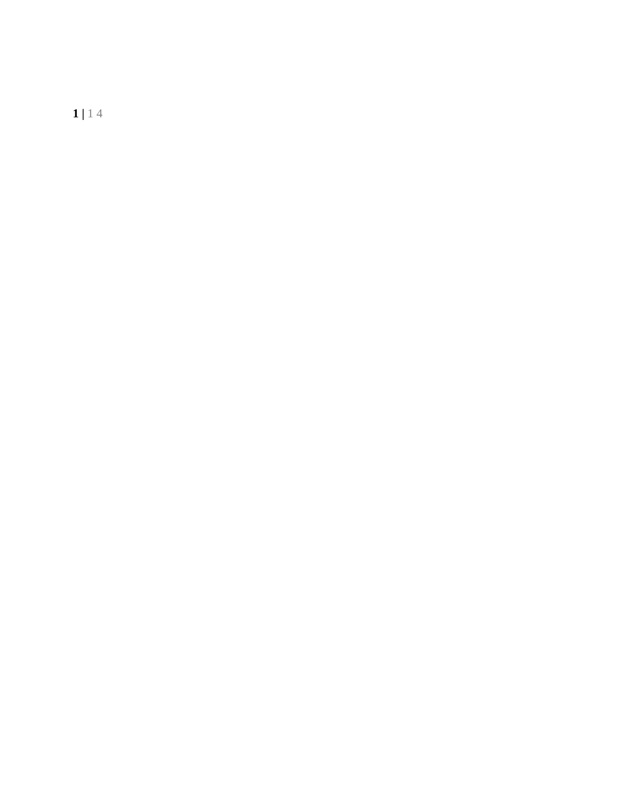**1** |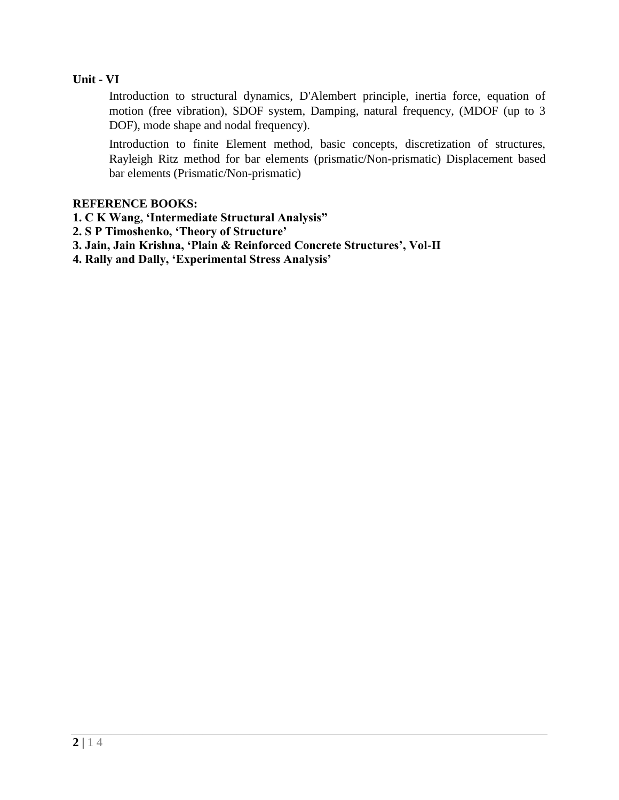## **Unit - VI**

Introduction to structural dynamics, D'Alembert principle, inertia force, equation of motion (free vibration), SDOF system, Damping, natural frequency, (MDOF (up to 3 DOF), mode shape and nodal frequency).

Introduction to finite Element method, basic concepts, discretization of structures, Rayleigh Ritz method for bar elements (prismatic/Non-prismatic) Displacement based bar elements (Prismatic/Non-prismatic)

### **REFERENCE BOOKS:**

- **1. C K Wang, 'Intermediate Structural Analysis"**
- **2. S P Timoshenko, 'Theory of Structure'**
- **3. Jain, Jain Krishna, 'Plain & Reinforced Concrete Structures', Vol-II**
- **4. Rally and Dally, 'Experimental Stress Analysis'**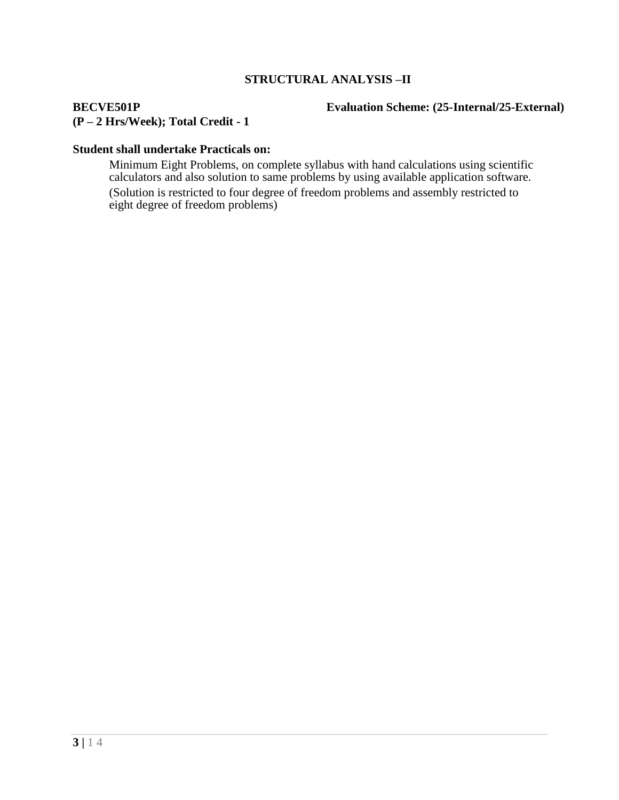## **STRUCTURAL ANALYSIS –II**

# **(P – 2 Hrs/Week); Total Credit - 1**

#### **BECVE501P Evaluation Scheme: (25-Internal/25-External)**

## **Student shall undertake Practicals on:**

Minimum Eight Problems, on complete syllabus with hand calculations using scientific calculators and also solution to same problems by using available application software. (Solution is restricted to four degree of freedom problems and assembly restricted to eight degree of freedom problems)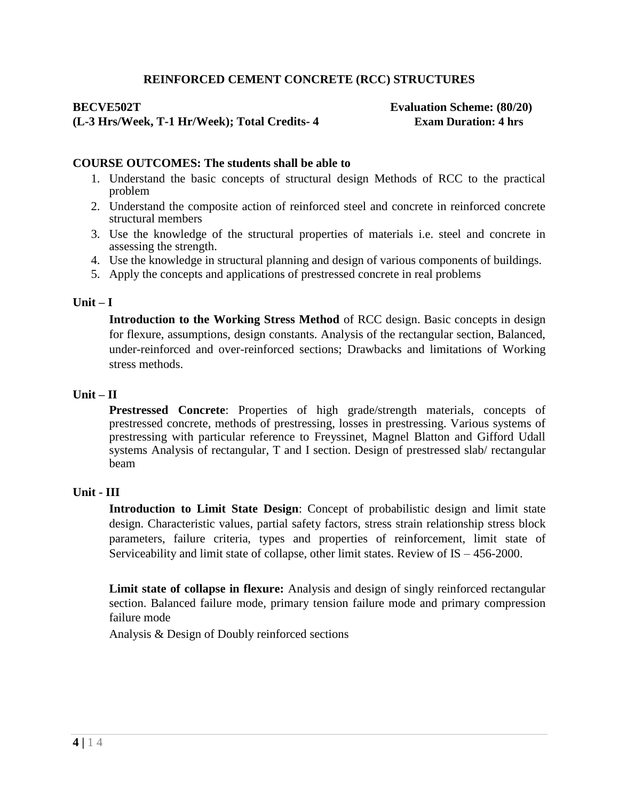## **REINFORCED CEMENT CONCRETE (RCC) STRUCTURES**

## **BECVE502T Evaluation Scheme: (80/20) (L-3 Hrs/Week, T-1 Hr/Week); Total Credits- 4 Exam Duration: 4 hrs**

### **COURSE OUTCOMES: The students shall be able to**

- 1. Understand the basic concepts of structural design Methods of RCC to the practical problem
- 2. Understand the composite action of reinforced steel and concrete in reinforced concrete structural members
- 3. Use the knowledge of the structural properties of materials i.e. steel and concrete in assessing the strength.
- 4. Use the knowledge in structural planning and design of various components of buildings.
- 5. Apply the concepts and applications of prestressed concrete in real problems

#### $Unit - I$

**Introduction to the Working Stress Method** of RCC design. Basic concepts in design for flexure, assumptions, design constants. Analysis of the rectangular section, Balanced, under-reinforced and over-reinforced sections; Drawbacks and limitations of Working stress methods.

### **Unit – II**

**Prestressed Concrete**: Properties of high grade/strength materials, concepts of prestressed concrete, methods of prestressing, losses in prestressing. Various systems of prestressing with particular reference to Freyssinet, Magnel Blatton and Gifford Udall systems Analysis of rectangular, T and I section. Design of prestressed slab/ rectangular beam

## **Unit - III**

**Introduction to Limit State Design**: Concept of probabilistic design and limit state design. Characteristic values, partial safety factors, stress strain relationship stress block parameters, failure criteria, types and properties of reinforcement, limit state of Serviceability and limit state of collapse, other limit states. Review of IS – 456-2000.

Limit state of collapse in flexure: Analysis and design of singly reinforced rectangular section. Balanced failure mode, primary tension failure mode and primary compression failure mode

Analysis & Design of Doubly reinforced sections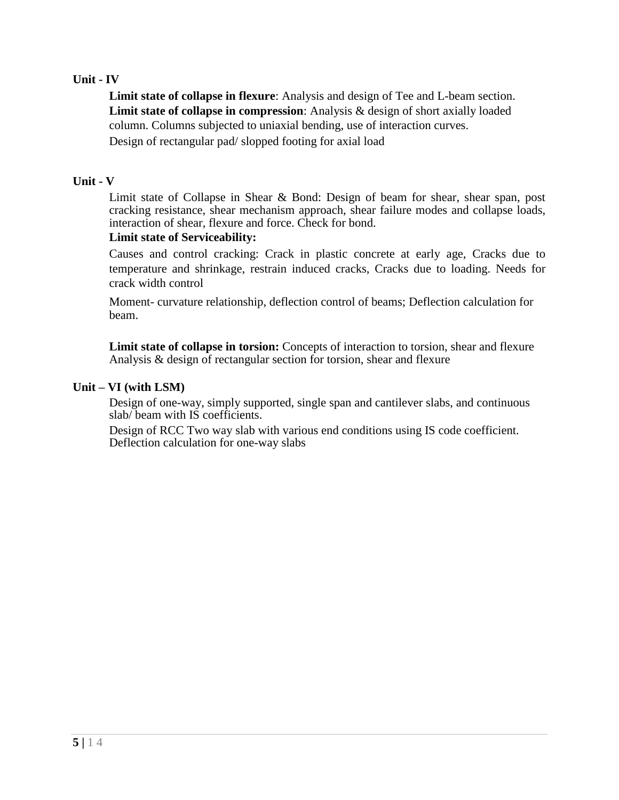# **Unit - IV**

**Limit state of collapse in flexure**: Analysis and design of Tee and L-beam section. **Limit state of collapse in compression**: Analysis & design of short axially loaded column. Columns subjected to uniaxial bending, use of interaction curves.

Design of rectangular pad/ slopped footing for axial load

# **Unit - V**

Limit state of Collapse in Shear & Bond: Design of beam for shear, shear span, post cracking resistance, shear mechanism approach, shear failure modes and collapse loads, interaction of shear, flexure and force. Check for bond.

# **Limit state of Serviceability:**

Causes and control cracking: Crack in plastic concrete at early age, Cracks due to temperature and shrinkage, restrain induced cracks, Cracks due to loading. Needs for crack width control

Moment- curvature relationship, deflection control of beams; Deflection calculation for beam.

**Limit state of collapse in torsion:** Concepts of interaction to torsion, shear and flexure Analysis & design of rectangular section for torsion, shear and flexure

#### **Unit – VI (with LSM)**

Design of one-way, simply supported, single span and cantilever slabs, and continuous slab/ beam with IS coefficients.

Design of RCC Two way slab with various end conditions using IS code coefficient. Deflection calculation for one-way slabs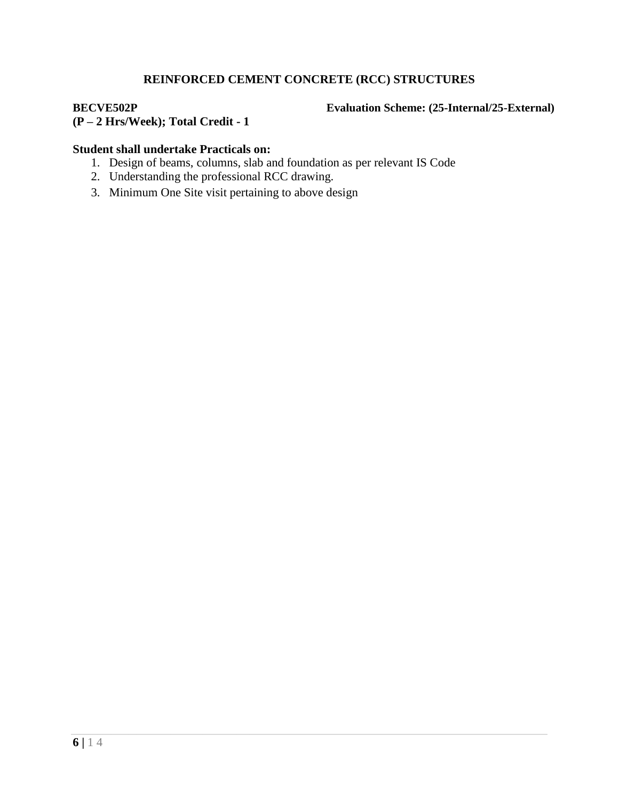# **REINFORCED CEMENT CONCRETE (RCC) STRUCTURES**

# **BECVE502P Evaluation Scheme: (25-Internal/25-External)**

**(P – 2 Hrs/Week); Total Credit - 1**

# **Student shall undertake Practicals on:**

- 1. Design of beams, columns, slab and foundation as per relevant IS Code
- 2. Understanding the professional RCC drawing.
- 3. Minimum One Site visit pertaining to above design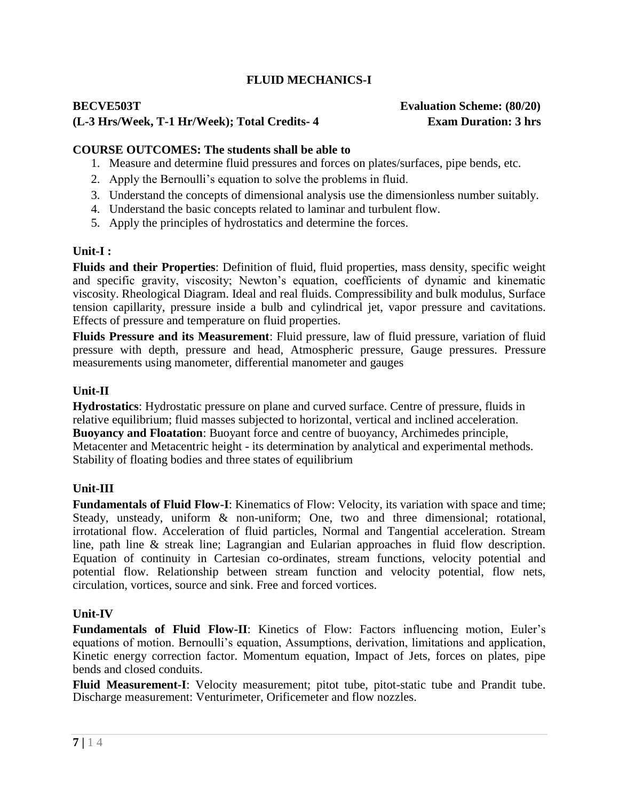# **FLUID MECHANICS-I**

# **BECVE503T Evaluation Scheme: (80/20) (L-3 Hrs/Week, T-1 Hr/Week); Total Credits- 4 Exam Duration: 3 hrs**

# **COURSE OUTCOMES: The students shall be able to**

- 1. Measure and determine fluid pressures and forces on plates/surfaces, pipe bends, etc.
- 2. Apply the Bernoulli's equation to solve the problems in fluid.
- 3. Understand the concepts of dimensional analysis use the dimensionless number suitably.
- 4. Understand the basic concepts related to laminar and turbulent flow.
- 5. Apply the principles of hydrostatics and determine the forces.

# **Unit-I :**

**Fluids and their Properties**: Definition of fluid, fluid properties, mass density, specific weight and specific gravity, viscosity; Newton's equation, coefficients of dynamic and kinematic viscosity. Rheological Diagram. Ideal and real fluids. Compressibility and bulk modulus, Surface tension capillarity, pressure inside a bulb and cylindrical jet, vapor pressure and cavitations. Effects of pressure and temperature on fluid properties.

**Fluids Pressure and its Measurement**: Fluid pressure, law of fluid pressure, variation of fluid pressure with depth, pressure and head, Atmospheric pressure, Gauge pressures. Pressure measurements using manometer, differential manometer and gauges

# **Unit-II**

**Hydrostatics**: Hydrostatic pressure on plane and curved surface. Centre of pressure, fluids in relative equilibrium; fluid masses subjected to horizontal, vertical and inclined acceleration. **Buoyancy and Floatation**: Buoyant force and centre of buoyancy, Archimedes principle, Metacenter and Metacentric height - its determination by analytical and experimental methods. Stability of floating bodies and three states of equilibrium

# **Unit-III**

**Fundamentals of Fluid Flow-I**: Kinematics of Flow: Velocity, its variation with space and time; Steady, unsteady, uniform & non-uniform; One, two and three dimensional; rotational, irrotational flow. Acceleration of fluid particles, Normal and Tangential acceleration. Stream line, path line & streak line; Lagrangian and Eularian approaches in fluid flow description. Equation of continuity in Cartesian co-ordinates, stream functions, velocity potential and potential flow. Relationship between stream function and velocity potential, flow nets, circulation, vortices, source and sink. Free and forced vortices.

# **Unit-IV**

**Fundamentals of Fluid Flow-II**: Kinetics of Flow: Factors influencing motion, Euler's equations of motion. Bernoulli's equation, Assumptions, derivation, limitations and application, Kinetic energy correction factor. Momentum equation, Impact of Jets, forces on plates, pipe bends and closed conduits.

**Fluid Measurement-I**: Velocity measurement; pitot tube, pitot-static tube and Prandit tube. Discharge measurement: Venturimeter, Orificemeter and flow nozzles.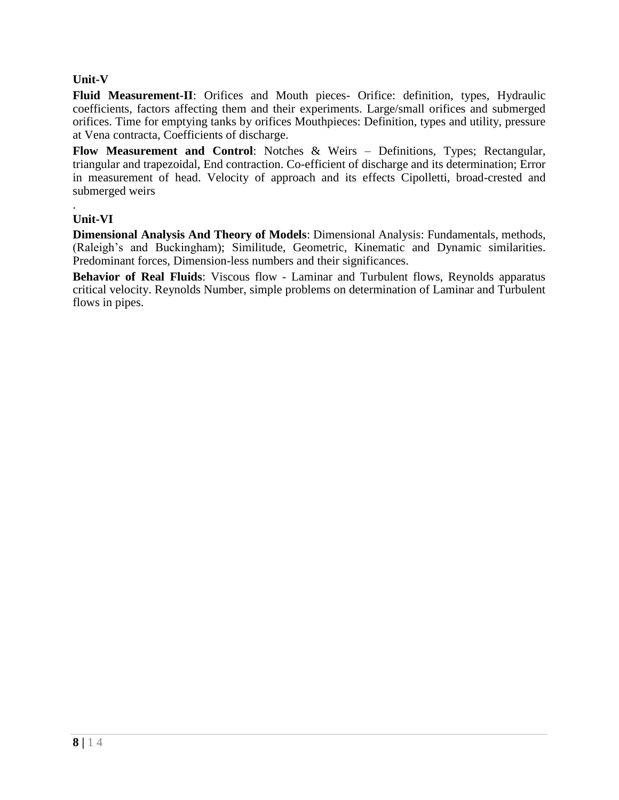# **Unit-V**

Fluid Measurement-II: Orifices and Mouth pieces- Orifice: definition, types, Hydraulic coefficients, factors affecting them and their experiments. Large/small orifices and submerged orifices. Time for emptying tanks by orifices Mouthpieces: Definition, types and utility, pressure at Vena contracta, Coefficients of discharge.

**Flow Measurement and Control**: Notches & Weirs – Definitions, Types; Rectangular, triangular and trapezoidal, End contraction. Co-efficient of discharge and its determination; Error in measurement of head. Velocity of approach and its effects Cipolletti, broad-crested and submerged weirs

# **Unit-VI**

.

**Dimensional Analysis And Theory of Models**: Dimensional Analysis: Fundamentals, methods, (Raleigh's and Buckingham); Similitude, Geometric, Kinematic and Dynamic similarities. Predominant forces, Dimension-less numbers and their significances.

**Behavior of Real Fluids**: Viscous flow - Laminar and Turbulent flows, Reynolds apparatus critical velocity. Reynolds Number, simple problems on determination of Laminar and Turbulent flows in pipes.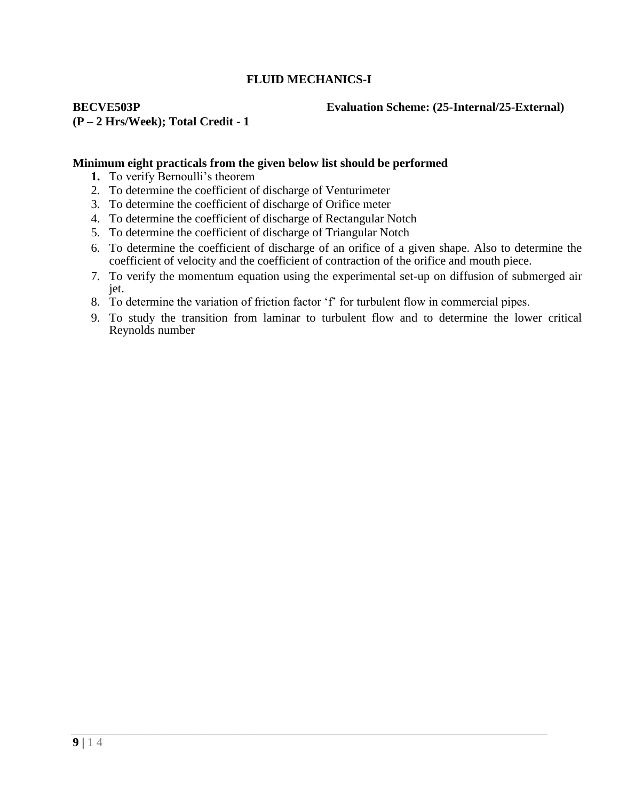# **FLUID MECHANICS-I**

# **(P – 2 Hrs/Week); Total Credit - 1**

**BECVE503P Evaluation Scheme: (25-Internal/25-External)**

#### **Minimum eight practicals from the given below list should be performed**

- **1.** To verify Bernoulli's theorem
- 2. To determine the coefficient of discharge of Venturimeter
- 3. To determine the coefficient of discharge of Orifice meter
- 4. To determine the coefficient of discharge of Rectangular Notch
- 5. To determine the coefficient of discharge of Triangular Notch
- 6. To determine the coefficient of discharge of an orifice of a given shape. Also to determine the coefficient of velocity and the coefficient of contraction of the orifice and mouth piece.
- 7. To verify the momentum equation using the experimental set-up on diffusion of submerged air jet.
- 8. To determine the variation of friction factor 'f' for turbulent flow in commercial pipes.
- 9. To study the transition from laminar to turbulent flow and to determine the lower critical Reynolds number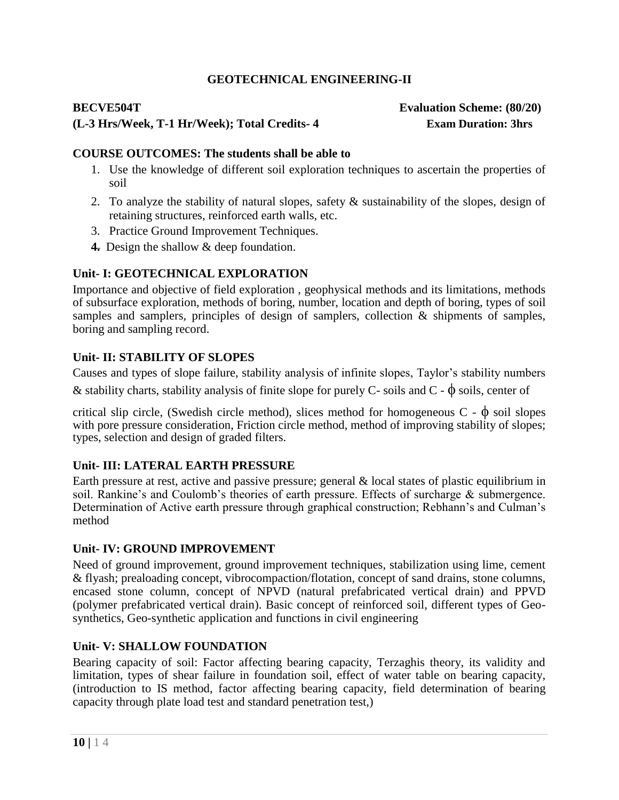# **GEOTECHNICAL ENGINEERING-II**

# **BECVE504T Evaluation Scheme: (80/20) (L-3 Hrs/Week, T-1 Hr/Week); Total Credits- 4 Exam Duration: 3hrs**

# **COURSE OUTCOMES: The students shall be able to**

- 1. Use the knowledge of different soil exploration techniques to ascertain the properties of soil
- 2. To analyze the stability of natural slopes, safety  $\&$  sustainability of the slopes, design of retaining structures, reinforced earth walls, etc.
- 3. Practice Ground Improvement Techniques.
- **4.** Design the shallow & deep foundation.

# **Unit- I: GEOTECHNICAL EXPLORATION**

Importance and objective of field exploration , geophysical methods and its limitations, methods of subsurface exploration, methods of boring, number, location and depth of boring, types of soil samples and samplers, principles of design of samplers, collection & shipments of samples, boring and sampling record.

# **Unit- II: STABILITY OF SLOPES**

Causes and types of slope failure, stability analysis of infinite slopes, Taylor's stability numbers

& stability charts, stability analysis of finite slope for purely C- soils and C -  $\phi$  soils, center of

critical slip circle, (Swedish circle method), slices method for homogeneous  $C - \phi$  soil slopes with pore pressure consideration, Friction circle method, method of improving stability of slopes; types, selection and design of graded filters.

# **Unit- III: LATERAL EARTH PRESSURE**

Earth pressure at rest, active and passive pressure; general & local states of plastic equilibrium in soil. Rankine's and Coulomb's theories of earth pressure. Effects of surcharge & submergence. Determination of Active earth pressure through graphical construction; Rebhann's and Culman's method

# **Unit- IV: GROUND IMPROVEMENT**

Need of ground improvement, ground improvement techniques, stabilization using lime, cement & flyash; prealoading concept, vibrocompaction/flotation, concept of sand drains, stone columns, encased stone column, concept of NPVD (natural prefabricated vertical drain) and PPVD (polymer prefabricated vertical drain). Basic concept of reinforced soil, different types of Geosynthetics, Geo-synthetic application and functions in civil engineering

# **Unit- V: SHALLOW FOUNDATION**

Bearing capacity of soil: Factor affecting bearing capacity, Terzaghis theory, its validity and limitation, types of shear failure in foundation soil, effect of water table on bearing capacity, (introduction to IS method, factor affecting bearing capacity, field determination of bearing capacity through plate load test and standard penetration test,)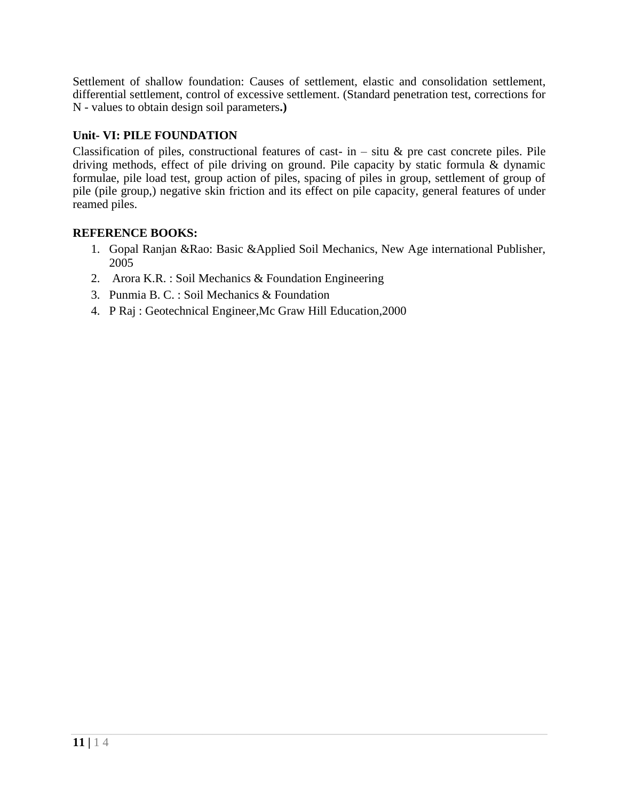Settlement of shallow foundation: Causes of settlement, elastic and consolidation settlement, differential settlement, control of excessive settlement. (Standard penetration test, corrections for N - values to obtain design soil parameters**.)**

# **Unit- VI: PILE FOUNDATION**

Classification of piles, constructional features of cast- in – situ  $\&$  pre cast concrete piles. Pile driving methods, effect of pile driving on ground. Pile capacity by static formula & dynamic formulae, pile load test, group action of piles, spacing of piles in group, settlement of group of pile (pile group,) negative skin friction and its effect on pile capacity, general features of under reamed piles.

# **REFERENCE BOOKS:**

- 1. Gopal Ranjan &Rao: Basic &Applied Soil Mechanics, New Age international Publisher, 2005
- 2. Arora K.R. : Soil Mechanics & Foundation Engineering
- 3. Punmia B. C. : Soil Mechanics & Foundation
- 4. P Raj : Geotechnical Engineer,Mc Graw Hill Education,2000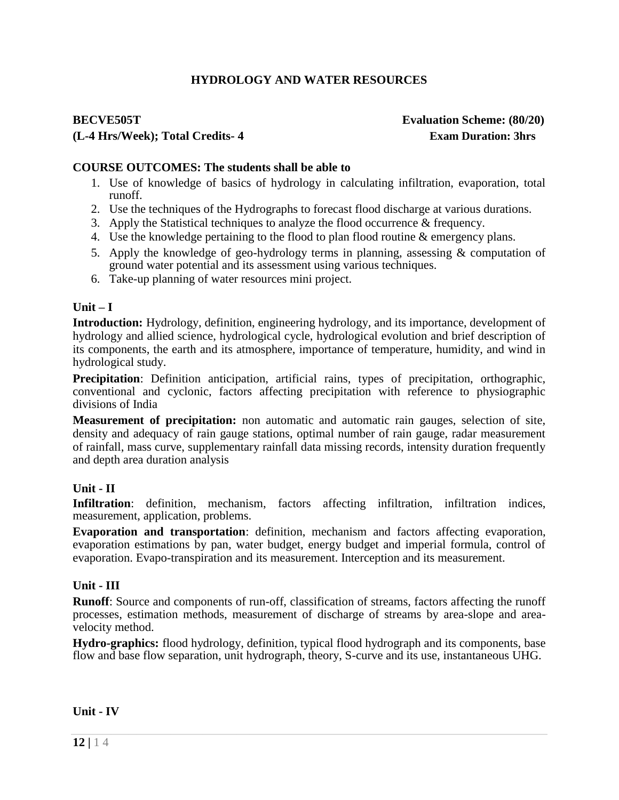# **HYDROLOGY AND WATER RESOURCES**

# **BECVE505T Evaluation Scheme: (80/20) (L-4 Hrs/Week); Total Credits- 4 Exam Duration: 3hrs**

# **COURSE OUTCOMES: The students shall be able to**

- 1. Use of knowledge of basics of hydrology in calculating infiltration, evaporation, total runoff.
- 2. Use the techniques of the Hydrographs to forecast flood discharge at various durations.
- 3. Apply the Statistical techniques to analyze the flood occurrence & frequency.
- 4. Use the knowledge pertaining to the flood to plan flood routine & emergency plans.
- 5. Apply the knowledge of geo-hydrology terms in planning, assessing & computation of ground water potential and its assessment using various techniques.
- 6. Take-up planning of water resources mini project.

# $Unit - I$

**Introduction:** Hydrology, definition, engineering hydrology, and its importance, development of hydrology and allied science, hydrological cycle, hydrological evolution and brief description of its components, the earth and its atmosphere, importance of temperature, humidity, and wind in hydrological study.

**Precipitation**: Definition anticipation, artificial rains, types of precipitation, orthographic, conventional and cyclonic, factors affecting precipitation with reference to physiographic divisions of India

**Measurement of precipitation:** non automatic and automatic rain gauges, selection of site, density and adequacy of rain gauge stations, optimal number of rain gauge, radar measurement of rainfall, mass curve, supplementary rainfall data missing records, intensity duration frequently and depth area duration analysis

# **Unit - II**

**Infiltration**: definition, mechanism, factors affecting infiltration, infiltration indices, measurement, application, problems.

**Evaporation and transportation**: definition, mechanism and factors affecting evaporation, evaporation estimations by pan, water budget, energy budget and imperial formula, control of evaporation. Evapo-transpiration and its measurement. Interception and its measurement.

# **Unit - III**

**Runoff**: Source and components of run-off, classification of streams, factors affecting the runoff processes, estimation methods, measurement of discharge of streams by area-slope and areavelocity method.

**Hydro-graphics:** flood hydrology, definition, typical flood hydrograph and its components, base flow and base flow separation, unit hydrograph, theory, S-curve and its use, instantaneous UHG.

**Unit - IV**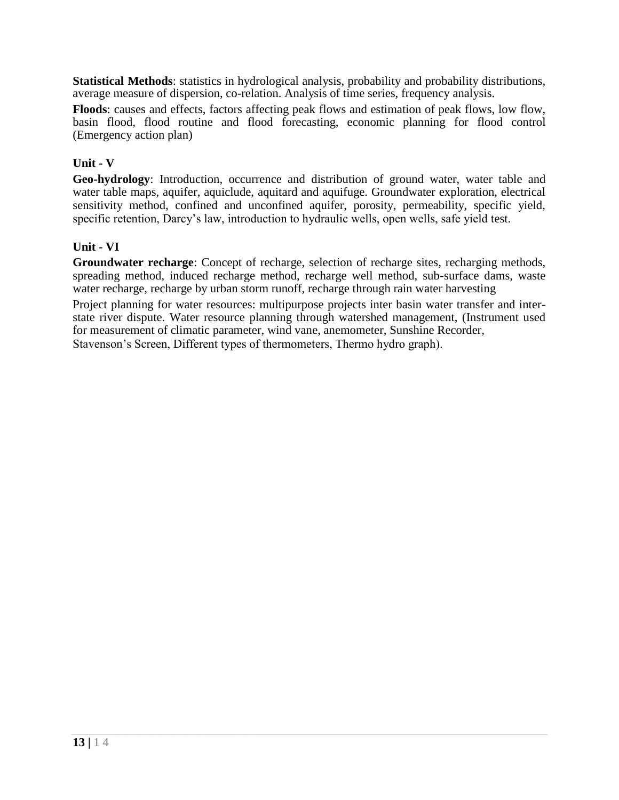**Statistical Methods**: statistics in hydrological analysis, probability and probability distributions, average measure of dispersion, co-relation. Analysis of time series, frequency analysis.

**Floods**: causes and effects, factors affecting peak flows and estimation of peak flows, low flow, basin flood, flood routine and flood forecasting, economic planning for flood control (Emergency action plan)

# **Unit - V**

**Geo-hydrology**: Introduction, occurrence and distribution of ground water, water table and water table maps, aquifer, aquiclude, aquitard and aquifuge. Groundwater exploration, electrical sensitivity method, confined and unconfined aquifer, porosity, permeability, specific yield, specific retention, Darcy's law, introduction to hydraulic wells, open wells, safe yield test.

# **Unit - VI**

**Groundwater recharge**: Concept of recharge, selection of recharge sites, recharging methods, spreading method, induced recharge method, recharge well method, sub-surface dams, waste water recharge, recharge by urban storm runoff, recharge through rain water harvesting

Project planning for water resources: multipurpose projects inter basin water transfer and interstate river dispute. Water resource planning through watershed management, (Instrument used for measurement of climatic parameter, wind vane, anemometer, Sunshine Recorder, Stavenson's Screen, Different types of thermometers, Thermo hydro graph).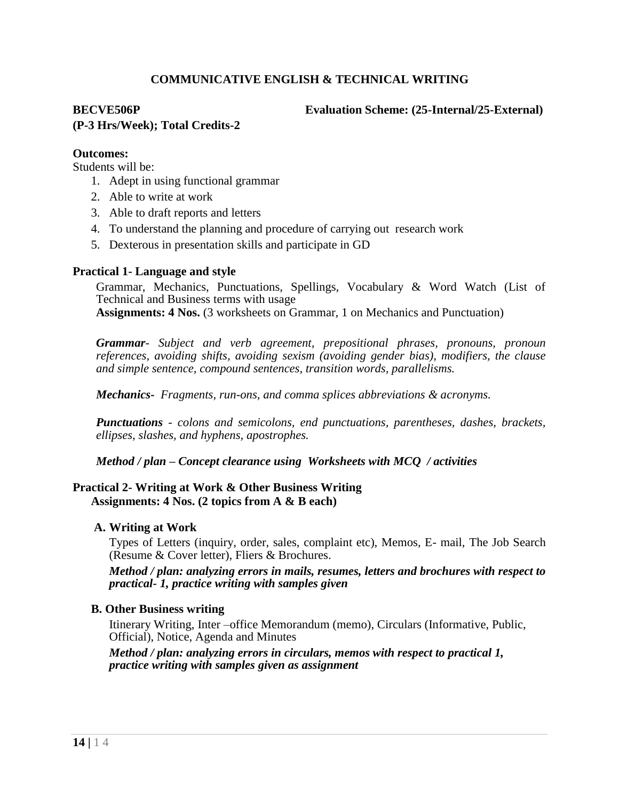# **COMMUNICATIVE ENGLISH & TECHNICAL WRITING**

**BECVE506P Evaluation Scheme: (25-Internal/25-External)**

# **(P-3 Hrs/Week); Total Credits-2**

#### **Outcomes:**

Students will be:

- 1. Adept in using functional grammar
- 2. Able to write at work
- 3. Able to draft reports and letters
- 4. To understand the planning and procedure of carrying out research work
- 5. Dexterous in presentation skills and participate in GD

#### **Practical 1- Language and style**

Grammar, Mechanics, Punctuations, Spellings, Vocabulary & Word Watch (List of Technical and Business terms with usage **Assignments: 4 Nos.** (3 worksheets on Grammar, 1 on Mechanics and Punctuation)

*Grammar- Subject and verb agreement, prepositional phrases, pronouns, pronoun references, avoiding shifts, avoiding sexism (avoiding gender bias), modifiers, the clause and simple sentence, compound sentences, transition words, parallelisms.*

*Mechanics- Fragments, run-ons, and comma splices abbreviations & acronyms.*

*Punctuations - colons and semicolons, end punctuations, parentheses, dashes, brackets, ellipses, slashes, and hyphens, apostrophes.*

*Method / plan – Concept clearance using Worksheets with MCQ / activities*

# **Practical 2- Writing at Work & Other Business Writing Assignments: 4 Nos. (2 topics from A & B each)**

# **A. Writing at Work**

Types of Letters (inquiry, order, sales, complaint etc), Memos, E- mail, The Job Search (Resume & Cover letter), Fliers & Brochures.

*Method / plan: analyzing errors in mails, resumes, letters and brochures with respect to practical- 1, practice writing with samples given* 

#### **B. Other Business writing**

Itinerary Writing, Inter –office Memorandum (memo), Circulars (Informative, Public, Official), Notice, Agenda and Minutes

*Method / plan: analyzing errors in circulars, memos with respect to practical 1, practice writing with samples given as assignment*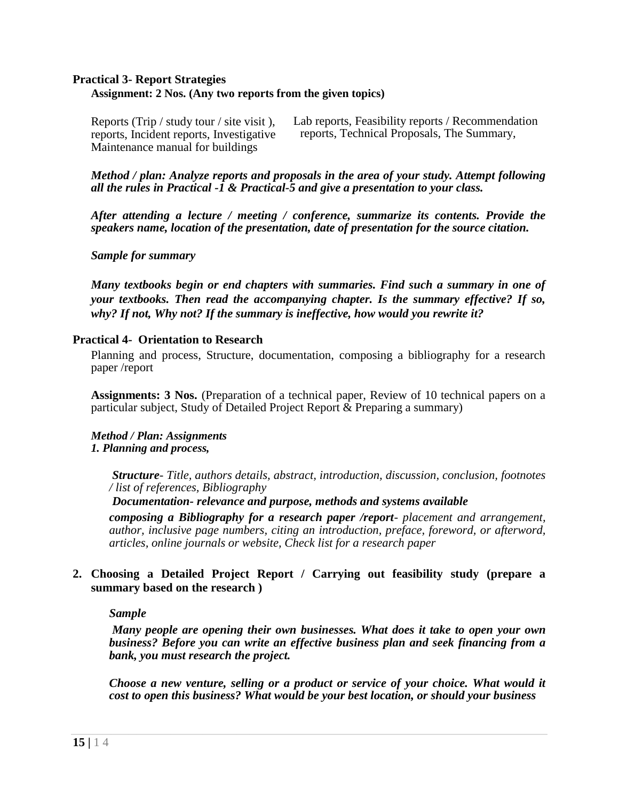#### **Practical 3- Report Strategies**

#### **Assignment: 2 Nos. (Any two reports from the given topics)**

Reports (Trip / study tour / site visit ), reports, Incident reports, Investigative Maintenance manual for buildings

Lab reports, Feasibility reports / Recommendation reports, Technical Proposals, The Summary,

*Method / plan: Analyze reports and proposals in the area of your study. Attempt following all the rules in Practical -1 & Practical-5 and give a presentation to your class.*

*After attending a lecture / meeting / conference, summarize its contents. Provide the speakers name, location of the presentation, date of presentation for the source citation.*

#### *Sample for summary*

*Many textbooks begin or end chapters with summaries. Find such a summary in one of your textbooks. Then read the accompanying chapter. Is the summary effective? If so, why? If not, Why not? If the summary is ineffective, how would you rewrite it?*

#### **Practical 4- Orientation to Research**

Planning and process, Structure, documentation, composing a bibliography for a research paper /report

**Assignments: 3 Nos.** (Preparation of a technical paper, Review of 10 technical papers on a particular subject, Study of Detailed Project Report & Preparing a summary)

#### *Method / Plan: Assignments 1. Planning and process,*

*Structure- Title, authors details, abstract, introduction, discussion, conclusion, footnotes / list of references, Bibliography*

#### *Documentation- relevance and purpose, methods and systems available*

*composing a Bibliography for a research paper /report- placement and arrangement, author, inclusive page numbers, citing an introduction, preface, foreword, or afterword, articles, online journals or website, Check list for a research paper*

# **2. Choosing a Detailed Project Report / Carrying out feasibility study (prepare a summary based on the research )**

#### *Sample*

*Many people are opening their own businesses. What does it take to open your own business? Before you can write an effective business plan and seek financing from a bank, you must research the project.*

*Choose a new venture, selling or a product or service of your choice. What would it cost to open this business? What would be your best location, or should your business*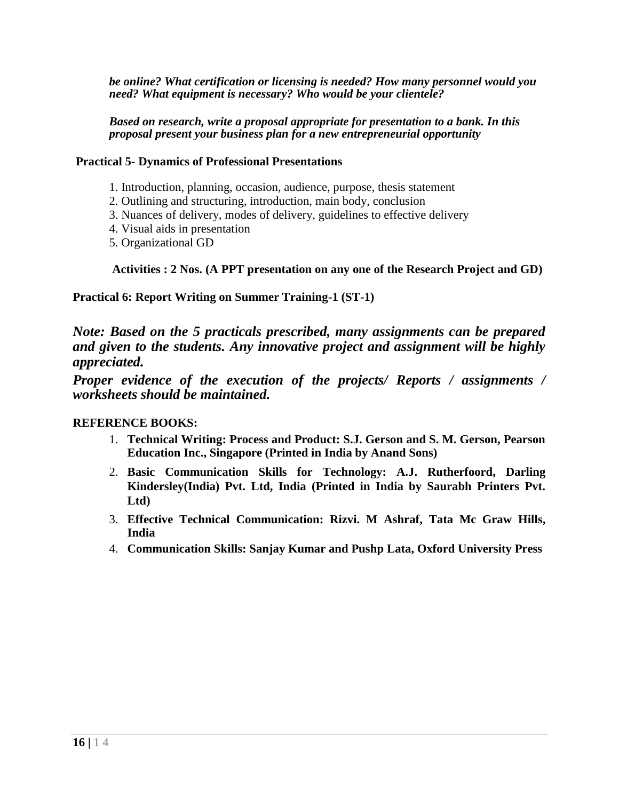*be online? What certification or licensing is needed? How many personnel would you need? What equipment is necessary? Who would be your clientele?*

*Based on research, write a proposal appropriate for presentation to a bank. In this proposal present your business plan for a new entrepreneurial opportunity*

#### **Practical 5- Dynamics of Professional Presentations**

- 1. Introduction, planning, occasion, audience, purpose, thesis statement
- 2. Outlining and structuring, introduction, main body, conclusion
- 3. Nuances of delivery, modes of delivery, guidelines to effective delivery
- 4. Visual aids in presentation
- 5. Organizational GD

**Activities : 2 Nos. (A PPT presentation on any one of the Research Project and GD)**

**Practical 6: Report Writing on Summer Training-1 (ST-1)**

*Note: Based on the 5 practicals prescribed, many assignments can be prepared and given to the students. Any innovative project and assignment will be highly appreciated.*

*Proper evidence of the execution of the projects/ Reports / assignments / worksheets should be maintained.*

# **REFERENCE BOOKS:**

- 1. **Technical Writing: Process and Product: S.J. Gerson and S. M. Gerson, Pearson Education Inc., Singapore (Printed in India by Anand Sons)**
- 2. **Basic Communication Skills for Technology: A.J. Rutherfoord, Darling Kindersley(India) Pvt. Ltd, India (Printed in India by Saurabh Printers Pvt. Ltd)**
- 3. **Effective Technical Communication: Rizvi. M Ashraf, Tata Mc Graw Hills, India**
- 4. **Communication Skills: Sanjay Kumar and Pushp Lata, Oxford University Press**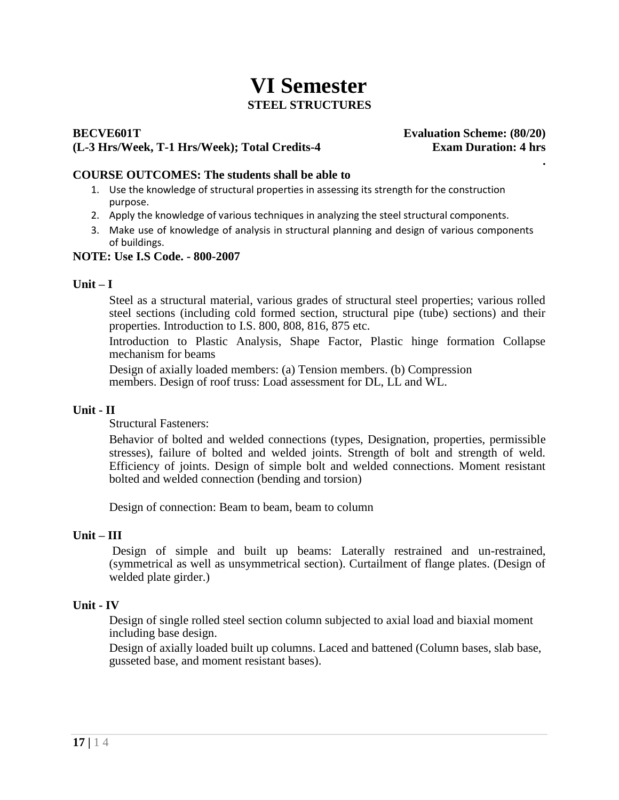# **VI Semester STEEL STRUCTURES**

# **BECVE601T Evaluation Scheme: (80/20) (L-3 Hrs/Week, T-1 Hrs/Week); Total Credits-4 Exam Duration: 4 hrs**

**.**

# **COURSE OUTCOMES: The students shall be able to**

- 1. Use the knowledge of structural properties in assessing its strength for the construction purpose.
- 2. Apply the knowledge of various techniques in analyzing the steel structural components.
- 3. Make use of knowledge of analysis in structural planning and design of various components of buildings.

# **NOTE: Use I.S Code. - 800-2007**

# **Unit – I**

Steel as a structural material, various grades of structural steel properties; various rolled steel sections (including cold formed section, structural pipe (tube) sections) and their properties. Introduction to I.S. 800, 808, 816, 875 etc.

Introduction to Plastic Analysis, Shape Factor, Plastic hinge formation Collapse mechanism for beams

Design of axially loaded members: (a) Tension members. (b) Compression members. Design of roof truss: Load assessment for DL, LL and WL.

# **Unit - II**

Structural Fasteners:

Behavior of bolted and welded connections (types, Designation, properties, permissible stresses), failure of bolted and welded joints. Strength of bolt and strength of weld. Efficiency of joints. Design of simple bolt and welded connections. Moment resistant bolted and welded connection (bending and torsion)

Design of connection: Beam to beam, beam to column

# **Unit – III**

Design of simple and built up beams: Laterally restrained and un-restrained, (symmetrical as well as unsymmetrical section). Curtailment of flange plates. (Design of welded plate girder.)

# **Unit - IV**

Design of single rolled steel section column subjected to axial load and biaxial moment including base design.

Design of axially loaded built up columns. Laced and battened (Column bases, slab base, gusseted base, and moment resistant bases).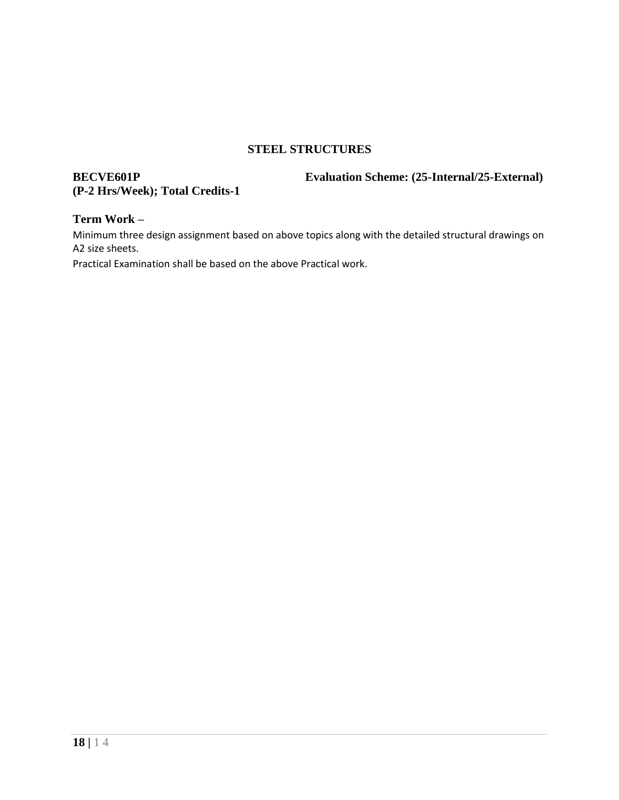# **STEEL STRUCTURES**

# **(P-2 Hrs/Week); Total Credits-1**

**BECVE601P Evaluation Scheme: (25-Internal/25-External)**

# **Term Work –**

Minimum three design assignment based on above topics along with the detailed structural drawings on A2 size sheets.

Practical Examination shall be based on the above Practical work.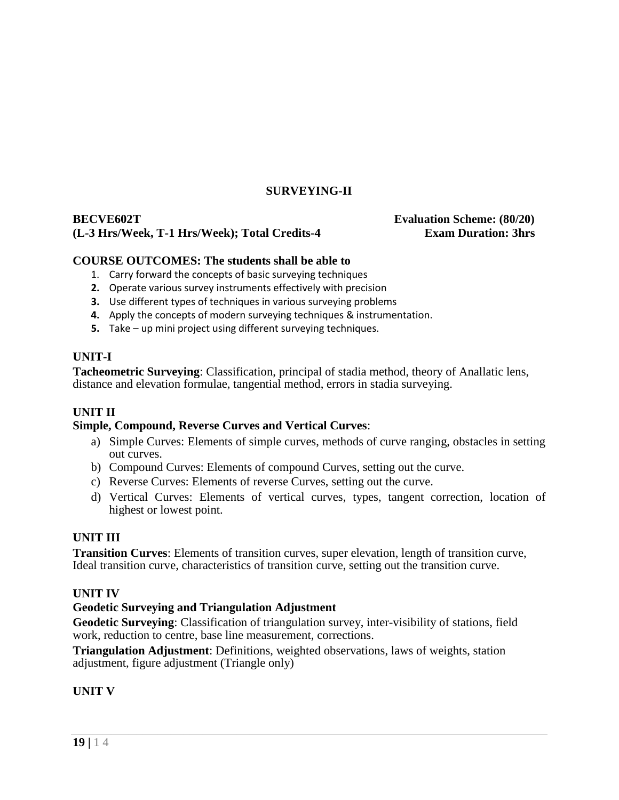# **SURVEYING-II**

# **BECVE602T Evaluation Scheme: (80/20) (L-3 Hrs/Week, T-1 Hrs/Week); Total Credits-4 Exam Duration: 3hrs**

# **COURSE OUTCOMES: The students shall be able to**

- 1. Carry forward the concepts of basic surveying techniques
- **2.** Operate various survey instruments effectively with precision
- **3.** Use different types of techniques in various surveying problems
- **4.** Apply the concepts of modern surveying techniques & instrumentation.
- **5.** Take up mini project using different surveying techniques.

# **UNIT-I**

**Tacheometric Surveying**: Classification, principal of stadia method, theory of Anallatic lens, distance and elevation formulae, tangential method, errors in stadia surveying.

# **UNIT II**

#### **Simple, Compound, Reverse Curves and Vertical Curves**:

- a) Simple Curves: Elements of simple curves, methods of curve ranging, obstacles in setting out curves.
- b) Compound Curves: Elements of compound Curves, setting out the curve.
- c) Reverse Curves: Elements of reverse Curves, setting out the curve.
- d) Vertical Curves: Elements of vertical curves, types, tangent correction, location of highest or lowest point.

# **UNIT III**

**Transition Curves**: Elements of transition curves, super elevation, length of transition curve, Ideal transition curve, characteristics of transition curve, setting out the transition curve.

#### **UNIT IV**

#### **Geodetic Surveying and Triangulation Adjustment**

**Geodetic Surveying**: Classification of triangulation survey, inter-visibility of stations, field work, reduction to centre, base line measurement, corrections.

**Triangulation Adjustment**: Definitions, weighted observations, laws of weights, station adjustment, figure adjustment (Triangle only)

# **UNIT V**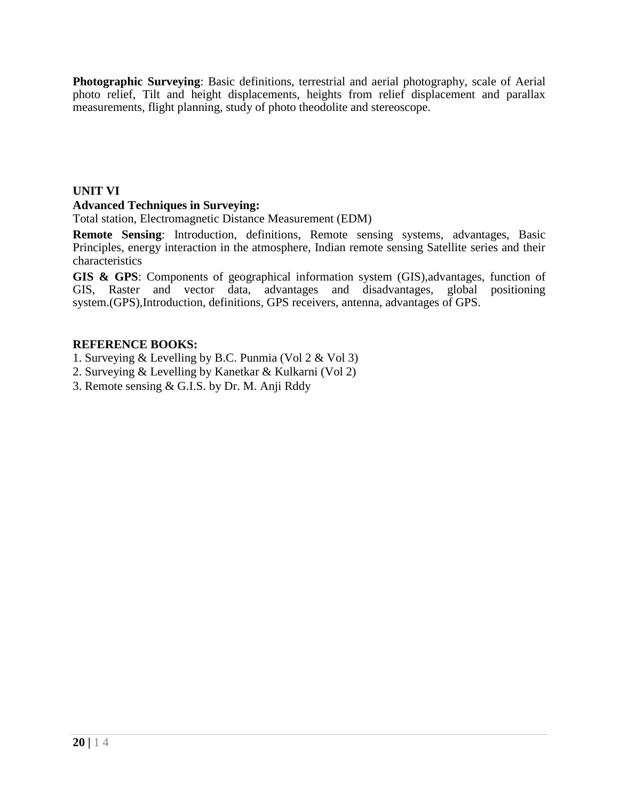**Photographic Surveying**: Basic definitions, terrestrial and aerial photography, scale of Aerial photo relief, Tilt and height displacements, heights from relief displacement and parallax measurements, flight planning, study of photo theodolite and stereoscope.

# **UNIT VI**

#### **Advanced Techniques in Surveying:**

Total station, Electromagnetic Distance Measurement (EDM)

**Remote Sensing**: Introduction, definitions, Remote sensing systems, advantages, Basic Principles, energy interaction in the atmosphere, Indian remote sensing Satellite series and their characteristics

**GIS & GPS**: Components of geographical information system (GIS),advantages, function of GIS, Raster and vector data, advantages and disadvantages, global positioning system.(GPS),Introduction, definitions, GPS receivers, antenna, advantages of GPS.

# **REFERENCE BOOKS:**

1. Surveying & Levelling by B.C. Punmia (Vol 2 & Vol 3)

- 2. Surveying & Levelling by Kanetkar & Kulkarni (Vol 2)
- 3. Remote sensing & G.I.S. by Dr. M. Anji Rddy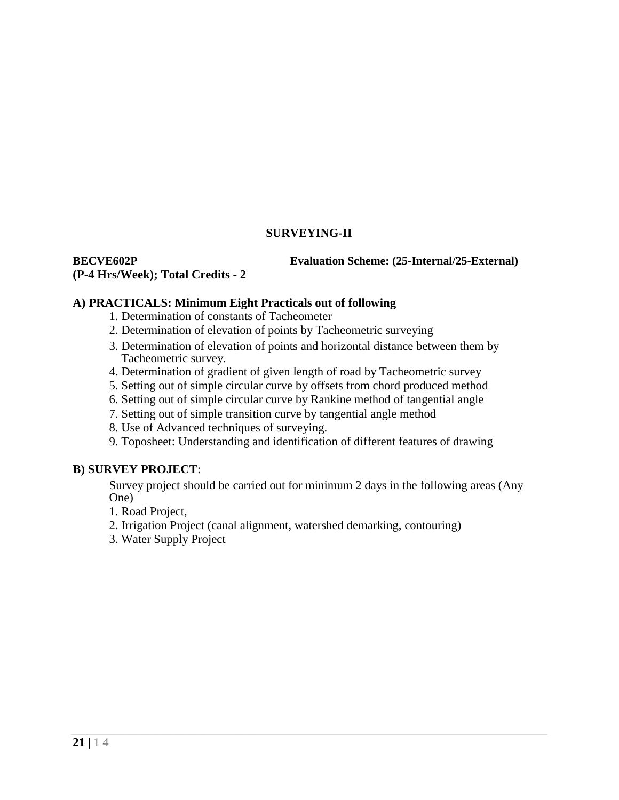# **SURVEYING-II**

# **(P-4 Hrs/Week); Total Credits - 2**

**BECVE602P Evaluation Scheme: (25-Internal/25-External)**

# **A) PRACTICALS: Minimum Eight Practicals out of following**

- 1. Determination of constants of Tacheometer
- 2. Determination of elevation of points by Tacheometric surveying
- 3. Determination of elevation of points and horizontal distance between them by Tacheometric survey.
- 4. Determination of gradient of given length of road by Tacheometric survey
- 5. Setting out of simple circular curve by offsets from chord produced method
- 6. Setting out of simple circular curve by Rankine method of tangential angle
- 7. Setting out of simple transition curve by tangential angle method
- 8. Use of Advanced techniques of surveying.
- 9. Toposheet: Understanding and identification of different features of drawing

# **B) SURVEY PROJECT**:

Survey project should be carried out for minimum 2 days in the following areas (Any One)

- 1. Road Project,
- 2. Irrigation Project (canal alignment, watershed demarking, contouring)
- 3. Water Supply Project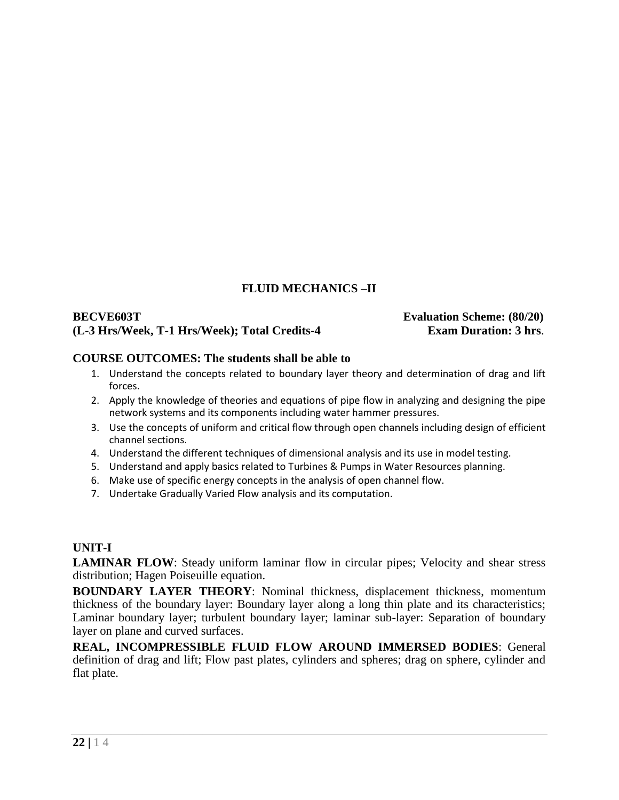# **FLUID MECHANICS –II**

# **BECVE603T Evaluation Scheme: (80/20) (L-3 Hrs/Week, T-1 Hrs/Week); Total Credits-4 Exam Duration: 3 hrs**.

# **COURSE OUTCOMES: The students shall be able to**

- 1. Understand the concepts related to boundary layer theory and determination of drag and lift forces.
- 2. Apply the knowledge of theories and equations of pipe flow in analyzing and designing the pipe network systems and its components including water hammer pressures.
- 3. Use the concepts of uniform and critical flow through open channels including design of efficient channel sections.
- 4. Understand the different techniques of dimensional analysis and its use in model testing.
- 5. Understand and apply basics related to Turbines & Pumps in Water Resources planning.
- 6. Make use of specific energy concepts in the analysis of open channel flow.
- 7. Undertake Gradually Varied Flow analysis and its computation.

# **UNIT-I**

**LAMINAR FLOW:** Steady uniform laminar flow in circular pipes; Velocity and shear stress distribution; Hagen Poiseuille equation.

**BOUNDARY LAYER THEORY**: Nominal thickness, displacement thickness, momentum thickness of the boundary layer: Boundary layer along a long thin plate and its characteristics; Laminar boundary layer; turbulent boundary layer; laminar sub-layer: Separation of boundary layer on plane and curved surfaces.

**REAL, INCOMPRESSIBLE FLUID FLOW AROUND IMMERSED BODIES**: General definition of drag and lift; Flow past plates, cylinders and spheres; drag on sphere, cylinder and flat plate.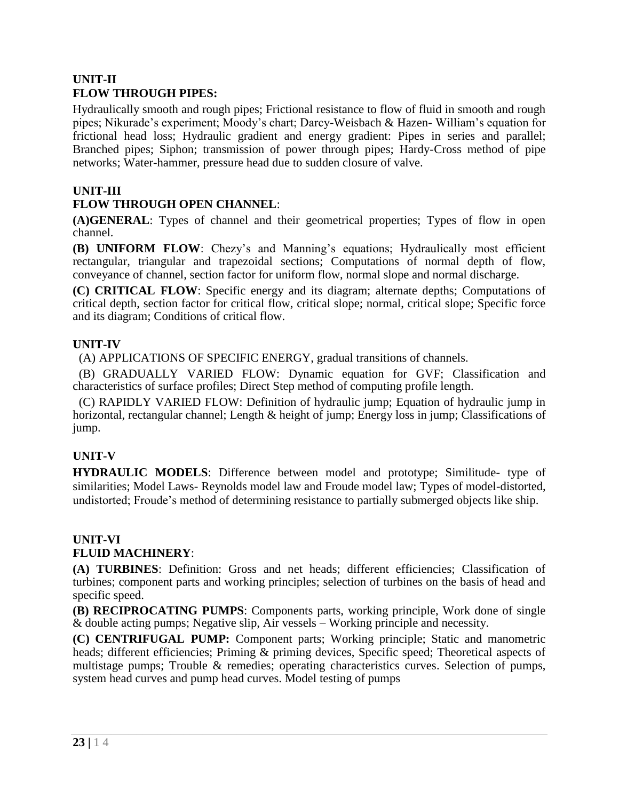# **UNIT-II FLOW THROUGH PIPES:**

Hydraulically smooth and rough pipes; Frictional resistance to flow of fluid in smooth and rough pipes; Nikurade's experiment; Moody's chart; Darcy-Weisbach & Hazen- William's equation for frictional head loss; Hydraulic gradient and energy gradient: Pipes in series and parallel; Branched pipes; Siphon; transmission of power through pipes; Hardy-Cross method of pipe networks; Water-hammer, pressure head due to sudden closure of valve.

# **UNIT-III**

# **FLOW THROUGH OPEN CHANNEL**:

**(A)GENERAL**: Types of channel and their geometrical properties; Types of flow in open channel.

**(B) UNIFORM FLOW**: Chezy's and Manning's equations; Hydraulically most efficient rectangular, triangular and trapezoidal sections; Computations of normal depth of flow, conveyance of channel, section factor for uniform flow, normal slope and normal discharge.

**(C) CRITICAL FLOW**: Specific energy and its diagram; alternate depths; Computations of critical depth, section factor for critical flow, critical slope; normal, critical slope; Specific force and its diagram; Conditions of critical flow.

# **UNIT-IV**

(A) APPLICATIONS OF SPECIFIC ENERGY, gradual transitions of channels.

(B) GRADUALLY VARIED FLOW: Dynamic equation for GVF; Classification and characteristics of surface profiles; Direct Step method of computing profile length.

(C) RAPIDLY VARIED FLOW: Definition of hydraulic jump; Equation of hydraulic jump in horizontal, rectangular channel; Length & height of jump; Energy loss in jump; Classifications of jump.

# **UNIT-V**

**HYDRAULIC MODELS**: Difference between model and prototype; Similitude- type of similarities; Model Laws- Reynolds model law and Froude model law; Types of model-distorted, undistorted; Froude's method of determining resistance to partially submerged objects like ship.

# **UNIT-VI FLUID MACHINERY**:

**(A) TURBINES**: Definition: Gross and net heads; different efficiencies; Classification of turbines; component parts and working principles; selection of turbines on the basis of head and specific speed.

**(B) RECIPROCATING PUMPS**: Components parts, working principle, Work done of single & double acting pumps; Negative slip, Air vessels – Working principle and necessity.

**(C) CENTRIFUGAL PUMP:** Component parts; Working principle; Static and manometric heads; different efficiencies; Priming & priming devices, Specific speed; Theoretical aspects of multistage pumps; Trouble & remedies; operating characteristics curves. Selection of pumps, system head curves and pump head curves. Model testing of pumps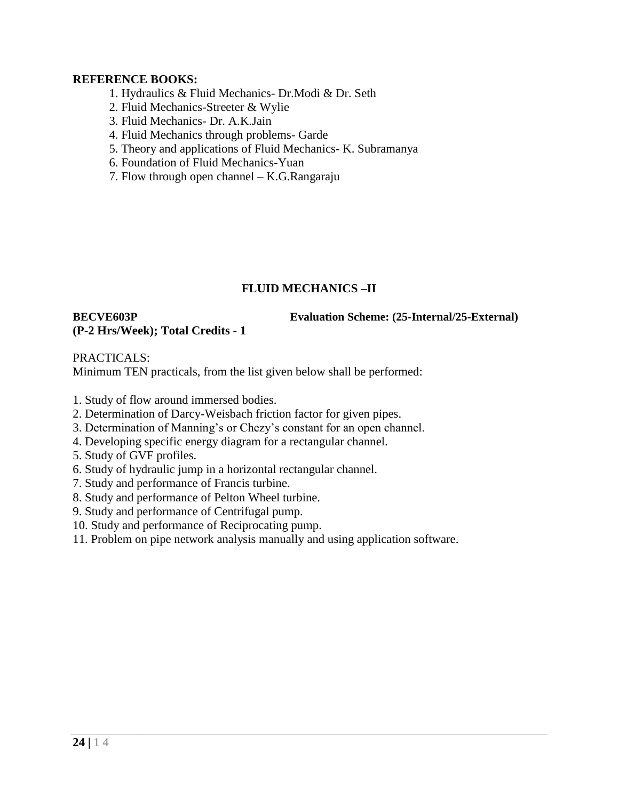# **REFERENCE BOOKS:**

- 1. Hydraulics & Fluid Mechanics- Dr.Modi & Dr. Seth
- 2. Fluid Mechanics-Streeter & Wylie
- 3. Fluid Mechanics- Dr. A.K.Jain
- 4. Fluid Mechanics through problems- Garde
- 5. Theory and applications of Fluid Mechanics- K. Subramanya
- 6. Foundation of Fluid Mechanics-Yuan
- 7. Flow through open channel K.G.Rangaraju

# **FLUID MECHANICS –II**

# **(P-2 Hrs/Week); Total Credits - 1**

**BECVE603P Evaluation Scheme: (25-Internal/25-External)**

PRACTICALS:

Minimum TEN practicals, from the list given below shall be performed:

- 1. Study of flow around immersed bodies.
- 2. Determination of Darcy-Weisbach friction factor for given pipes.
- 3. Determination of Manning's or Chezy's constant for an open channel.
- 4. Developing specific energy diagram for a rectangular channel.
- 5. Study of GVF profiles.
- 6. Study of hydraulic jump in a horizontal rectangular channel.
- 7. Study and performance of Francis turbine.
- 8. Study and performance of Pelton Wheel turbine.
- 9. Study and performance of Centrifugal pump.
- 10. Study and performance of Reciprocating pump.
- 11. Problem on pipe network analysis manually and using application software.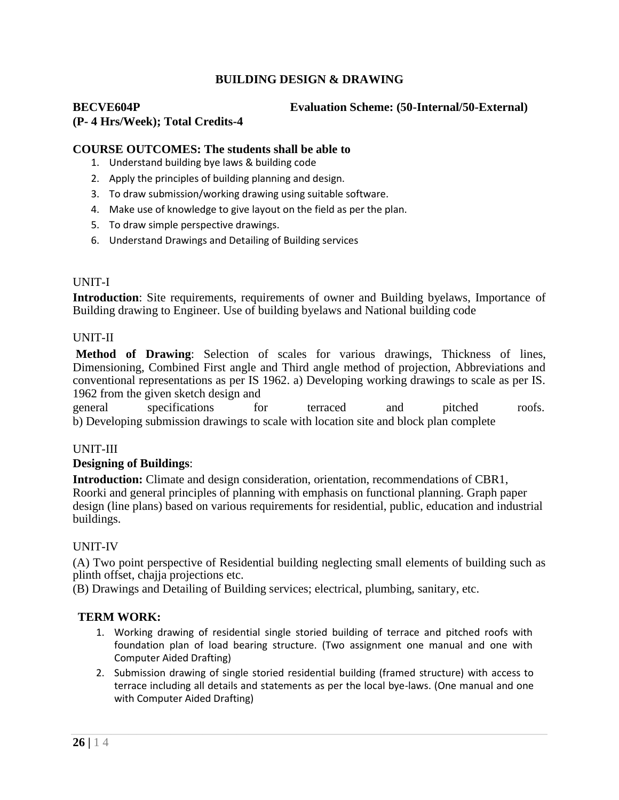# **BUILDING DESIGN & DRAWING**

# **BECVE604P Evaluation Scheme: (50-Internal/50-External) (P- 4 Hrs/Week); Total Credits-4**

# **COURSE OUTCOMES: The students shall be able to**

- 1. Understand building bye laws & building code
- 2. Apply the principles of building planning and design.
- 3. To draw submission/working drawing using suitable software.
- 4. Make use of knowledge to give layout on the field as per the plan.
- 5. To draw simple perspective drawings.
- 6. Understand Drawings and Detailing of Building services

# UNIT-I

**Introduction**: Site requirements, requirements of owner and Building byelaws, Importance of Building drawing to Engineer. Use of building byelaws and National building code

#### UNIT-II

**Method of Drawing**: Selection of scales for various drawings, Thickness of lines, Dimensioning, Combined First angle and Third angle method of projection, Abbreviations and conventional representations as per IS 1962. a) Developing working drawings to scale as per IS. 1962 from the given sketch design and

general specifications for terraced and pitched roofs. b) Developing submission drawings to scale with location site and block plan complete

# UNIT-III

# **Designing of Buildings**:

**Introduction:** Climate and design consideration, orientation, recommendations of CBR1, Roorki and general principles of planning with emphasis on functional planning. Graph paper design (line plans) based on various requirements for residential, public, education and industrial buildings.

#### UNIT-IV

(A) Two point perspective of Residential building neglecting small elements of building such as plinth offset, chajja projections etc.

(B) Drawings and Detailing of Building services; electrical, plumbing, sanitary, etc.

# **TERM WORK:**

- 1. Working drawing of residential single storied building of terrace and pitched roofs with foundation plan of load bearing structure. (Two assignment one manual and one with Computer Aided Drafting)
- 2. Submission drawing of single storied residential building (framed structure) with access to terrace including all details and statements as per the local bye-laws. (One manual and one with Computer Aided Drafting)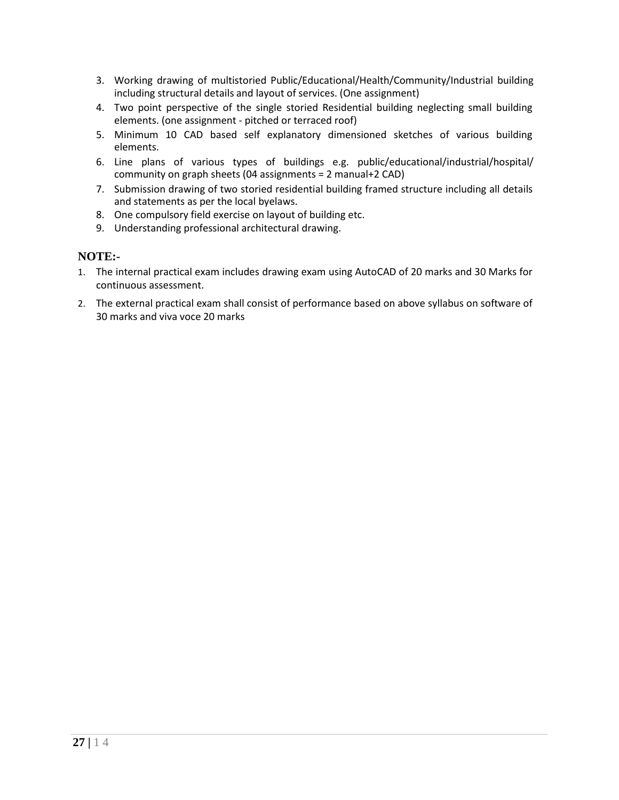- 3. Working drawing of multistoried Public/Educational/Health/Community/Industrial building including structural details and layout of services. (One assignment)
- 4. Two point perspective of the single storied Residential building neglecting small building elements. (one assignment - pitched or terraced roof)
- 5. Minimum 10 CAD based self explanatory dimensioned sketches of various building elements.
- 6. Line plans of various types of buildings e.g. public/educational/industrial/hospital/ community on graph sheets (04 assignments = 2 manual+2 CAD)
- 7. Submission drawing of two storied residential building framed structure including all details and statements as per the local byelaws.
- 8. One compulsory field exercise on layout of building etc.
- 9. Understanding professional architectural drawing.

# **NOTE:-**

- 1. The internal practical exam includes drawing exam using AutoCAD of 20 marks and 30 Marks for continuous assessment.
- 2. The external practical exam shall consist of performance based on above syllabus on software of 30 marks and viva voce 20 marks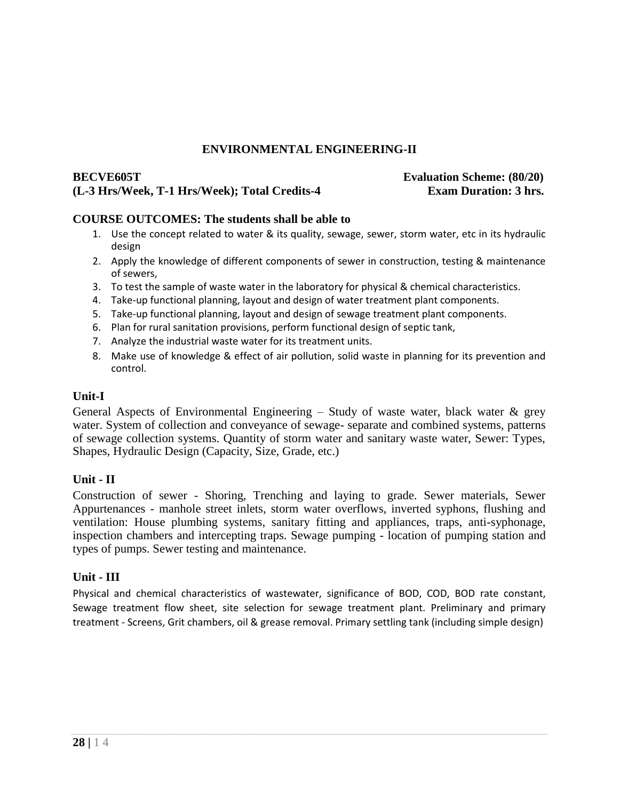# **ENVIRONMENTAL ENGINEERING-II**

# **BECVE605T Evaluation Scheme: (80/20) (L-3 Hrs/Week, T-1 Hrs/Week); Total Credits-4 Exam Duration: 3 hrs.**

# **COURSE OUTCOMES: The students shall be able to**

- 1. Use the concept related to water & its quality, sewage, sewer, storm water, etc in its hydraulic design
- 2. Apply the knowledge of different components of sewer in construction, testing & maintenance of sewers,
- 3. To test the sample of waste water in the laboratory for physical & chemical characteristics.
- 4. Take-up functional planning, layout and design of water treatment plant components.
- 5. Take-up functional planning, layout and design of sewage treatment plant components.
- 6. Plan for rural sanitation provisions, perform functional design of septic tank,
- 7. Analyze the industrial waste water for its treatment units.
- 8. Make use of knowledge & effect of air pollution, solid waste in planning for its prevention and control.

# **Unit-I**

General Aspects of Environmental Engineering – Study of waste water, black water  $\&$  grey water. System of collection and conveyance of sewage- separate and combined systems, patterns of sewage collection systems. Quantity of storm water and sanitary waste water, Sewer: Types, Shapes, Hydraulic Design (Capacity, Size, Grade, etc.)

# **Unit - II**

Construction of sewer - Shoring, Trenching and laying to grade. Sewer materials, Sewer Appurtenances - manhole street inlets, storm water overflows, inverted syphons, flushing and ventilation: House plumbing systems, sanitary fitting and appliances, traps, anti-syphonage, inspection chambers and intercepting traps. Sewage pumping - location of pumping station and types of pumps. Sewer testing and maintenance.

# **Unit - III**

Physical and chemical characteristics of wastewater, significance of BOD, COD, BOD rate constant, Sewage treatment flow sheet, site selection for sewage treatment plant. Preliminary and primary treatment - Screens, Grit chambers, oil & grease removal. Primary settling tank (including simple design)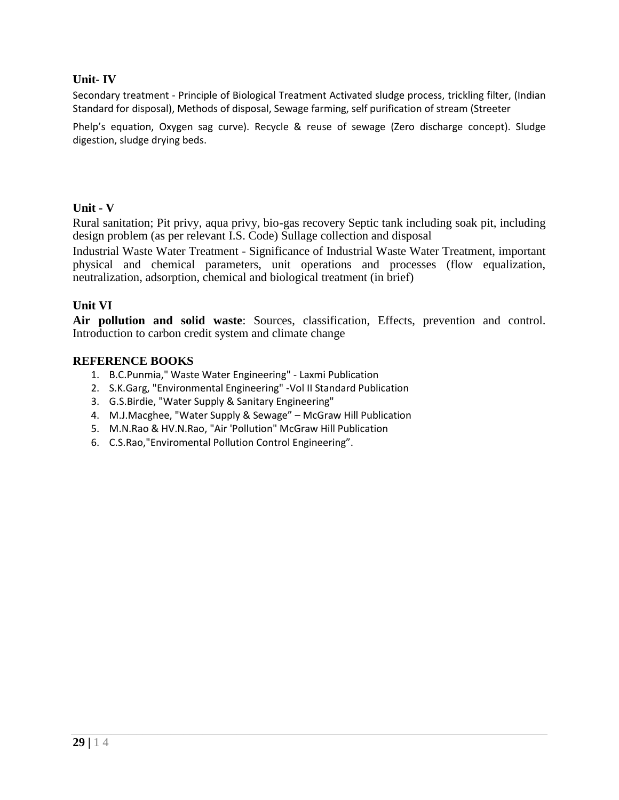# **Unit- IV**

Secondary treatment - Principle of Biological Treatment Activated sludge process, trickling filter, (Indian Standard for disposal), Methods of disposal, Sewage farming, self purification of stream (Streeter

Phelp's equation, Oxygen sag curve). Recycle & reuse of sewage (Zero discharge concept). Sludge digestion, sludge drying beds.

# **Unit - V**

Rural sanitation; Pit privy, aqua privy, bio-gas recovery Septic tank including soak pit, including design problem (as per relevant I.S. Code) Sullage collection and disposal

Industrial Waste Water Treatment - Significance of Industrial Waste Water Treatment, important physical and chemical parameters, unit operations and processes (flow equalization, neutralization, adsorption, chemical and biological treatment (in brief)

# **Unit VI**

**Air pollution and solid waste**: Sources, classification, Effects, prevention and control. Introduction to carbon credit system and climate change

# **REFERENCE BOOKS**

- 1. B.C.Punmia," Waste Water Engineering" Laxmi Publication
- 2. S.K.Garg, "Environmental Engineering" -Vol II Standard Publication
- 3. G.S.Birdie, "Water Supply & Sanitary Engineering"
- 4. M.J.Macghee, "Water Supply & Sewage" McGraw Hill Publication
- 5. M.N.Rao & HV.N.Rao, "Air 'Pollution" McGraw Hill Publication
- 6. C.S.Rao,"Enviromental Pollution Control Engineering".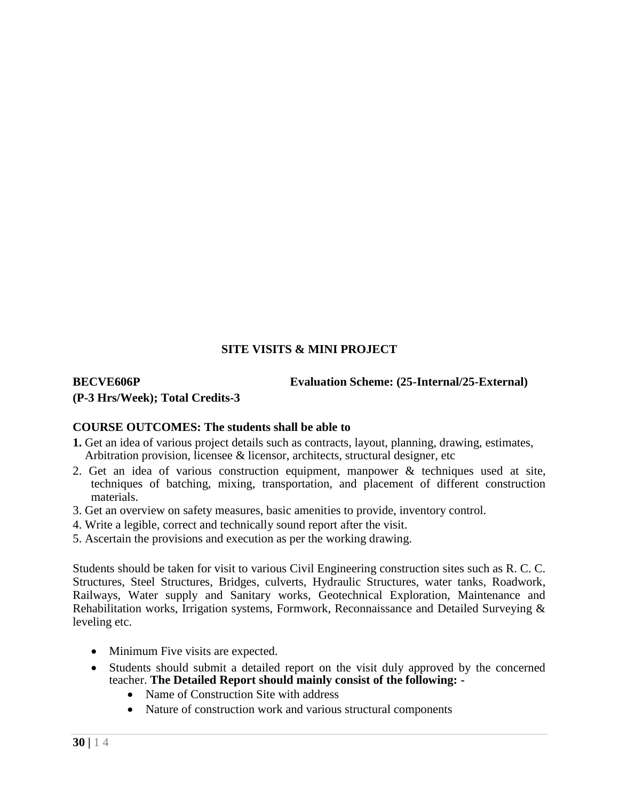# **SITE VISITS & MINI PROJECT**

# **BECVE606P Evaluation Scheme: (25-Internal/25-External) (P-3 Hrs/Week); Total Credits-3**

# **COURSE OUTCOMES: The students shall be able to**

# **1.** Get an idea of various project details such as contracts, layout, planning, drawing, estimates, Arbitration provision, licensee & licensor, architects, structural designer, etc

- 2. Get an idea of various construction equipment, manpower & techniques used at site, techniques of batching, mixing, transportation, and placement of different construction materials.
- 3. Get an overview on safety measures, basic amenities to provide, inventory control.
- 4. Write a legible, correct and technically sound report after the visit.
- 5. Ascertain the provisions and execution as per the working drawing.

Students should be taken for visit to various Civil Engineering construction sites such as R. C. C. Structures, Steel Structures, Bridges, culverts, Hydraulic Structures, water tanks, Roadwork, Railways, Water supply and Sanitary works, Geotechnical Exploration, Maintenance and Rehabilitation works, Irrigation systems, Formwork, Reconnaissance and Detailed Surveying & leveling etc.

- Minimum Five visits are expected.
- Students should submit a detailed report on the visit duly approved by the concerned teacher. **The Detailed Report should mainly consist of the following: -**
	- Name of Construction Site with address
	- Nature of construction work and various structural components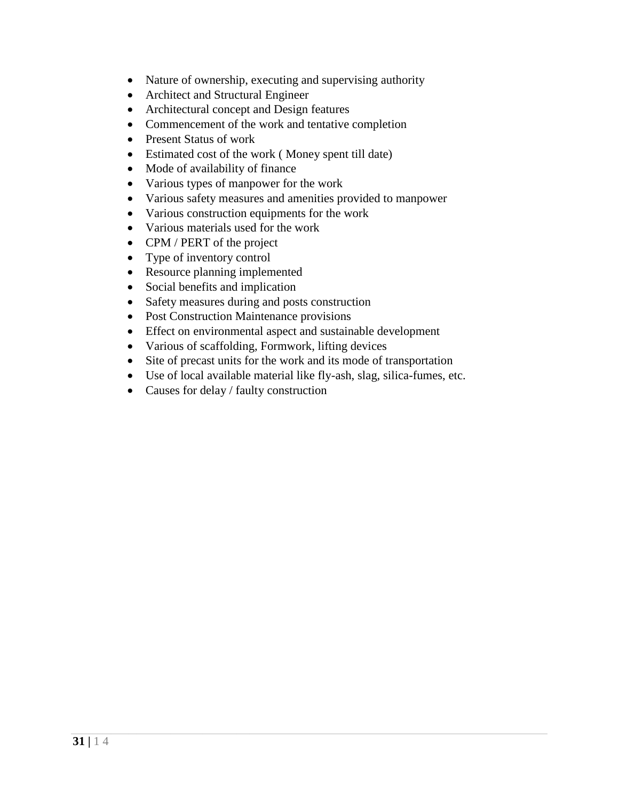- Nature of ownership, executing and supervising authority
- Architect and Structural Engineer
- Architectural concept and Design features
- Commencement of the work and tentative completion
- Present Status of work
- Estimated cost of the work ( Money spent till date)
- Mode of availability of finance
- Various types of manpower for the work
- Various safety measures and amenities provided to manpower
- Various construction equipments for the work
- Various materials used for the work
- CPM / PERT of the project
- Type of inventory control
- Resource planning implemented
- Social benefits and implication
- Safety measures during and posts construction
- Post Construction Maintenance provisions
- Effect on environmental aspect and sustainable development
- Various of scaffolding, Formwork, lifting devices
- Site of precast units for the work and its mode of transportation
- Use of local available material like fly-ash, slag, silica-fumes, etc.
- Causes for delay / faulty construction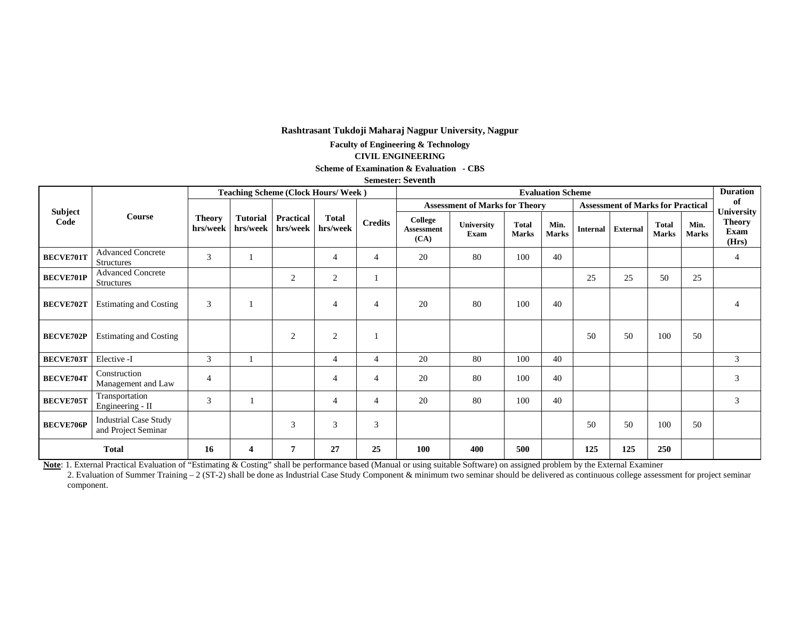#### **Rashtrasant Tukdoji Maharaj Nagpur University, Nagpur**

#### **Faculty of Engineering & Technology**

#### **CIVIL ENGINEERING**

#### **Scheme of Examination & Evaluation - CBS**

#### **Semester: Seventh**

|                        | <b>Course</b>                                       |                           |                             | <b>Teaching Scheme (Clock Hours/Week)</b> |                          |                | <b>Evaluation Scheme</b>              |                    |                              |                      |                 |                                          |                              |                      | <b>Duration</b><br>of                        |
|------------------------|-----------------------------------------------------|---------------------------|-----------------------------|-------------------------------------------|--------------------------|----------------|---------------------------------------|--------------------|------------------------------|----------------------|-----------------|------------------------------------------|------------------------------|----------------------|----------------------------------------------|
| <b>Subject</b><br>Code |                                                     |                           |                             |                                           |                          |                | <b>Assessment of Marks for Theory</b> |                    |                              |                      |                 | <b>Assessment of Marks for Practical</b> |                              |                      |                                              |
|                        |                                                     | <b>Theory</b><br>hrs/week | <b>Tutorial</b><br>hrs/week | Practical<br>hrs/week                     | <b>Total</b><br>hrs/week | <b>Credits</b> | College<br><b>Assessment</b><br>(CA)  | University<br>Exam | <b>Total</b><br><b>Marks</b> | Min.<br><b>Marks</b> | <b>Internal</b> | <b>External</b>                          | <b>Total</b><br><b>Marks</b> | Min.<br><b>Marks</b> | University<br><b>Theory</b><br>Exam<br>(Hrs) |
| <b>BECVE701T</b>       | <b>Advanced Concrete</b><br><b>Structures</b>       | 3                         |                             |                                           | $\overline{4}$           | $\overline{4}$ | 20                                    | 80                 | 100                          | 40                   |                 |                                          |                              |                      | 4                                            |
| <b>BECVE701P</b>       | <b>Advanced Concrete</b><br><b>Structures</b>       |                           |                             | $\overline{c}$                            | $\overline{2}$           |                |                                       |                    |                              |                      | 25              | 25                                       | 50                           | 25                   |                                              |
| <b>BECVE702T</b>       | <b>Estimating and Costing</b>                       | 3                         |                             |                                           | $\overline{4}$           | $\overline{4}$ | 20                                    | 80                 | 100                          | 40                   |                 |                                          |                              |                      | 4                                            |
| <b>BECVE702P</b>       | <b>Estimating and Costing</b>                       |                           |                             | $\overline{c}$                            | $\overline{2}$           |                |                                       |                    |                              |                      | 50              | 50                                       | 100                          | 50                   |                                              |
| <b>BECVE703T</b>       | Elective -I                                         | 3                         |                             |                                           | $\overline{4}$           | $\overline{4}$ | 20                                    | 80                 | 100                          | 40                   |                 |                                          |                              |                      | 3                                            |
| <b>BECVE704T</b>       | Construction<br>Management and Law                  | $\overline{4}$            |                             |                                           | $\overline{4}$           | $\overline{4}$ | 20                                    | 80                 | 100                          | 40                   |                 |                                          |                              |                      | 3                                            |
| <b>BECVE705T</b>       | Transportation<br>Engineering - II                  | 3                         |                             |                                           | $\overline{4}$           |                | 20                                    | 80                 | 100                          | 40                   |                 |                                          |                              |                      | 3                                            |
| <b>BECVE706P</b>       | <b>Industrial Case Study</b><br>and Project Seminar |                           |                             | 3                                         | 3                        | 3              |                                       |                    |                              |                      | 50              | 50                                       | 100                          | 50                   |                                              |
|                        | <b>Total</b>                                        | 16                        | 4                           | 7                                         | 27                       | 25             | <b>100</b>                            | 400                | 500                          |                      | 125             | 125                                      | 250                          |                      |                                              |

**Note**: 1. External Practical Evaluation of "Estimating & Costing" shall be performance based (Manual or using suitable Software) on assigned problem by the External Examiner 2. Evaluation of Summer Training – 2 (ST-2) shall be done as Industrial Case Study Component & minimum two seminar should be delivered as continuous college assessment for project seminar component.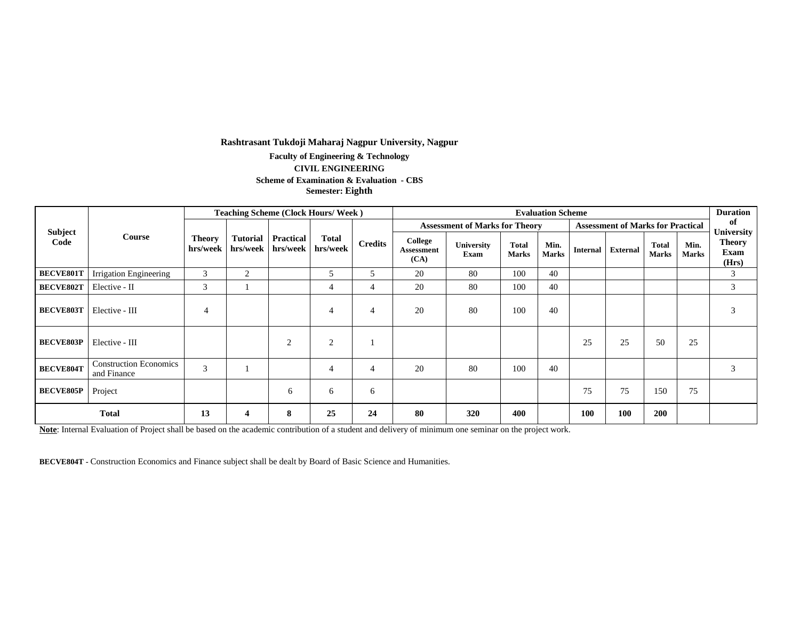#### **Rashtrasant Tukdoji Maharaj Nagpur University, Nagpur Faculty of Engineering & Technology CIVIL ENGINEERING Scheme of Examination & Evaluation - CBS Semester: Eighth**

|                        | <b>Course</b>                                |                           |                      | <b>Teaching Scheme (Clock Hours/ Week)</b> |                          |                | <b>Evaluation Scheme</b>              |                                          |                              |                      |                 |          |                              |                      | <b>Duration</b>                              |
|------------------------|----------------------------------------------|---------------------------|----------------------|--------------------------------------------|--------------------------|----------------|---------------------------------------|------------------------------------------|------------------------------|----------------------|-----------------|----------|------------------------------|----------------------|----------------------------------------------|
| <b>Subject</b><br>Code |                                              |                           |                      |                                            |                          |                | <b>Assessment of Marks for Theory</b> | <b>Assessment of Marks for Practical</b> |                              |                      |                 | of       |                              |                      |                                              |
|                        |                                              | <b>Theory</b><br>hrs/week | Tutorial<br>hrs/week | Practical<br>hrs/week                      | <b>Total</b><br>hrs/week | <b>Credits</b> | College<br>Assessment<br>(CA)         | University<br>Exam                       | <b>Total</b><br><b>Marks</b> | Min.<br><b>Marks</b> | <b>Internal</b> | External | <b>Total</b><br><b>Marks</b> | Min.<br><b>Marks</b> | University<br><b>Theory</b><br>Exam<br>(Hrs) |
| <b>BECVE801T</b>       | Irrigation Engineering                       | 3                         | 2                    |                                            | 5                        | 5              | 20                                    | 80                                       | 100                          | 40                   |                 |          |                              |                      | 3                                            |
| <b>BECVE802T</b>       | Elective - II                                | 3                         |                      |                                            | $\overline{4}$           | $\overline{4}$ | 20                                    | 80                                       | 100                          | 40                   |                 |          |                              |                      | 3                                            |
| <b>BECVE803T</b>       | Elective - III                               | $\overline{4}$            |                      |                                            | $\overline{4}$           | 4              | 20                                    | 80                                       | 100                          | 40                   |                 |          |                              |                      | J.                                           |
| <b>BECVE803P</b>       | Elective - III                               |                           |                      | $\overline{c}$                             | $\overline{2}$           |                |                                       |                                          |                              |                      | 25              | 25       | 50                           | 25                   |                                              |
| <b>BECVE804T</b>       | <b>Construction Economics</b><br>and Finance | 3                         |                      |                                            | $\overline{4}$           | 4              | 20                                    | 80                                       | 100                          | 40                   |                 |          |                              |                      | 3                                            |
| <b>BECVE805P</b>       | Project                                      |                           |                      | 6                                          | 6                        | 6              |                                       |                                          |                              |                      | 75              | 75       | 150                          | 75                   |                                              |
|                        | <b>Total</b>                                 | 13                        | 4                    | 8                                          | 25                       | 24             | 80                                    | 320                                      | 400                          |                      | 100             | 100      | <b>200</b>                   |                      |                                              |

**Note**: Internal Evaluation of Project shall be based on the academic contribution of a student and delivery of minimum one seminar on the project work.

**BECVE804T -** Construction Economics and Finance subject shall be dealt by Board of Basic Science and Humanities.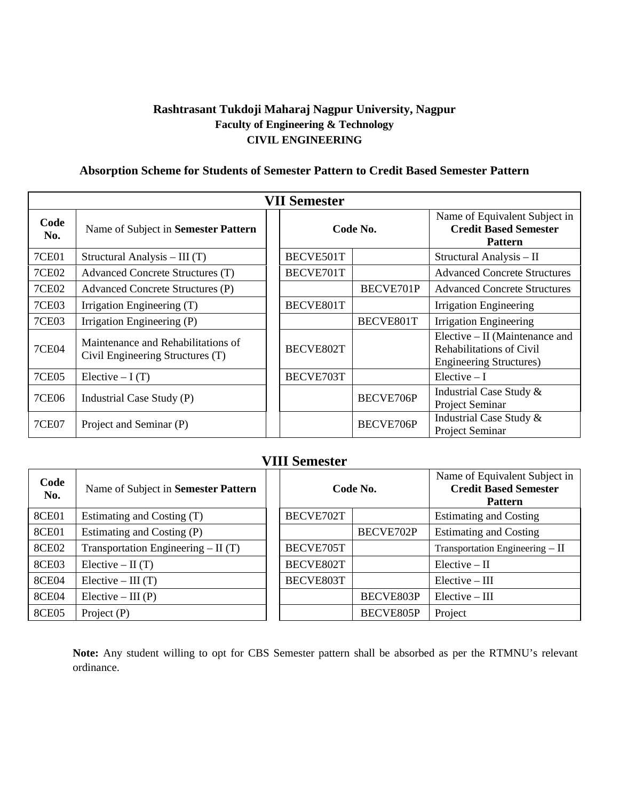# **Rashtrasant Tukdoji Maharaj Nagpur University, Nagpur Faculty of Engineering & Technology CIVIL ENGINEERING**

# **Absorption Scheme for Students of Semester Pattern to Credit Based Semester Pattern**

| <b>VII Semester</b> |                                                                        |  |                  |                  |                                                                                               |  |  |  |  |
|---------------------|------------------------------------------------------------------------|--|------------------|------------------|-----------------------------------------------------------------------------------------------|--|--|--|--|
| Code<br>No.         | Name of Subject in Semester Pattern                                    |  |                  | Code No.         | Name of Equivalent Subject in<br><b>Credit Based Semester</b><br><b>Pattern</b>               |  |  |  |  |
| <b>7CE01</b>        | Structural Analysis $-$ III (T)                                        |  | BECVE501T        |                  | Structural Analysis - II                                                                      |  |  |  |  |
| <b>7CE02</b>        | Advanced Concrete Structures (T)                                       |  | BECVE701T        |                  | <b>Advanced Concrete Structures</b>                                                           |  |  |  |  |
| <b>7CE02</b>        | Advanced Concrete Structures (P)                                       |  |                  | <b>BECVE701P</b> | <b>Advanced Concrete Structures</b>                                                           |  |  |  |  |
| <b>7CE03</b>        | Irrigation Engineering (T)                                             |  | BECVE801T        |                  | Irrigation Engineering                                                                        |  |  |  |  |
| <b>7CE03</b>        | Irrigation Engineering (P)                                             |  |                  | BECVE801T        | <b>Irrigation Engineering</b>                                                                 |  |  |  |  |
| <b>7CE04</b>        | Maintenance and Rehabilitations of<br>Civil Engineering Structures (T) |  | BECVE802T        |                  | Elective – II (Maintenance and<br>Rehabilitations of Civil<br><b>Engineering Structures</b> ) |  |  |  |  |
| <b>7CE05</b>        | Elective $-I(T)$                                                       |  | <b>BECVE703T</b> |                  | $Electric - I$                                                                                |  |  |  |  |
| <b>7CE06</b>        | Industrial Case Study (P)                                              |  |                  | <b>BECVE706P</b> | Industrial Case Study &<br>Project Seminar                                                    |  |  |  |  |
| <b>7CE07</b>        | Project and Seminar (P)                                                |  |                  | <b>BECVE706P</b> | Industrial Case Study &<br>Project Seminar                                                    |  |  |  |  |

# **VIII Semester**

| Code         | Name of Subject in Semester Pattern   |  |                  |                  | Name of Equivalent Subject in     |  |  |
|--------------|---------------------------------------|--|------------------|------------------|-----------------------------------|--|--|
| No.          |                                       |  |                  | Code No.         | <b>Credit Based Semester</b>      |  |  |
|              |                                       |  |                  |                  | <b>Pattern</b>                    |  |  |
| <b>8CE01</b> | Estimating and Costing (T)            |  | BECVE702T        |                  | <b>Estimating and Costing</b>     |  |  |
| <b>8CE01</b> | Estimating and Costing (P)            |  |                  | <b>BECVE702P</b> | <b>Estimating and Costing</b>     |  |  |
| <b>8CE02</b> | Transportation Engineering $-$ II (T) |  | <b>BECVE705T</b> |                  | Transportation Engineering $-$ II |  |  |
| <b>8CE03</b> | Elective $-$ II (T)                   |  | BECVE802T        |                  | $Electric - II$                   |  |  |
| <b>8CE04</b> | Elective $-$ III (T)                  |  | BECVE803T        |                  | $Electric - III$                  |  |  |
| <b>8CE04</b> | Elective $-$ III (P)                  |  |                  | BECVE803P        | $Electric - III$                  |  |  |
| <b>8CE05</b> | Project (P)                           |  |                  | <b>BECVE805P</b> | Project                           |  |  |

**Note:** Any student willing to opt for CBS Semester pattern shall be absorbed as per the RTMNU's relevant ordinance.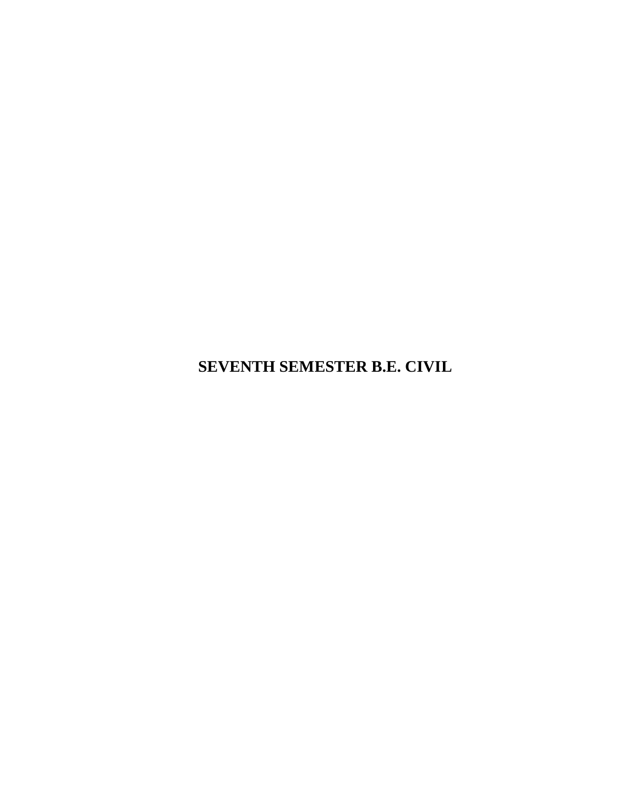**SEVENTH SEMESTER B.E. CIVIL**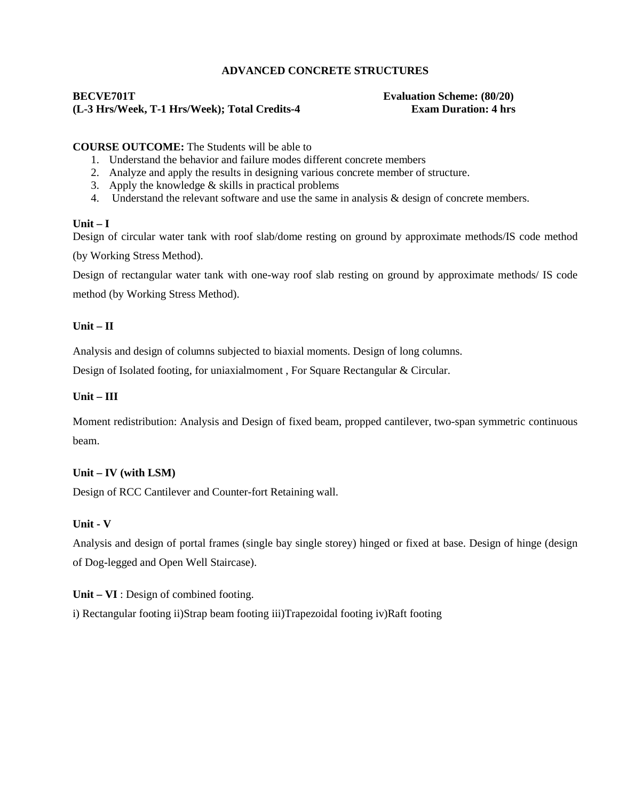#### **ADVANCED CONCRETE STRUCTURES**

#### **BECVE701T** Evaluation Scheme: (80/20) **(L-3 Hrs/Week, T-1 Hrs/Week); Total Credits-4 Exam Duration: 4 hrs**

#### **COURSE OUTCOME:** The Students will be able to

- 1. Understand the behavior and failure modes different concrete members
- 2. Analyze and apply the results in designing various concrete member of structure.
- 3. Apply the knowledge  $&$  skills in practical problems
- 4. Understand the relevant software and use the same in analysis & design of concrete members.

#### **Unit – I**

Design of circular water tank with roof slab/dome resting on ground by approximate methods/IS code method (by Working Stress Method).

Design of rectangular water tank with one-way roof slab resting on ground by approximate methods/ IS code method (by Working Stress Method).

#### **Unit – II**

Analysis and design of columns subjected to biaxial moments. Design of long columns.

Design of Isolated footing, for uniaxialmoment , For Square Rectangular & Circular.

#### **Unit – III**

Moment redistribution: Analysis and Design of fixed beam, propped cantilever, two-span symmetric continuous beam.

# **Unit – IV (with LSM)**

Design of RCC Cantilever and Counter-fort Retaining wall.

#### **Unit - V**

Analysis and design of portal frames (single bay single storey) hinged or fixed at base. Design of hinge (design of Dog-legged and Open Well Staircase).

**Unit – VI** : Design of combined footing.

i) Rectangular footing ii)Strap beam footing iii)Trapezoidal footing iv)Raft footing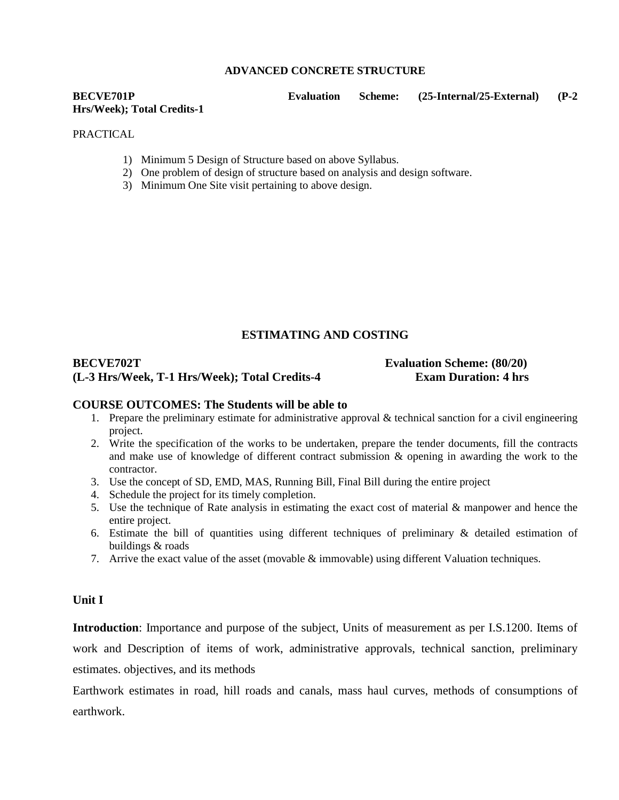#### **ADVANCED CONCRETE STRUCTURE**

# **BECVE701P Evaluation Scheme: (25-Internal/25-External) (P-2 Hrs/Week); Total Credits-1**

PRACTICAL

- 1) Minimum 5 Design of Structure based on above Syllabus.
- 2) One problem of design of structure based on analysis and design software.
- 3) Minimum One Site visit pertaining to above design.

# **ESTIMATING AND COSTING**

#### **BECVE702T Evaluation Scheme: (80/20) (L-3 Hrs/Week, T-1 Hrs/Week); Total Credits-4 Exam Duration: 4 hrs**

#### **COURSE OUTCOMES: The Students will be able to**

- 1. Prepare the preliminary estimate for administrative approval & technical sanction for a civil engineering project.
- 2. Write the specification of the works to be undertaken, prepare the tender documents, fill the contracts and make use of knowledge of different contract submission & opening in awarding the work to the contractor.
- 3. Use the concept of SD, EMD, MAS, Running Bill, Final Bill during the entire project
- 4. Schedule the project for its timely completion.
- 5. Use the technique of Rate analysis in estimating the exact cost of material & manpower and hence the entire project.
- 6. Estimate the bill of quantities using different techniques of preliminary & detailed estimation of buildings & roads
- 7. Arrive the exact value of the asset (movable  $\&$  immovable) using different Valuation techniques.

# **Unit I**

**Introduction**: Importance and purpose of the subject, Units of measurement as per I.S.1200. Items of work and Description of items of work, administrative approvals, technical sanction, preliminary estimates. objectives, and its methods

Earthwork estimates in road, hill roads and canals, mass haul curves, methods of consumptions of earthwork.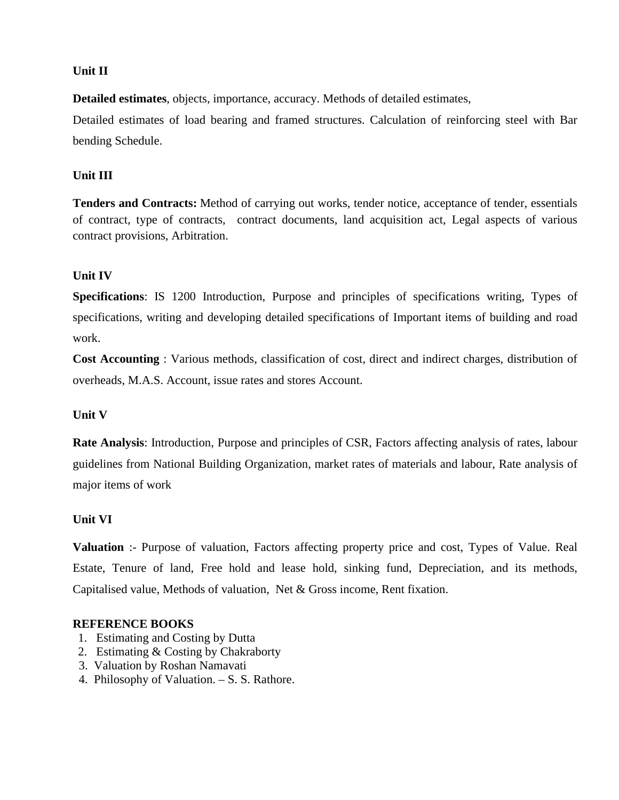# **Unit II**

**Detailed estimates**, objects, importance, accuracy. Methods of detailed estimates,

Detailed estimates of load bearing and framed structures. Calculation of reinforcing steel with Bar bending Schedule.

# **Unit III**

**Tenders and Contracts:** Method of carrying out works, tender notice, acceptance of tender, essentials of contract, type of contracts, contract documents, land acquisition act, Legal aspects of various contract provisions, Arbitration.

# **Unit IV**

**Specifications**: IS 1200 Introduction, Purpose and principles of specifications writing, Types of specifications, writing and developing detailed specifications of Important items of building and road work.

**Cost Accounting** : Various methods, classification of cost, direct and indirect charges, distribution of overheads, M.A.S. Account, issue rates and stores Account.

# **Unit V**

**Rate Analysis**: Introduction, Purpose and principles of CSR, Factors affecting analysis of rates, labour guidelines from National Building Organization, market rates of materials and labour, Rate analysis of major items of work

# **Unit VI**

**Valuation** :- Purpose of valuation, Factors affecting property price and cost, Types of Value. Real Estate, Tenure of land, Free hold and lease hold, sinking fund, Depreciation, and its methods, Capitalised value, Methods of valuation, Net & Gross income, Rent fixation.

# **REFERENCE BOOKS**

- 1. Estimating and Costing by Dutta
- 2. Estimating & Costing by Chakraborty
- 3. Valuation by Roshan Namavati
- 4. Philosophy of Valuation. S. S. Rathore.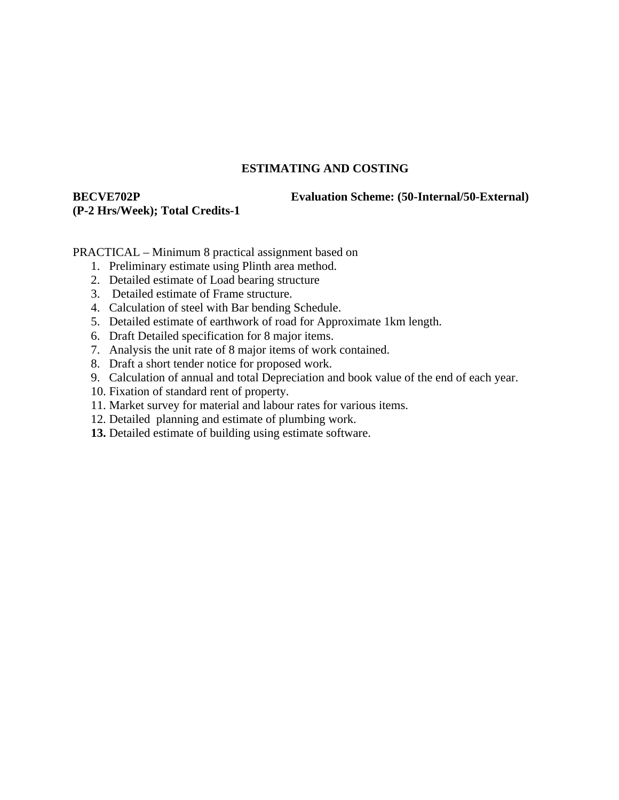# **ESTIMATING AND COSTING**

# **(P-2 Hrs/Week); Total Credits-1**

**BECVE702P Evaluation Scheme: (50-Internal/50-External)**

PRACTICAL – Minimum 8 practical assignment based on

- 1. Preliminary estimate using Plinth area method.
- 2. Detailed estimate of Load bearing structure
- 3. Detailed estimate of Frame structure.
- 4. Calculation of steel with Bar bending Schedule.
- 5. Detailed estimate of earthwork of road for Approximate 1km length.
- 6. Draft Detailed specification for 8 major items.
- 7. Analysis the unit rate of 8 major items of work contained.
- 8. Draft a short tender notice for proposed work.
- 9. Calculation of annual and total Depreciation and book value of the end of each year.
- 10. Fixation of standard rent of property.
- 11. Market survey for material and labour rates for various items.
- 12. Detailed planning and estimate of plumbing work.
- **13.** Detailed estimate of building using estimate software.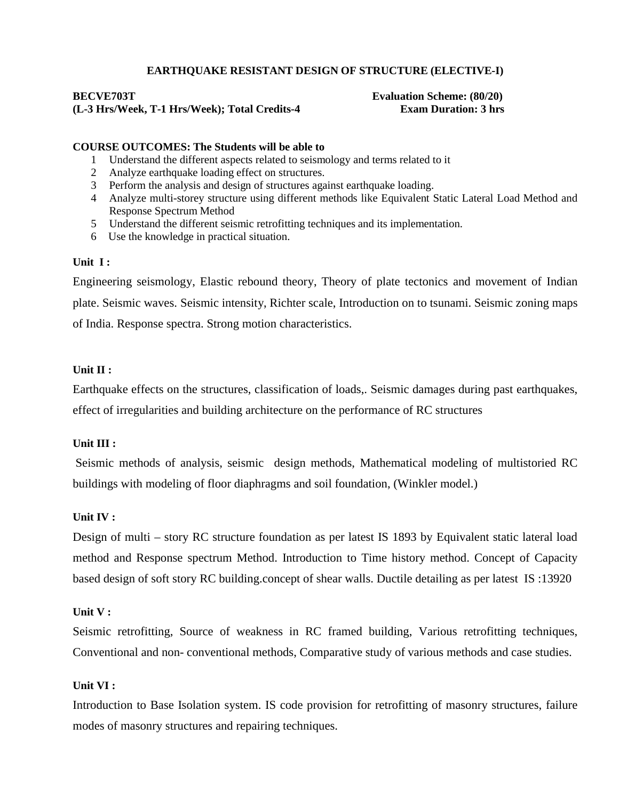# **EARTHQUAKE RESISTANT DESIGN OF STRUCTURE (ELECTIVE-I)**

#### **BECVE703T Evaluation Scheme: (80/20) (L-3 Hrs/Week, T-1 Hrs/Week); Total Credits-4 Exam Duration: 3 hrs**

#### **COURSE OUTCOMES: The Students will be able to**

- 1 Understand the different aspects related to seismology and terms related to it
- 2 Analyze earthquake loading effect on structures.
- 3 Perform the analysis and design of structures against earthquake loading.
- 4 Analyze multi-storey structure using different methods like Equivalent Static Lateral Load Method and Response Spectrum Method
- 5 Understand the different seismic retrofitting techniques and its implementation.
- 6 Use the knowledge in practical situation.

#### **Unit I :**

Engineering seismology, Elastic rebound theory, Theory of plate tectonics and movement of Indian plate. Seismic waves. Seismic intensity, Richter scale, Introduction on to tsunami. Seismic zoning maps of India. Response spectra. Strong motion characteristics.

#### **Unit II :**

Earthquake effects on the structures, classification of loads,. Seismic damages during past earthquakes, effect of irregularities and building architecture on the performance of RC structures

#### **Unit III :**

Seismic methods of analysis, seismic design methods, Mathematical modeling of multistoried RC buildings with modeling of floor diaphragms and soil foundation, (Winkler model.)

#### **Unit IV :**

Design of multi – story RC structure foundation as per latest IS 1893 by Equivalent static lateral load method and Response spectrum Method. Introduction to Time history method. Concept of Capacity based design of soft story RC building.concept of shear walls. Ductile detailing as per latest IS :13920

#### **Unit V :**

Seismic retrofitting, Source of weakness in RC framed building, Various retrofitting techniques, Conventional and non- conventional methods, Comparative study of various methods and case studies.

#### **Unit VI :**

Introduction to Base Isolation system. IS code provision for retrofitting of masonry structures, failure modes of masonry structures and repairing techniques.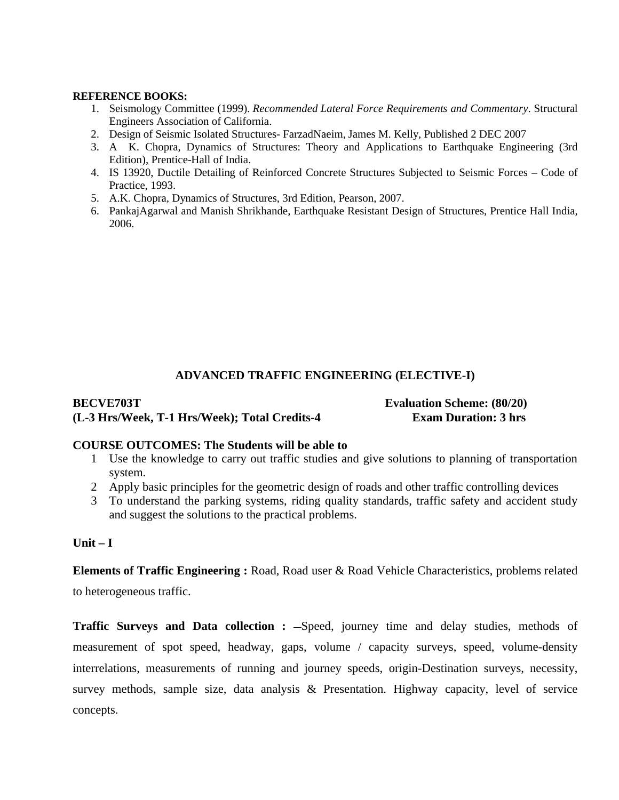#### **REFERENCE BOOKS:**

- 1. Seismology Committee (1999). *Recommended Lateral Force Requirements and Commentary*. Structural Engineers Association of California.
- 2. Design of Seismic Isolated Structures- FarzadNaeim, James M. Kelly, Published 2 DEC 2007
- 3. A K. Chopra, Dynamics of Structures: Theory and Applications to Earthquake Engineering (3rd Edition), Prentice-Hall of India.
- 4. IS 13920, Ductile Detailing of Reinforced Concrete Structures Subjected to Seismic Forces Code of Practice, 1993.
- 5. A.K. Chopra, Dynamics of Structures, 3rd Edition, Pearson, 2007.
- 6. PankajAgarwal and Manish Shrikhande, Earthquake Resistant Design of Structures, Prentice Hall India, 2006.

# **ADVANCED TRAFFIC ENGINEERING (ELECTIVE-I)**

# **BECVE703T Evaluation Scheme: (80/20) (L-3 Hrs/Week, T-1 Hrs/Week); Total Credits-4 Exam Duration: 3 hrs**

# **COURSE OUTCOMES: The Students will be able to**

- 1 Use the knowledge to carry out traffic studies and give solutions to planning of transportation system.
- 2 Apply basic principles for the geometric design of roads and other traffic controlling devices
- 3 To understand the parking systems, riding quality standards, traffic safety and accident study and suggest the solutions to the practical problems.

# **Unit – I**

**Elements of Traffic Engineering :** Road, Road user & Road Vehicle Characteristics, problems related

to heterogeneous traffic.

**Traffic Surveys and Data collection :** -Speed, journey time and delay studies, methods of measurement of spot speed, headway, gaps, volume / capacity surveys, speed, volume-density interrelations, measurements of running and journey speeds, origin-Destination surveys, necessity, survey methods, sample size, data analysis & Presentation. Highway capacity, level of service concepts.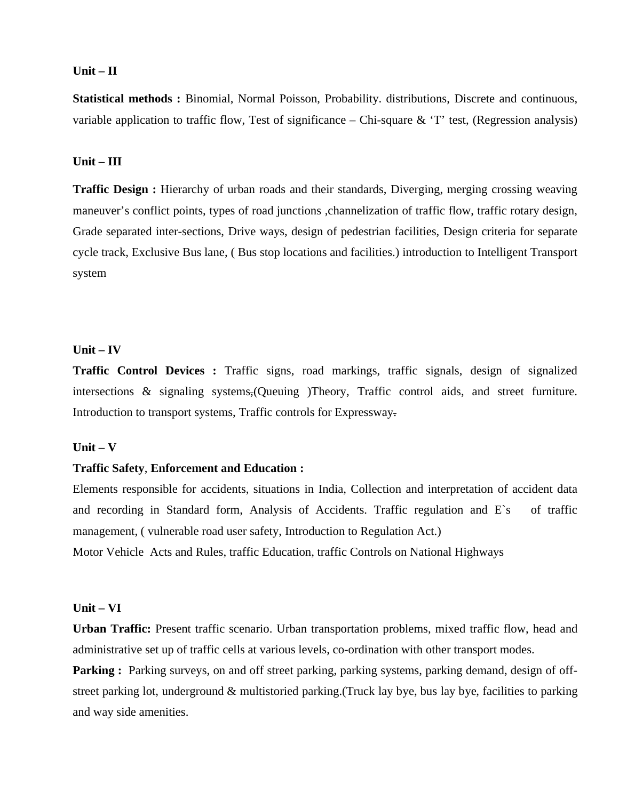#### **Unit – II**

**Statistical methods :** Binomial, Normal Poisson, Probability. distributions, Discrete and continuous, variable application to traffic flow, Test of significance – Chi-square  $\&$  T' test, (Regression analysis)

#### **Unit – III**

**Traffic Design :** Hierarchy of urban roads and their standards, Diverging, merging crossing weaving maneuver's conflict points, types of road junctions ,channelization of traffic flow, traffic rotary design, Grade separated inter-sections, Drive ways, design of pedestrian facilities, Design criteria for separate cycle track, Exclusive Bus lane, ( Bus stop locations and facilities.) introduction to Intelligent Transport system

#### **Unit – IV**

**Traffic Control Devices :** Traffic signs, road markings, traffic signals, design of signalized intersections & signaling systems,(Queuing )Theory, Traffic control aids, and street furniture. Introduction to transport systems, Traffic controls for Expressway.

#### **Unit – V**

#### **Traffic Safety**, **Enforcement and Education :**

Elements responsible for accidents, situations in India, Collection and interpretation of accident data and recording in Standard form, Analysis of Accidents. Traffic regulation and E`s of traffic management, ( vulnerable road user safety, Introduction to Regulation Act.) Motor Vehicle Acts and Rules, traffic Education, traffic Controls on National Highways

#### **Unit – VI**

**Urban Traffic:** Present traffic scenario. Urban transportation problems, mixed traffic flow, head and administrative set up of traffic cells at various levels, co-ordination with other transport modes.

**Parking :** Parking surveys, on and off street parking, parking systems, parking demand, design of offstreet parking lot, underground & multistoried parking.(Truck lay bye, bus lay bye, facilities to parking and way side amenities.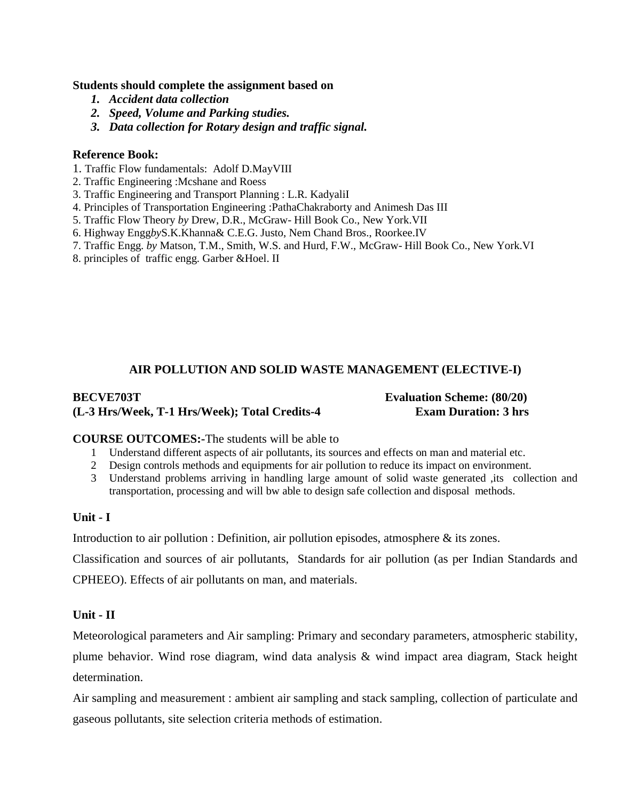# **Students should complete the assignment based on**

- *1. Accident data collection*
- *2. Speed, Volume and Parking studies.*
- *3. Data collection for Rotary design and traffic signal.*

# **Reference Book:**

- 1. Traffic Flow fundamentals: Adolf D.MayVIII
- 2. Traffic Engineering :Mcshane and Roess
- 3. Traffic Engineering and Transport Planning : L.R. KadyaliI
- 4. Principles of Transportation Engineering :PathaChakraborty and Animesh Das III
- 5. Traffic Flow Theory *by* Drew, D.R., McGraw- Hill Book Co., New York.VII
- 6. Highway Engg*by*S.K.Khanna& C.E.G. Justo, Nem Chand Bros., Roorkee.IV
- 7. Traffic Engg. *by* Matson, T.M., Smith, W.S. and Hurd, F.W., McGraw- Hill Book Co., New York.VI
- 8. principles of traffic engg. Garber &Hoel. II

# **AIR POLLUTION AND SOLID WASTE MANAGEMENT (ELECTIVE-I)**

# **BECVE703T Evaluation Scheme: (80/20) (L-3 Hrs/Week, T-1 Hrs/Week); Total Credits-4 Exam Duration: 3 hrs**

# **COURSE OUTCOMES:-**The students will be able to

- 1 Understand different aspects of air pollutants, its sources and effects on man and material etc.
- 2 Design controls methods and equipments for air pollution to reduce its impact on environment.
- 3 Understand problems arriving in handling large amount of solid waste generated ,its collection and transportation, processing and will bw able to design safe collection and disposal methods.

# **Unit - I**

Introduction to air pollution : Definition, air pollution episodes, atmosphere & its zones.

Classification and sources of air pollutants, Standards for air pollution (as per Indian Standards and

CPHEEO). Effects of air pollutants on man, and materials.

# **Unit - II**

Meteorological parameters and Air sampling: Primary and secondary parameters, atmospheric stability, plume behavior. Wind rose diagram, wind data analysis & wind impact area diagram, Stack height determination.

Air sampling and measurement : ambient air sampling and stack sampling, collection of particulate and gaseous pollutants, site selection criteria methods of estimation.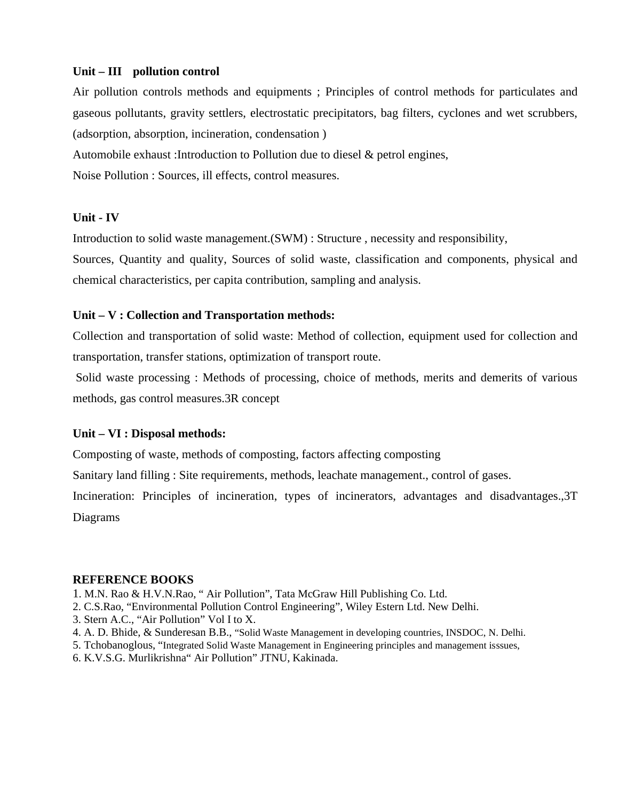### **Unit – III pollution control**

Air pollution controls methods and equipments ; Principles of control methods for particulates and gaseous pollutants, gravity settlers, electrostatic precipitators, bag filters, cyclones and wet scrubbers, (adsorption, absorption, incineration, condensation )

Automobile exhaust :Introduction to Pollution due to diesel & petrol engines,

Noise Pollution : Sources, ill effects, control measures.

# **Unit - IV**

Introduction to solid waste management.(SWM) : Structure , necessity and responsibility,

Sources, Quantity and quality, Sources of solid waste, classification and components, physical and chemical characteristics, per capita contribution, sampling and analysis.

# **Unit – V : Collection and Transportation methods:**

Collection and transportation of solid waste: Method of collection, equipment used for collection and transportation, transfer stations, optimization of transport route.

Solid waste processing : Methods of processing, choice of methods, merits and demerits of various methods, gas control measures.3R concept

# **Unit – VI : Disposal methods:**

Composting of waste, methods of composting, factors affecting composting

Sanitary land filling : Site requirements, methods, leachate management., control of gases.

Incineration: Principles of incineration, types of incinerators, advantages and disadvantages.,3T Diagrams

# **REFERENCE BOOKS**

1. M.N. Rao & H.V.N.Rao, " Air Pollution", Tata McGraw Hill Publishing Co. Ltd.

- 2. C.S.Rao, "Environmental Pollution Control Engineering", Wiley Estern Ltd. New Delhi.
- 3. Stern A.C., "Air Pollution" Vol I to X.
- 4. A. D. Bhide, & Sunderesan B.B., "Solid Waste Management in developing countries, INSDOC, N. Delhi.
- 5. Tchobanoglous, "Integrated Solid Waste Management in Engineering principles and management isssues,
- 6. K.V.S.G. Murlikrishna" Air Pollution" JTNU, Kakinada.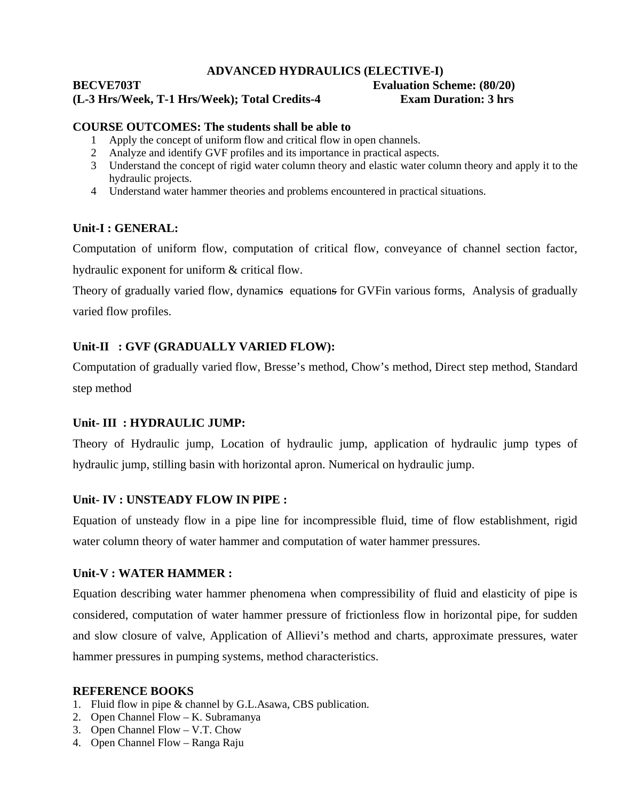# **ADVANCED HYDRAULICS (ELECTIVE-I)**

# **BECVE703T Evaluation Scheme: (80/20) (L-3 Hrs/Week, T-1 Hrs/Week); Total Credits-4 Exam Duration: 3 hrs**

# **COURSE OUTCOMES: The students shall be able to**

- 1 Apply the concept of uniform flow and critical flow in open channels.
- 2 Analyze and identify GVF profiles and its importance in practical aspects.
- 3 Understand the concept of rigid water column theory and elastic water column theory and apply it to the hydraulic projects.
- 4 Understand water hammer theories and problems encountered in practical situations.

# **Unit-I : GENERAL:**

Computation of uniform flow, computation of critical flow, conveyance of channel section factor, hydraulic exponent for uniform & critical flow.

Theory of gradually varied flow, dynamics equations for GVFin various forms, Analysis of gradually varied flow profiles.

# **Unit-II : GVF (GRADUALLY VARIED FLOW):**

Computation of gradually varied flow, Bresse's method, Chow's method, Direct step method, Standard step method

# **Unit- III : HYDRAULIC JUMP:**

Theory of Hydraulic jump, Location of hydraulic jump, application of hydraulic jump types of hydraulic jump, stilling basin with horizontal apron. Numerical on hydraulic jump.

# **Unit- IV : UNSTEADY FLOW IN PIPE :**

Equation of unsteady flow in a pipe line for incompressible fluid, time of flow establishment, rigid water column theory of water hammer and computation of water hammer pressures.

# **Unit-V : WATER HAMMER :**

Equation describing water hammer phenomena when compressibility of fluid and elasticity of pipe is considered, computation of water hammer pressure of frictionless flow in horizontal pipe, for sudden and slow closure of valve, Application of Allievi's method and charts, approximate pressures, water hammer pressures in pumping systems, method characteristics.

# **REFERENCE BOOKS**

- 1. Fluid flow in pipe & channel by G.L.Asawa, CBS publication.
- 2. Open Channel Flow K. Subramanya
- 3. Open Channel Flow V.T. Chow
- 4. Open Channel Flow Ranga Raju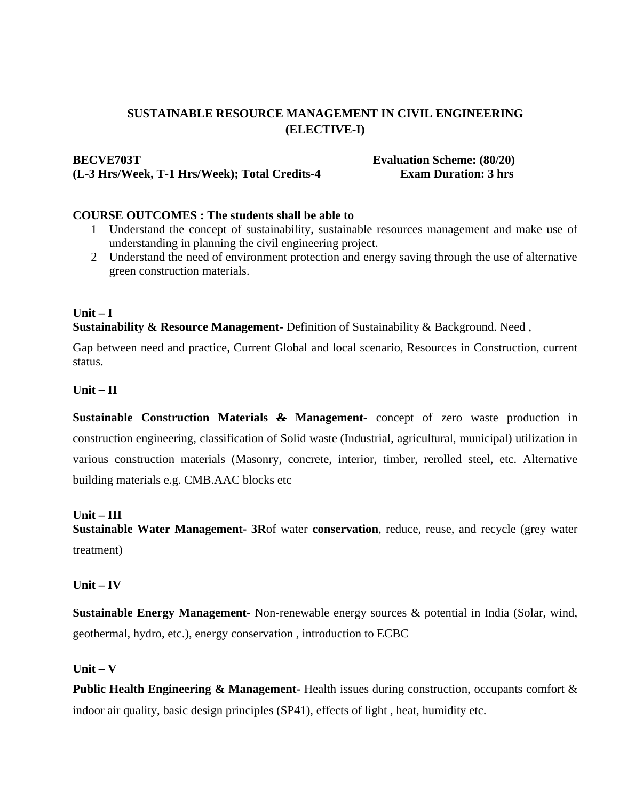# **SUSTAINABLE RESOURCE MANAGEMENT IN CIVIL ENGINEERING (ELECTIVE-I)**

# **BECVE703T Evaluation Scheme: (80/20) (L-3 Hrs/Week, T-1 Hrs/Week); Total Credits-4 Exam Duration: 3 hrs**

# **COURSE OUTCOMES : The students shall be able to**

- 1 Understand the concept of sustainability, sustainable resources management and make use of understanding in planning the civil engineering project.
- 2 Understand the need of environment protection and energy saving through the use of alternative green construction materials.

# **Unit – I**

**Sustainability & Resource Management-** Definition of Sustainability & Background. Need ,

Gap between need and practice, Current Global and local scenario, Resources in Construction, current status.

# **Unit – II**

**Sustainable Construction Materials & Management-** concept of zero waste production in construction engineering, classification of Solid waste (Industrial, agricultural, municipal) utilization in various construction materials (Masonry, concrete, interior, timber, rerolled steel, etc. Alternative building materials e.g. CMB.AAC blocks etc

# **Unit – III**

**Sustainable Water Management- 3R**of water **conservation**, reduce, reuse, and recycle (grey water treatment)

# **Unit – IV**

**Sustainable Energy Management**- Non-renewable energy sources & potential in India (Solar, wind, geothermal, hydro, etc.), energy conservation , introduction to ECBC

# **Unit – V**

**Public Health Engineering & Management-** Health issues during construction, occupants comfort & indoor air quality, basic design principles (SP41), effects of light , heat, humidity etc.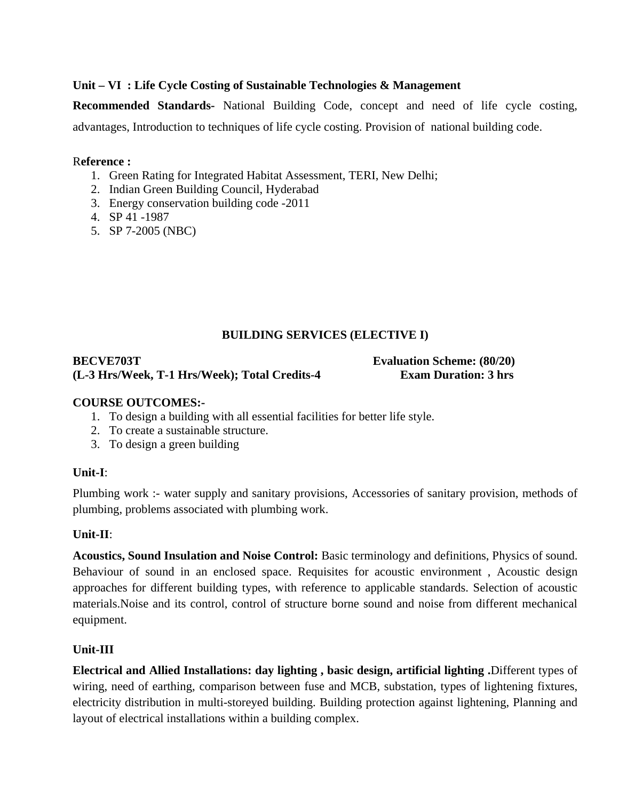# **Unit – VI : Life Cycle Costing of Sustainable Technologies & Management**

**Recommended Standards-** National Building Code, concept and need of life cycle costing, advantages, Introduction to techniques of life cycle costing. Provision of national building code.

# R**eference :**

- 1. Green Rating for Integrated Habitat Assessment, TERI, New Delhi;
- 2. Indian Green Building Council, Hyderabad
- 3. Energy conservation building code -2011
- 4. SP 41 -1987
- 5. SP 7-2005 (NBC)

# **BUILDING SERVICES (ELECTIVE I)**

# **BECVE703T Evaluation Scheme: (80/20) (L-3 Hrs/Week, T-1 Hrs/Week); Total Credits-4 Exam Duration: 3 hrs**

# **COURSE OUTCOMES:-**

- 1. To design a building with all essential facilities for better life style.
- 2. To create a sustainable structure.
- 3. To design a green building

# **Unit-I**:

Plumbing work :- water supply and sanitary provisions, Accessories of sanitary provision, methods of plumbing, problems associated with plumbing work.

# **Unit-II**:

**Acoustics, Sound Insulation and Noise Control:** Basic terminology and definitions, Physics of sound. Behaviour of sound in an enclosed space. Requisites for acoustic environment , Acoustic design approaches for different building types, with reference to applicable standards. Selection of acoustic materials.Noise and its control, control of structure borne sound and noise from different mechanical equipment.

# **Unit-III**

**Electrical and Allied Installations: day lighting , basic design, artificial lighting .**Different types of wiring, need of earthing, comparison between fuse and MCB, substation, types of lightening fixtures, electricity distribution in multi-storeyed building. Building protection against lightening, Planning and layout of electrical installations within a building complex.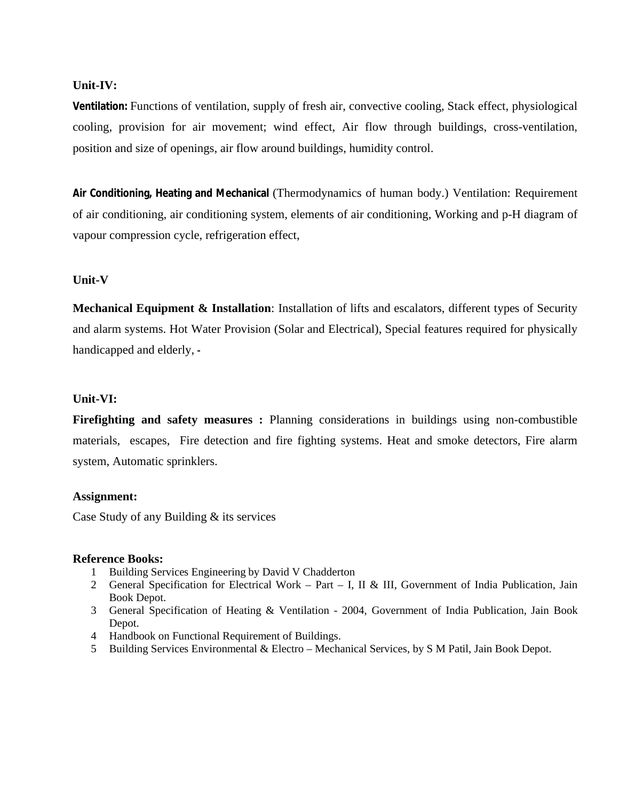## **Unit-IV:**

**Ventilation:** Functions of ventilation, supply of fresh air, convective cooling, Stack effect, physiological cooling, provision for air movement; wind effect, Air flow through buildings, cross-ventilation, position and size of openings, air flow around buildings, humidity control.

**Air Conditioning, Heating and Mechanical** (Thermodynamics of human body.) Ventilation: Requirement of air conditioning, air conditioning system, elements of air conditioning, Working and p-H diagram of vapour compression cycle, refrigeration effect,

### **Unit-V**

**Mechanical Equipment & Installation**: Installation of lifts and escalators, different types of Security and alarm systems. Hot Water Provision (Solar and Electrical), Special features required for physically handicapped and elderly, -

### **Unit-VI:**

**Firefighting and safety measures :** Planning considerations in buildings using non-combustible materials, escapes, Fire detection and fire fighting systems. Heat and smoke detectors, Fire alarm system, Automatic sprinklers.

#### **Assignment:**

Case Study of any Building & its services

#### **Reference Books:**

- 1 Building Services Engineering by David V Chadderton
- 2 General Specification for Electrical Work Part I, II & III, Government of India Publication, Jain Book Depot.
- 3 General Specification of Heating & Ventilation 2004, Government of India Publication, Jain Book Depot.
- 4 Handbook on Functional Requirement of Buildings.
- 5 Building Services Environmental & Electro Mechanical Services, by S M Patil, Jain Book Depot.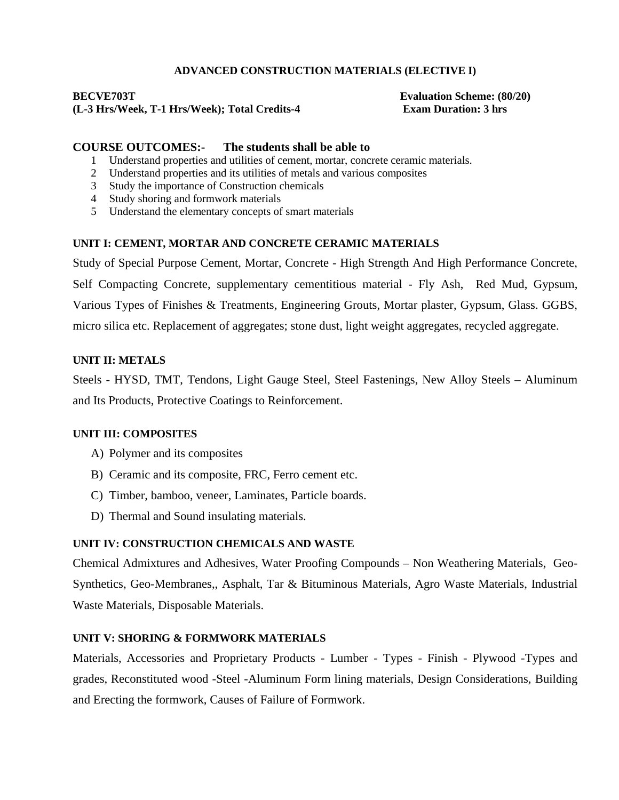### **ADVANCED CONSTRUCTION MATERIALS (ELECTIVE I)**

### **BECVE703T Evaluation Scheme: (80/20) (L-3 Hrs/Week, T-1 Hrs/Week); Total Credits-4 Exam Duration: 3 hrs**

### **COURSE OUTCOMES:- The students shall be able to**

- 1 Understand properties and utilities of cement, mortar, concrete ceramic materials.
- 2 Understand properties and its utilities of metals and various composites
- 3 Study the importance of Construction chemicals
- 4 Study shoring and formwork materials
- 5 Understand the elementary concepts of smart materials

### **UNIT I: CEMENT, MORTAR AND CONCRETE CERAMIC MATERIALS**

Study of Special Purpose Cement, Mortar, Concrete - High Strength And High Performance Concrete, Self Compacting Concrete, supplementary cementitious material - Fly Ash, Red Mud, Gypsum, Various Types of Finishes & Treatments, Engineering Grouts, Mortar plaster, Gypsum, Glass. GGBS, micro silica etc. Replacement of aggregates; stone dust, light weight aggregates, recycled aggregate.

### **UNIT II: METALS**

Steels - HYSD, TMT, Tendons, Light Gauge Steel, Steel Fastenings, New Alloy Steels – Aluminum and Its Products, Protective Coatings to Reinforcement.

#### **UNIT III: COMPOSITES**

- A) Polymer and its composites
- B) Ceramic and its composite, FRC, Ferro cement etc.
- C) Timber, bamboo, veneer, Laminates, Particle boards.
- D) Thermal and Sound insulating materials.

#### **UNIT IV: CONSTRUCTION CHEMICALS AND WASTE**

Chemical Admixtures and Adhesives, Water Proofing Compounds – Non Weathering Materials, Geo-Synthetics, Geo-Membranes,, Asphalt, Tar & Bituminous Materials, Agro Waste Materials, Industrial Waste Materials, Disposable Materials.

# **UNIT V: SHORING & FORMWORK MATERIALS**

Materials, Accessories and Proprietary Products - Lumber - Types - Finish - Plywood -Types and grades, Reconstituted wood -Steel -Aluminum Form lining materials, Design Considerations, Building and Erecting the formwork, Causes of Failure of Formwork.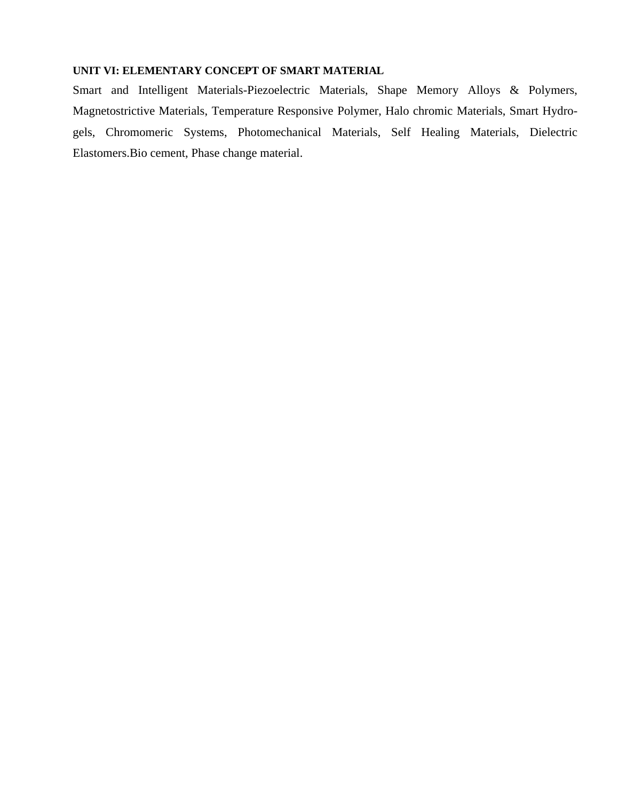# **UNIT VI: ELEMENTARY CONCEPT OF SMART MATERIAL**

Smart and Intelligent Materials-Piezoelectric Materials, Shape Memory Alloys & Polymers, Magnetostrictive Materials, Temperature Responsive Polymer, Halo chromic Materials, Smart Hydrogels, Chromomeric Systems, Photomechanical Materials, Self Healing Materials, Dielectric Elastomers.Bio cement, Phase change material.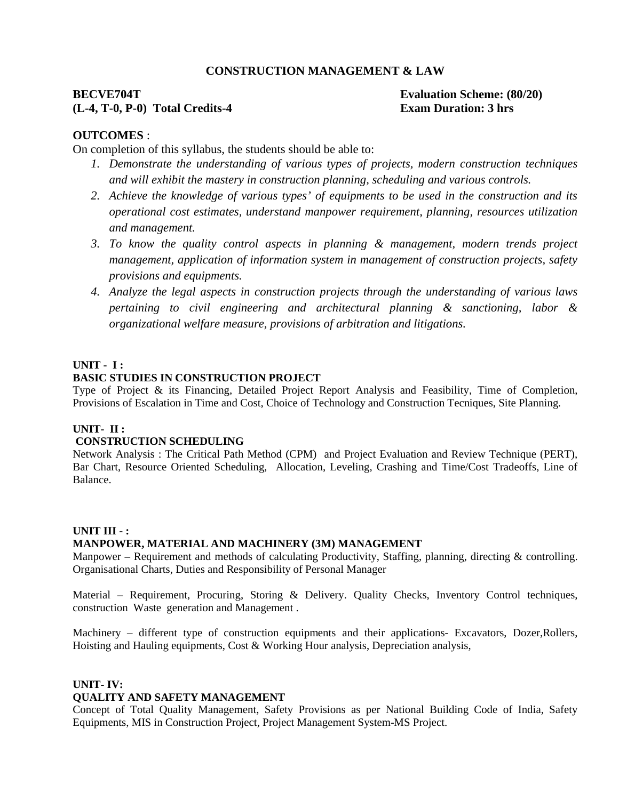# **CONSTRUCTION MANAGEMENT & LAW**

# **BECVE704T Evaluation Scheme: (80/20) (L-4, T-0, P-0) Total Credits-4 Exam Duration: 3 hrs**

# **OUTCOMES** :

On completion of this syllabus, the students should be able to:

- *1. Demonstrate the understanding of various types of projects, modern construction techniques and will exhibit the mastery in construction planning, scheduling and various controls.*
- *2. Achieve the knowledge of various types' of equipments to be used in the construction and its operational cost estimates, understand manpower requirement, planning, resources utilization and management.*
- *3. To know the quality control aspects in planning & management, modern trends project management, application of information system in management of construction projects, safety provisions and equipments.*
- *4. Analyze the legal aspects in construction projects through the understanding of various laws pertaining to civil engineering and architectural planning & sanctioning, labor & organizational welfare measure, provisions of arbitration and litigations.*

### **UNIT - I :**

#### **BASIC STUDIES IN CONSTRUCTION PROJECT**

Type of Project & its Financing, Detailed Project Report Analysis and Feasibility, Time of Completion, Provisions of Escalation in Time and Cost, Choice of Technology and Construction Tecniques, Site Planning.

# **UNIT- II :**

#### **CONSTRUCTION SCHEDULING**

Network Analysis : The Critical Path Method (CPM) and Project Evaluation and Review Technique (PERT), Bar Chart, Resource Oriented Scheduling, Allocation, Leveling, Crashing and Time/Cost Tradeoffs, Line of Balance.

#### **UNIT III - :**

#### **MANPOWER, MATERIAL AND MACHINERY (3M) MANAGEMENT**

Manpower – Requirement and methods of calculating Productivity, Staffing, planning, directing & controlling. Organisational Charts, Duties and Responsibility of Personal Manager

Material – Requirement, Procuring, Storing & Delivery. Quality Checks, Inventory Control techniques, construction Waste generation and Management .

Machinery – different type of construction equipments and their applications- Excavators, Dozer,Rollers, Hoisting and Hauling equipments, Cost & Working Hour analysis, Depreciation analysis,

#### **UNIT- IV:**

#### **QUALITY AND SAFETY MANAGEMENT**

Concept of Total Quality Management, Safety Provisions as per National Building Code of India, Safety Equipments, MIS in Construction Project, Project Management System-MS Project.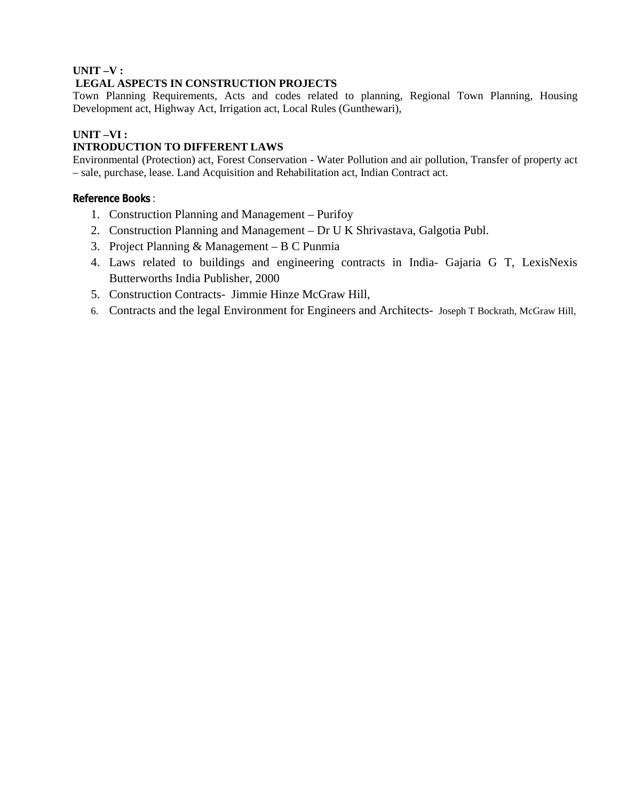# **UNIT –V :**

# **LEGAL ASPECTS IN CONSTRUCTION PROJECTS**

Town Planning Requirements, Acts and codes related to planning, Regional Town Planning, Housing Development act, Highway Act, Irrigation act, Local Rules (Gunthewari),

# **UNIT –VI :**

# **INTRODUCTION TO DIFFERENT LAWS**

Environmental (Protection) act, Forest Conservation - Water Pollution and air pollution, Transfer of property act – sale, purchase, lease. Land Acquisition and Rehabilitation act, Indian Contract act.

**Reference Books** :

- 1. Construction Planning and Management Purifoy
- 2. Construction Planning and Management Dr U K Shrivastava, Galgotia Publ.
- 3. Project Planning & Management B C Punmia
- 4. Laws related to buildings and engineering contracts in India- Gajaria G T, LexisNexis Butterworths India Publisher, 2000
- 5. Construction Contracts- Jimmie Hinze McGraw Hill,
- 6. Contracts and the legal Environment for Engineers and Architects- Joseph T Bockrath, McGraw Hill,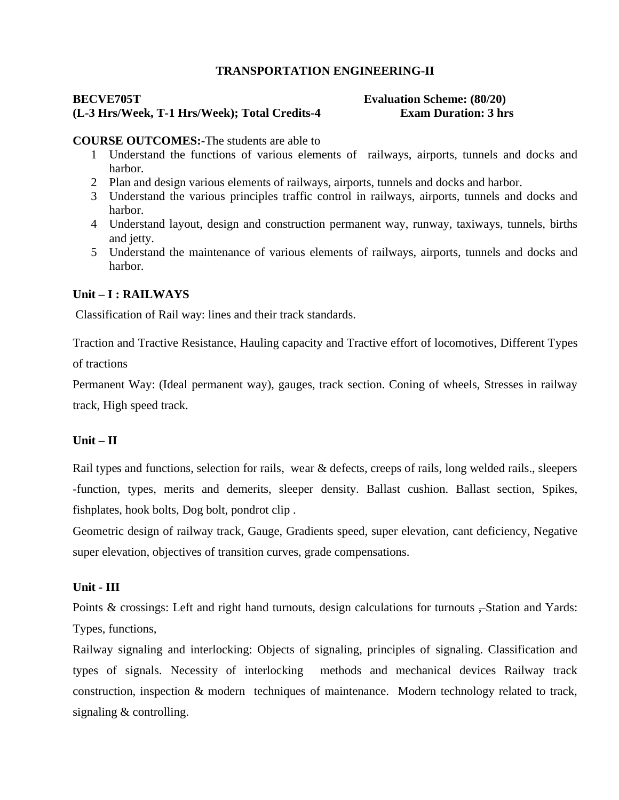# **TRANSPORTATION ENGINEERING-II**

# **BECVE705T Evaluation Scheme: (80/20) (L-3 Hrs/Week, T-1 Hrs/Week); Total Credits-4 Exam Duration: 3 hrs**

# **COURSE OUTCOMES:-**The students are able to

- 1 Understand the functions of various elements of railways, airports, tunnels and docks and harbor.
- 2 Plan and design various elements of railways, airports, tunnels and docks and harbor.
- 3 Understand the various principles traffic control in railways, airports, tunnels and docks and harbor.
- 4 Understand layout, design and construction permanent way, runway, taxiways, tunnels, births and jetty.
- 5 Understand the maintenance of various elements of railways, airports, tunnels and docks and harbor.

# **Unit – I : RAILWAYS**

Classification of Rail way: lines and their track standards.

Traction and Tractive Resistance, Hauling capacity and Tractive effort of locomotives, Different Types of tractions

Permanent Way: (Ideal permanent way), gauges, track section. Coning of wheels, Stresses in railway track, High speed track.

# **Unit – II**

Rail types and functions, selection for rails, wear & defects, creeps of rails, long welded rails., sleepers -function, types, merits and demerits, sleeper density. Ballast cushion. Ballast section, Spikes, fishplates, hook bolts, Dog bolt, pondrot clip .

Geometric design of railway track, Gauge, Gradients speed, super elevation, cant deficiency, Negative super elevation, objectives of transition curves, grade compensations.

# **Unit - III**

Points & crossings: Left and right hand turnouts, design calculations for turnouts , Station and Yards: Types, functions,

Railway signaling and interlocking: Objects of signaling, principles of signaling. Classification and types of signals. Necessity of interlocking methods and mechanical devices Railway track construction, inspection & modern techniques of maintenance. Modern technology related to track, signaling & controlling.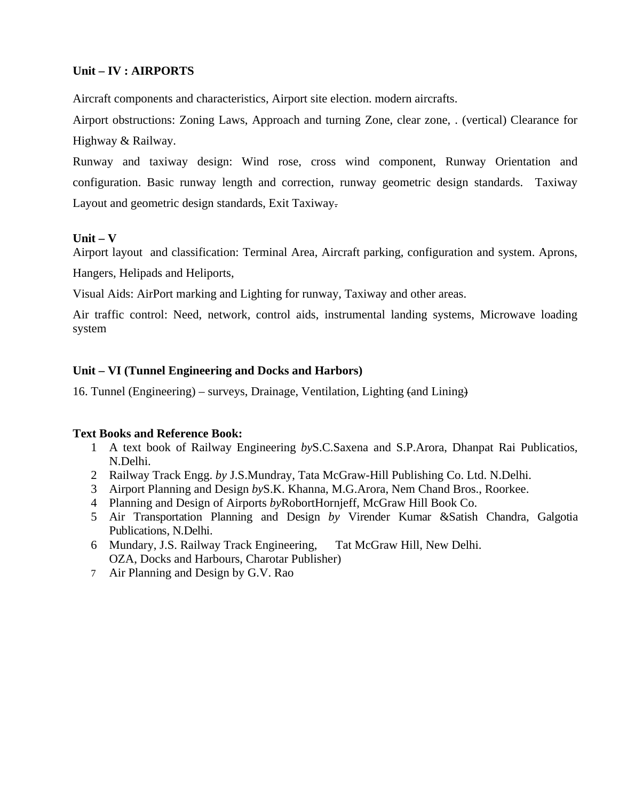# **Unit – IV : AIRPORTS**

Aircraft components and characteristics, Airport site election. modern aircrafts.

Airport obstructions: Zoning Laws, Approach and turning Zone, clear zone, . (vertical) Clearance for Highway & Railway.

Runway and taxiway design: Wind rose, cross wind component, Runway Orientation and configuration. Basic runway length and correction, runway geometric design standards. Taxiway Layout and geometric design standards, Exit Taxiway.

# **Unit – V**

Airport layout and classification: Terminal Area, Aircraft parking, configuration and system. Aprons,

Hangers, Helipads and Heliports,

Visual Aids: AirPort marking and Lighting for runway, Taxiway and other areas.

Air traffic control: Need, network, control aids, instrumental landing systems, Microwave loading system

# **Unit – VI (Tunnel Engineering and Docks and Harbors)**

16. Tunnel (Engineering) – surveys, Drainage, Ventilation, Lighting (and Lining)

# **Text Books and Reference Book:**

- 1 A text book of Railway Engineering *by*S.C.Saxena and S.P.Arora, Dhanpat Rai Publicatios, N.Delhi.
- 2 Railway Track Engg. *by* J.S.Mundray, Tata McGraw-Hill Publishing Co. Ltd. N.Delhi.
- 3 Airport Planning and Design *by*S.K. Khanna, M.G.Arora, Nem Chand Bros., Roorkee.
- 4 Planning and Design of Airports *by*RobortHornjeff, McGraw Hill Book Co.
- 5 Air Transportation Planning and Design *by* Virender Kumar &Satish Chandra, Galgotia Publications, N.Delhi.
- 6 Mundary, J.S. Railway Track Engineering, Tat McGraw Hill, New Delhi. OZA, Docks and Harbours, Charotar Publisher)
- 7 Air Planning and Design by G.V. Rao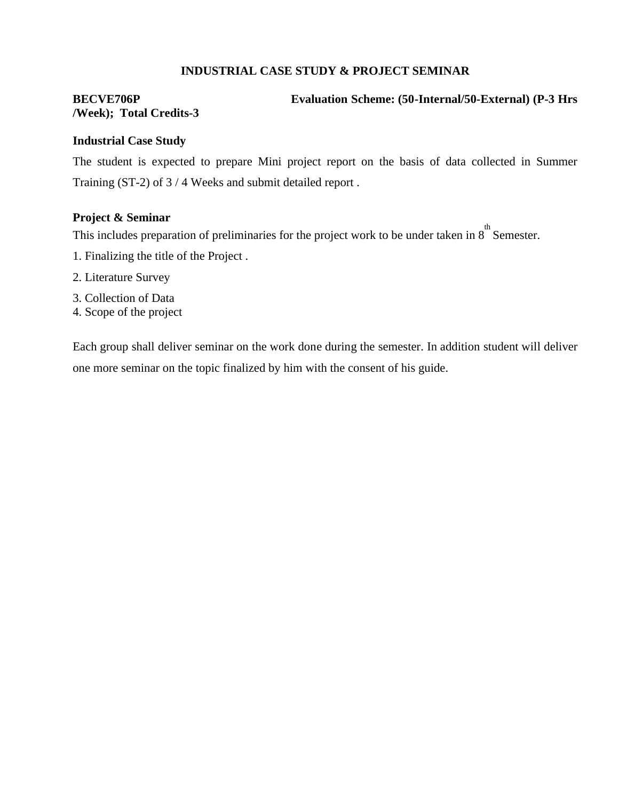# **INDUSTRIAL CASE STUDY & PROJECT SEMINAR**

# **BECVE706P Evaluation Scheme: (50-Internal/50-External) (P-3 Hrs /Week); Total Credits-3**

## **Industrial Case Study**

The student is expected to prepare Mini project report on the basis of data collected in Summer Training (ST-2) of 3 / 4 Weeks and submit detailed report .

# **Project & Seminar**

This includes preparation of preliminaries for the project work to be under taken in  $8^{\circ}$  Semester.

- 1. Finalizing the title of the Project .
- 2. Literature Survey
- 3. Collection of Data
- 4. Scope of the project

Each group shall deliver seminar on the work done during the semester. In addition student will deliver one more seminar on the topic finalized by him with the consent of his guide.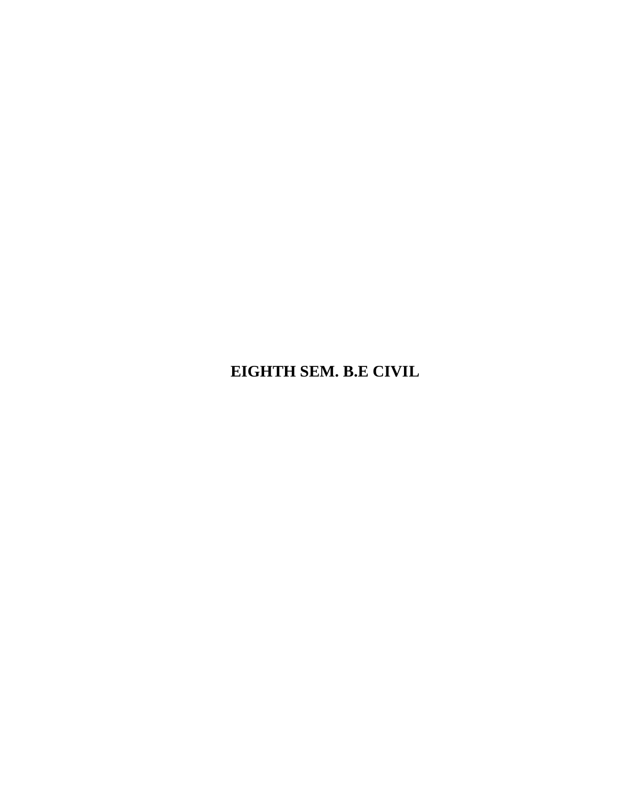# **EIGHTH SEM. B.E CIVIL**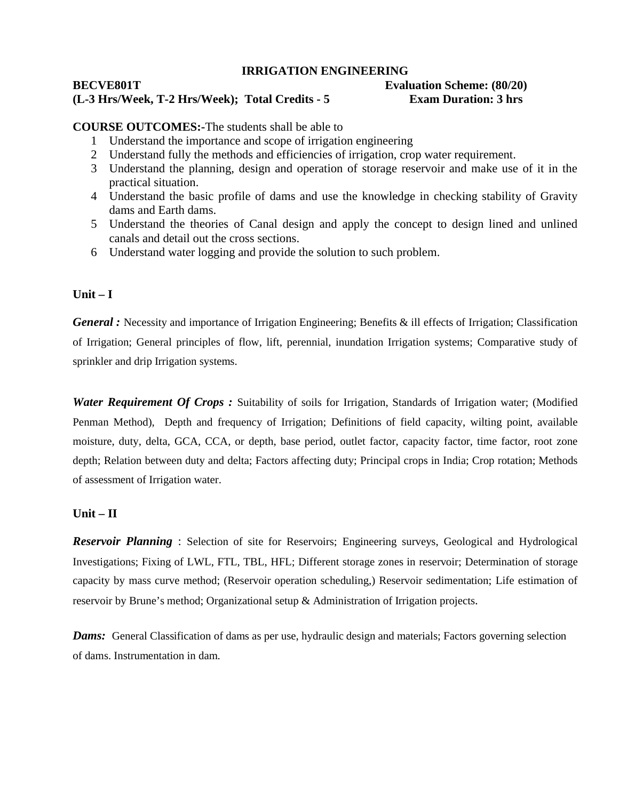### **IRRIGATION ENGINEERING**

# **BECVE801T** Evaluation Scheme: (80/20) **(L-3 Hrs/Week, T-2 Hrs/Week); Total Credits - 5 Exam Duration: 3 hrs**

# **COURSE OUTCOMES:-**The students shall be able to

- 1 Understand the importance and scope of irrigation engineering
- 2 Understand fully the methods and efficiencies of irrigation, crop water requirement.
- 3 Understand the planning, design and operation of storage reservoir and make use of it in the practical situation.
- 4 Understand the basic profile of dams and use the knowledge in checking stability of Gravity dams and Earth dams.
- 5 Understand the theories of Canal design and apply the concept to design lined and unlined canals and detail out the cross sections.
- 6 Understand water logging and provide the solution to such problem.

### **Unit – I**

*General :* Necessity and importance of Irrigation Engineering; Benefits & ill effects of Irrigation; Classification of Irrigation; General principles of flow, lift, perennial, inundation Irrigation systems; Comparative study of sprinkler and drip Irrigation systems.

*Water Requirement Of Crops :* Suitability of soils for Irrigation, Standards of Irrigation water; (Modified Penman Method), Depth and frequency of Irrigation; Definitions of field capacity, wilting point, available moisture, duty, delta, GCA, CCA, or depth, base period, outlet factor, capacity factor, time factor, root zone depth; Relation between duty and delta; Factors affecting duty; Principal crops in India; Crop rotation; Methods of assessment of Irrigation water.

#### **Unit – II**

**Reservoir Planning**: Selection of site for Reservoirs; Engineering surveys, Geological and Hydrological Investigations; Fixing of LWL, FTL, TBL, HFL; Different storage zones in reservoir; Determination of storage capacity by mass curve method; (Reservoir operation scheduling,) Reservoir sedimentation; Life estimation of reservoir by Brune's method; Organizational setup & Administration of Irrigation projects.

*Dams:* General Classification of dams as per use, hydraulic design and materials; Factors governing selection of dams. Instrumentation in dam.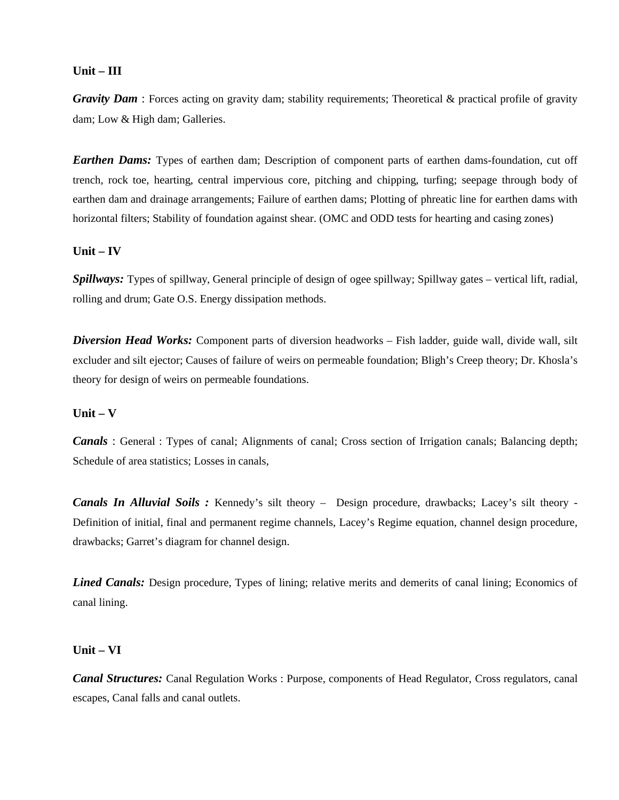#### **Unit – III**

*Gravity Dam* : Forces acting on gravity dam; stability requirements; Theoretical & practical profile of gravity dam; Low & High dam; Galleries.

*Earthen Dams:* Types of earthen dam; Description of component parts of earthen dams-foundation, cut off trench, rock toe, hearting, central impervious core, pitching and chipping, turfing; seepage through body of earthen dam and drainage arrangements; Failure of earthen dams; Plotting of phreatic line for earthen dams with horizontal filters; Stability of foundation against shear. (OMC and ODD tests for hearting and casing zones)

#### **Unit – IV**

*Spillways:* Types of spillway, General principle of design of ogee spillway; Spillway gates – vertical lift, radial, rolling and drum; Gate O.S. Energy dissipation methods.

*Diversion Head Works:* Component parts of diversion headworks – Fish ladder, guide wall, divide wall, silt excluder and silt ejector; Causes of failure of weirs on permeable foundation; Bligh's Creep theory; Dr. Khosla's theory for design of weirs on permeable foundations.

#### **Unit – V**

*Canals* : General : Types of canal; Alignments of canal; Cross section of Irrigation canals; Balancing depth; Schedule of area statistics; Losses in canals,

*Canals In Alluvial Soils :* Kennedy's silt theory – Design procedure, drawbacks; Lacey's silt theory - Definition of initial, final and permanent regime channels, Lacey's Regime equation, channel design procedure, drawbacks; Garret's diagram for channel design.

*Lined Canals:* Design procedure, Types of lining; relative merits and demerits of canal lining; Economics of canal lining.

#### **Unit – VI**

*Canal Structures:* Canal Regulation Works : Purpose, components of Head Regulator, Cross regulators, canal escapes, Canal falls and canal outlets.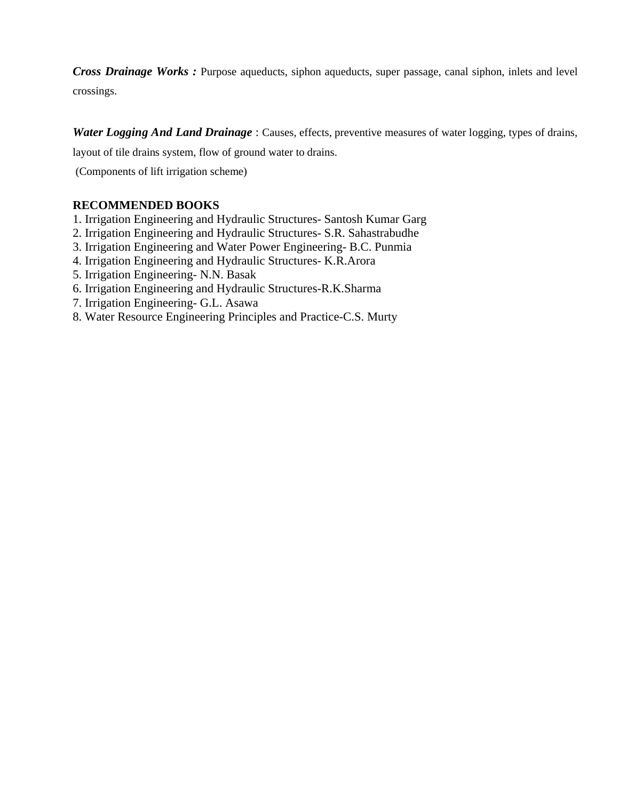*Cross Drainage Works*: Purpose aqueducts, siphon aqueducts, super passage, canal siphon, inlets and level crossings.

*Water Logging And Land Drainage* : Causes, effects, preventive measures of water logging, types of drains,

layout of tile drains system, flow of ground water to drains.

(Components of lift irrigation scheme)

# **RECOMMENDED BOOKS**

- 1. Irrigation Engineering and Hydraulic Structures- Santosh Kumar Garg
- 2. Irrigation Engineering and Hydraulic Structures- S.R. Sahastrabudhe
- 3. Irrigation Engineering and Water Power Engineering- B.C. Punmia
- 4. Irrigation Engineering and Hydraulic Structures- K.R.Arora
- 5. Irrigation Engineering- N.N. Basak
- 6. Irrigation Engineering and Hydraulic Structures-R.K.Sharma
- 7. Irrigation Engineering- G.L. Asawa
- 8. Water Resource Engineering Principles and Practice-C.S. Murty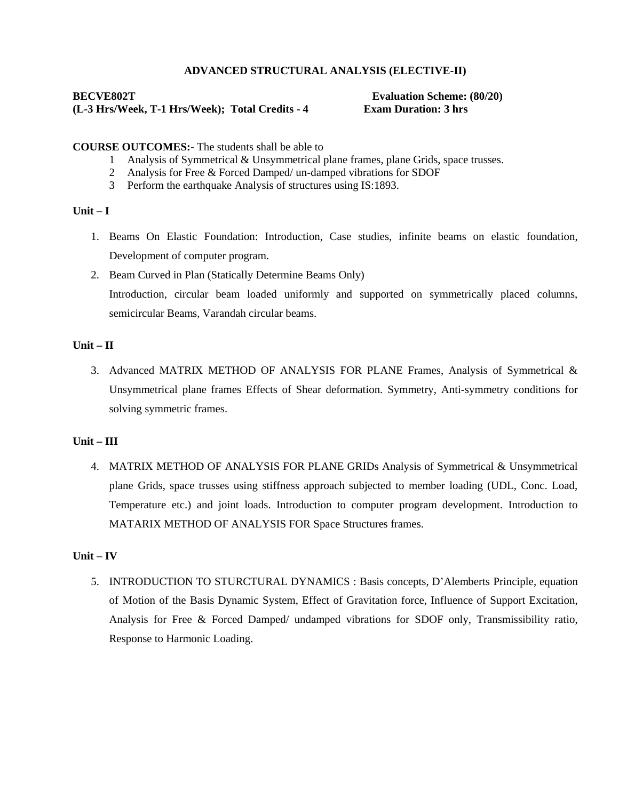#### **ADVANCED STRUCTURAL ANALYSIS (ELECTIVE-II)**

### **BECVE802T Evaluation Scheme: (80/20) (L-3 Hrs/Week, T-1 Hrs/Week); Total Credits - 4 Exam Duration: 3 hrs**

**COURSE OUTCOMES:-** The students shall be able to

- 1 Analysis of Symmetrical & Unsymmetrical plane frames, plane Grids, space trusses.
- 2 Analysis for Free & Forced Damped/ un-damped vibrations for SDOF
- 3 Perform the earthquake Analysis of structures using IS:1893.

### **Unit – I**

- 1. Beams On Elastic Foundation: Introduction, Case studies, infinite beams on elastic foundation, Development of computer program.
- 2. Beam Curved in Plan (Statically Determine Beams Only) Introduction, circular beam loaded uniformly and supported on symmetrically placed columns, semicircular Beams, Varandah circular beams.

# **Unit – II**

3. Advanced MATRIX METHOD OF ANALYSIS FOR PLANE Frames, Analysis of Symmetrical & Unsymmetrical plane frames Effects of Shear deformation. Symmetry, Anti-symmetry conditions for solving symmetric frames.

#### **Unit – III**

4. MATRIX METHOD OF ANALYSIS FOR PLANE GRIDs Analysis of Symmetrical & Unsymmetrical plane Grids, space trusses using stiffness approach subjected to member loading (UDL, Conc. Load, Temperature etc.) and joint loads. Introduction to computer program development. Introduction to MATARIX METHOD OF ANALYSIS FOR Space Structures frames.

# **Unit – IV**

5. INTRODUCTION TO STURCTURAL DYNAMICS : Basis concepts, D'Alemberts Principle, equation of Motion of the Basis Dynamic System, Effect of Gravitation force, Influence of Support Excitation, Analysis for Free & Forced Damped/ undamped vibrations for SDOF only, Transmissibility ratio, Response to Harmonic Loading.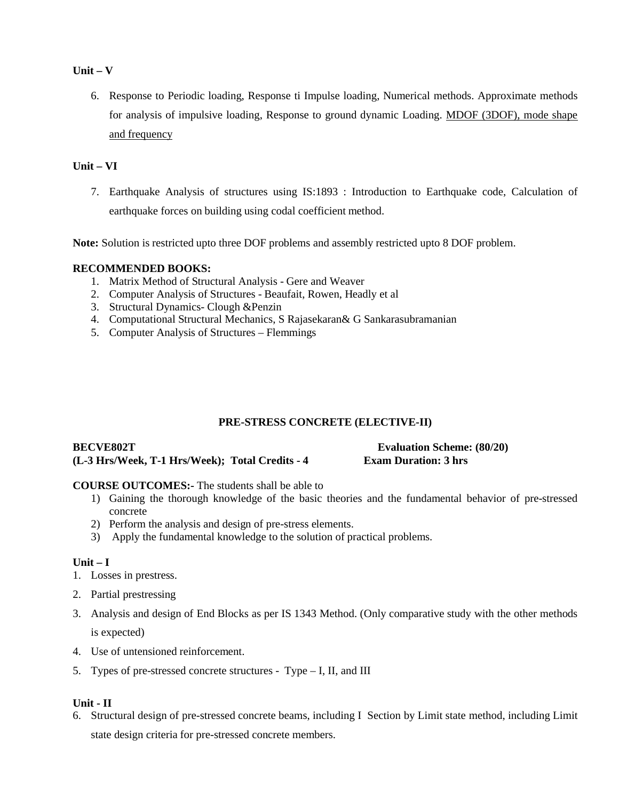**Unit – V**

6. Response to Periodic loading, Response ti Impulse loading, Numerical methods. Approximate methods for analysis of impulsive loading, Response to ground dynamic Loading. MDOF (3DOF), mode shape and frequency

#### **Unit – VI**

7. Earthquake Analysis of structures using IS:1893 : Introduction to Earthquake code, Calculation of earthquake forces on building using codal coefficient method.

**Note:** Solution is restricted upto three DOF problems and assembly restricted upto 8 DOF problem.

#### **RECOMMENDED BOOKS:**

- 1. Matrix Method of Structural Analysis Gere and Weaver
- 2. Computer Analysis of Structures Beaufait, Rowen, Headly et al
- 3. Structural Dynamics- Clough &Penzin
- 4. Computational Structural Mechanics, S Rajasekaran& G Sankarasubramanian
- 5. Computer Analysis of Structures Flemmings

#### **PRE-STRESS CONCRETE (ELECTIVE-II)**

#### **BECVE802T Evaluation Scheme: (80/20) (L-3 Hrs/Week, T-1 Hrs/Week); Total Credits - 4 Exam Duration: 3 hrs**

#### **COURSE OUTCOMES:-** The students shall be able to

- 1) Gaining the thorough knowledge of the basic theories and the fundamental behavior of pre-stressed concrete
- 2) Perform the analysis and design of pre-stress elements.
- 3) Apply the fundamental knowledge to the solution of practical problems.

#### **Unit – I**

- 1. Losses in prestress.
- 2. Partial prestressing
- 3. Analysis and design of End Blocks as per IS 1343 Method. (Only comparative study with the other methods is expected)
- 4. Use of untensioned reinforcement.
- 5. Types of pre-stressed concrete structures Type I, II, and III

#### **Unit - II**

6. Structural design of pre-stressed concrete beams, including I Section by Limit state method, including Limit state design criteria for pre-stressed concrete members.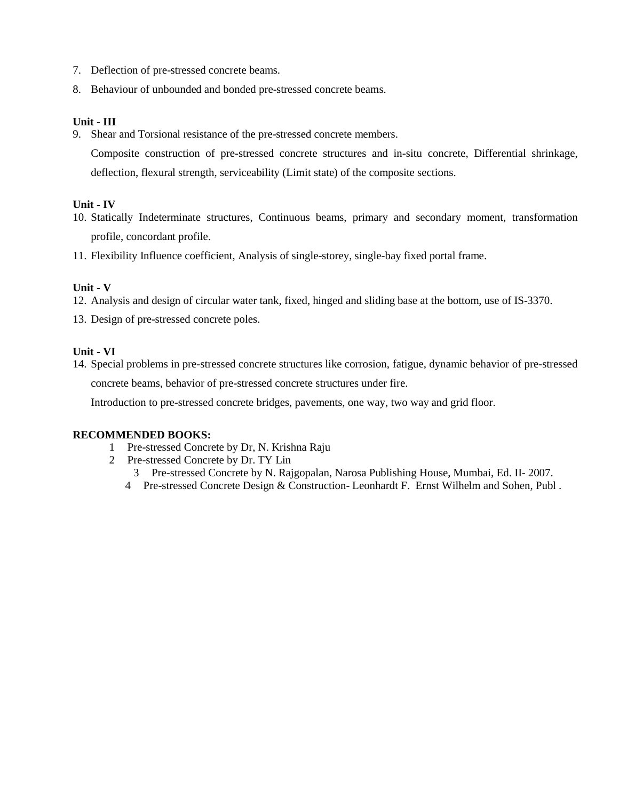- 7. Deflection of pre-stressed concrete beams.
- 8. Behaviour of unbounded and bonded pre-stressed concrete beams.

#### **Unit - III**

9. Shear and Torsional resistance of the pre-stressed concrete members.

Composite construction of pre-stressed concrete structures and in-situ concrete, Differential shrinkage, deflection, flexural strength, serviceability (Limit state) of the composite sections.

#### **Unit - IV**

- 10. Statically Indeterminate structures, Continuous beams, primary and secondary moment, transformation profile, concordant profile.
- 11. Flexibility Influence coefficient, Analysis of single-storey, single-bay fixed portal frame.

#### **Unit - V**

- 12. Analysis and design of circular water tank, fixed, hinged and sliding base at the bottom, use of IS-3370.
- 13. Design of pre-stressed concrete poles.

#### **Unit - VI**

14. Special problems in pre-stressed concrete structures like corrosion, fatigue, dynamic behavior of pre-stressed concrete beams, behavior of pre-stressed concrete structures under fire.

Introduction to pre-stressed concrete bridges, pavements, one way, two way and grid floor.

#### **RECOMMENDED BOOKS:**

- 1 Pre-stressed Concrete by Dr, N. Krishna Raju
- 2 Pre-stressed Concrete by Dr. TY Lin
	- 3 Pre-stressed Concrete by N. Rajgopalan, Narosa Publishing House, Mumbai, Ed. II- 2007.
	- 4 Pre-stressed Concrete Design & Construction- Leonhardt F. Ernst Wilhelm and Sohen, Publ .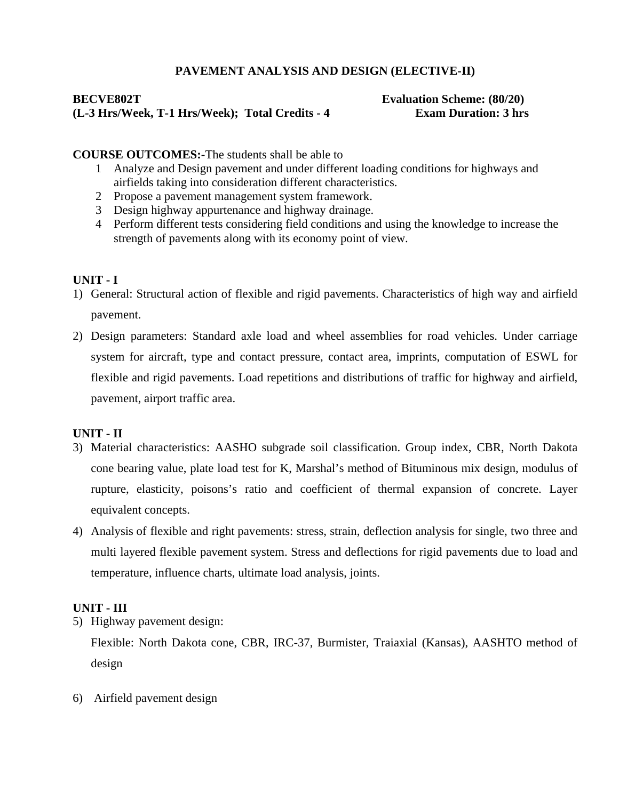# **PAVEMENT ANALYSIS AND DESIGN (ELECTIVE-II)**

# **BECVE802T Evaluation Scheme: (80/20) (L-3 Hrs/Week, T-1 Hrs/Week); Total Credits - 4 Exam Duration: 3 hrs**

# **COURSE OUTCOMES:-**The students shall be able to

- 1 Analyze and Design pavement and under different loading conditions for highways and airfields taking into consideration different characteristics.
- 2 Propose a pavement management system framework.
- 3 Design highway appurtenance and highway drainage.
- 4 Perform different tests considering field conditions and using the knowledge to increase the strength of pavements along with its economy point of view.

# **UNIT - I**

- 1) General: Structural action of flexible and rigid pavements. Characteristics of high way and airfield pavement.
- 2) Design parameters: Standard axle load and wheel assemblies for road vehicles. Under carriage system for aircraft, type and contact pressure, contact area, imprints, computation of ESWL for flexible and rigid pavements. Load repetitions and distributions of traffic for highway and airfield, pavement, airport traffic area.

# **UNIT - II**

- 3) Material characteristics: AASHO subgrade soil classification. Group index, CBR, North Dakota cone bearing value, plate load test for K, Marshal's method of Bituminous mix design, modulus of rupture, elasticity, poisons's ratio and coefficient of thermal expansion of concrete. Layer equivalent concepts.
- 4) Analysis of flexible and right pavements: stress, strain, deflection analysis for single, two three and multi layered flexible pavement system. Stress and deflections for rigid pavements due to load and temperature, influence charts, ultimate load analysis, joints.

# **UNIT - III**

5) Highway pavement design:

Flexible: North Dakota cone, CBR, IRC-37, Burmister, Traiaxial (Kansas), AASHTO method of design

6) Airfield pavement design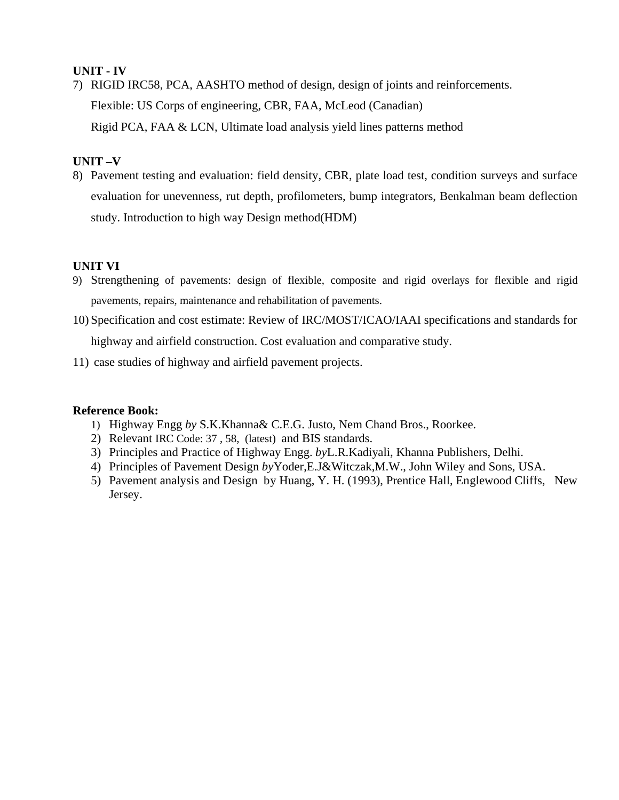# **UNIT - IV**

7) RIGID IRC58, PCA, AASHTO method of design, design of joints and reinforcements. Flexible: US Corps of engineering, CBR, FAA, McLeod (Canadian) Rigid PCA, FAA & LCN, Ultimate load analysis yield lines patterns method

# **UNIT –V**

8) Pavement testing and evaluation: field density, CBR, plate load test, condition surveys and surface evaluation for unevenness, rut depth, profilometers, bump integrators, Benkalman beam deflection study. Introduction to high way Design method(HDM)

# **UNIT VI**

- 9) Strengthening of pavements: design of flexible, composite and rigid overlays for flexible and rigid pavements, repairs, maintenance and rehabilitation of pavements.
- 10) Specification and cost estimate: Review of IRC/MOST/ICAO/IAAI specifications and standards for highway and airfield construction. Cost evaluation and comparative study.
- 11) case studies of highway and airfield pavement projects.

# **Reference Book:**

- 1) Highway Engg *by* S.K.Khanna& C.E.G. Justo, Nem Chand Bros., Roorkee.
- 2) Relevant IRC Code: 37 , 58, (latest) and BIS standards.
- 3) Principles and Practice of Highway Engg. *by*L.R.Kadiyali, Khanna Publishers, Delhi.
- 4) Principles of Pavement Design *by*Yoder,E.J&Witczak,M.W., John Wiley and Sons, USA.
- 5) Pavement analysis and Design by Huang, Y. H. (1993), Prentice Hall, Englewood Cliffs, New Jersey.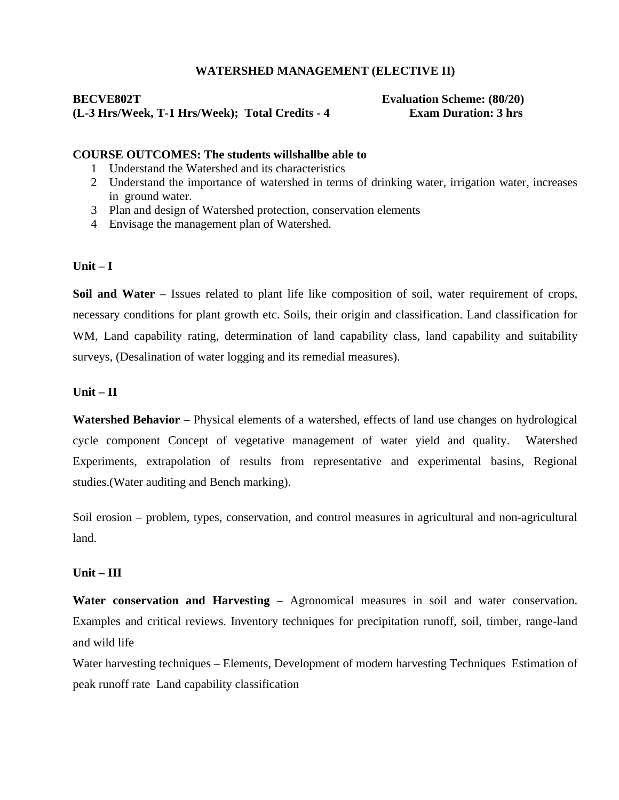## **WATERSHED MANAGEMENT (ELECTIVE II)**

# **BECVE802T Evaluation Scheme: (80/20) (L-3 Hrs/Week, T-1 Hrs/Week); Total Credits - 4 Exam Duration: 3 hrs**

#### **COURSE OUTCOMES: The students willshallbe able to**

- 1 Understand the Watershed and its characteristics
- 2 Understand the importance of watershed in terms of drinking water, irrigation water, increases in ground water.
- 3 Plan and design of Watershed protection, conservation elements
- 4 Envisage the management plan of Watershed.

### **Unit – I**

**Soil and Water** – Issues related to plant life like composition of soil, water requirement of crops, necessary conditions for plant growth etc. Soils, their origin and classification. Land classification for WM, Land capability rating, determination of land capability class, land capability and suitability surveys, (Desalination of water logging and its remedial measures).

# **Unit – II**

**Watershed Behavior** – Physical elements of a watershed, effects of land use changes on hydrological cycle component Concept of vegetative management of water yield and quality. Watershed Experiments, extrapolation of results from representative and experimental basins, Regional studies.(Water auditing and Bench marking).

Soil erosion – problem, types, conservation, and control measures in agricultural and non-agricultural land.

# **Unit – III**

**Water conservation and Harvesting** – Agronomical measures in soil and water conservation. Examples and critical reviews. Inventory techniques for precipitation runoff, soil, timber, range-land and wild life

Water harvesting techniques – Elements, Development of modern harvesting Techniques Estimation of peak runoff rate Land capability classification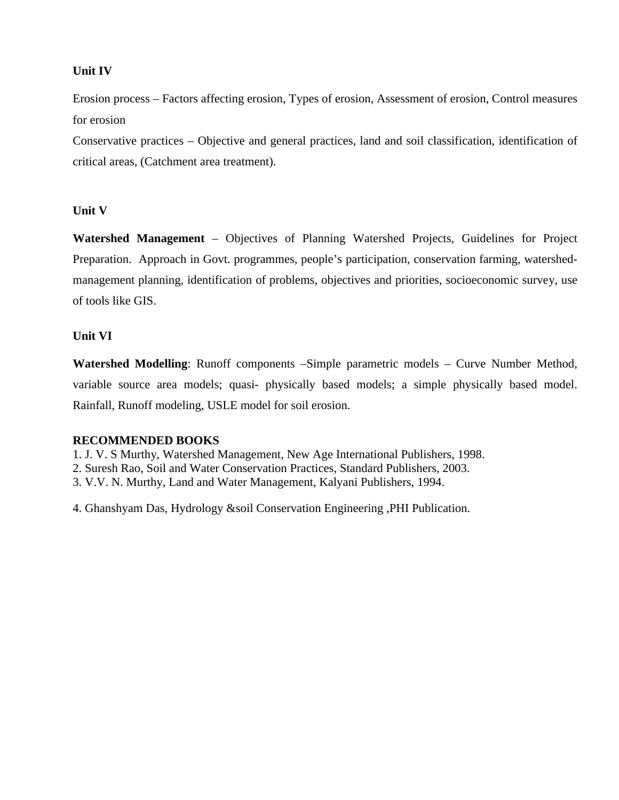# **Unit IV**

Erosion process – Factors affecting erosion, Types of erosion, Assessment of erosion, Control measures for erosion

Conservative practices – Objective and general practices, land and soil classification, identification of critical areas, (Catchment area treatment).

# **Unit V**

**Watershed Management** – Objectives of Planning Watershed Projects, Guidelines for Project Preparation. Approach in Govt. programmes, people's participation, conservation farming, watershedmanagement planning, identification of problems, objectives and priorities, socioeconomic survey, use of tools like GIS.

# **Unit VI**

**Watershed Modelling**: Runoff components –Simple parametric models – Curve Number Method, variable source area models; quasi- physically based models; a simple physically based model. Rainfall, Runoff modeling, USLE model for soil erosion.

# **RECOMMENDED BOOKS**

- 1. J. V. S Murthy, Watershed Management, New Age International Publishers, 1998.
- 2. Suresh Rao, Soil and Water Conservation Practices, Standard Publishers, 2003.
- 3. V.V. N. Murthy, Land and Water Management, Kalyani Publishers, 1994.

4. Ghanshyam Das, Hydrology &soil Conservation Engineering ,PHI Publication.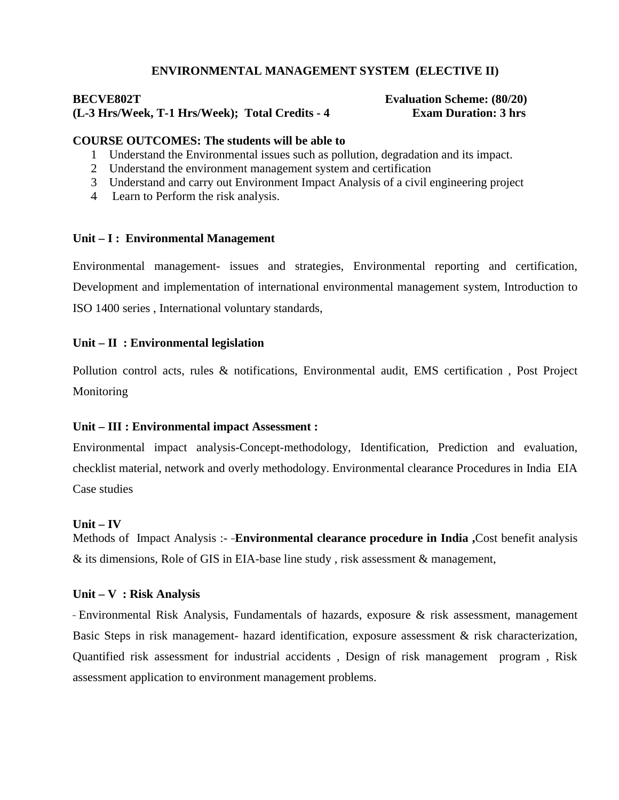# **ENVIRONMENTAL MANAGEMENT SYSTEM (ELECTIVE II)**

# **BECVE802T Evaluation Scheme: (80/20) (L-3 Hrs/Week, T-1 Hrs/Week); Total Credits - 4 Exam Duration: 3 hrs**

## **COURSE OUTCOMES: The students will be able to**

- 1 Understand the Environmental issues such as pollution, degradation and its impact.
- 2 Understand the environment management system and certification
- 3 Understand and carry out Environment Impact Analysis of a civil engineering project
- 4 Learn to Perform the risk analysis.

#### **Unit – I : Environmental Management**

Environmental management- issues and strategies, Environmental reporting and certification, Development and implementation of international environmental management system, Introduction to ISO 1400 series , International voluntary standards,

### **Unit – II : Environmental legislation**

Pollution control acts, rules & notifications, Environmental audit, EMS certification , Post Project Monitoring

#### **Unit – III : Environmental impact Assessment :**

Environmental impact analysis-Concept-methodology, Identification, Prediction and evaluation, checklist material, network and overly methodology. Environmental clearance Procedures in India EIA Case studies

#### **Unit – IV**

Methods of Impact Analysis :- **Environmental clearance procedure in India ,**Cost benefit analysis & its dimensions, Role of GIS in EIA-base line study , risk assessment & management,

#### **Unit – V : Risk Analysis**

Environmental Risk Analysis, Fundamentals of hazards, exposure & risk assessment, management Basic Steps in risk management- hazard identification, exposure assessment & risk characterization, Quantified risk assessment for industrial accidents , Design of risk management program , Risk assessment application to environment management problems.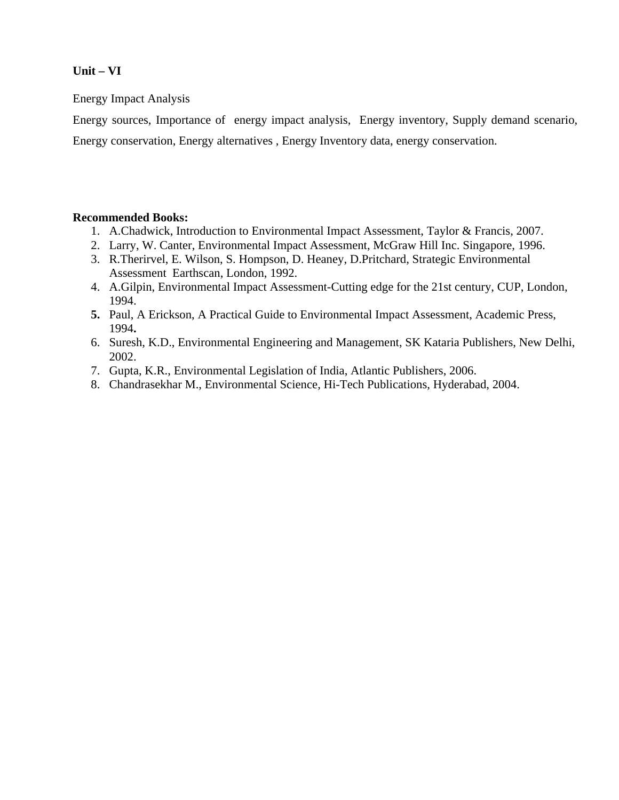# **Unit – VI**

Energy Impact Analysis

Energy sources, Importance of energy impact analysis, Energy inventory, Supply demand scenario, Energy conservation, Energy alternatives , Energy Inventory data, energy conservation.

# **Recommended Books:**

- 1. A.Chadwick, Introduction to Environmental Impact Assessment, Taylor & Francis, 2007.
- 2. Larry, W. Canter, Environmental Impact Assessment, McGraw Hill Inc. Singapore, 1996.
- 3. R.Therirvel, E. Wilson, S. Hompson, D. Heaney, D.Pritchard, Strategic Environmental Assessment Earthscan, London, 1992.
- 4. A.Gilpin, Environmental Impact Assessment-Cutting edge for the 21st century, CUP, London, 1994.
- **5.** Paul, A Erickson, A Practical Guide to Environmental Impact Assessment, Academic Press, 1994**.**
- 6. Suresh, K.D., Environmental Engineering and Management, SK Kataria Publishers, New Delhi, 2002.
- 7. Gupta, K.R., Environmental Legislation of India, Atlantic Publishers, 2006.
- 8. Chandrasekhar M., Environmental Science, Hi-Tech Publications, Hyderabad, 2004.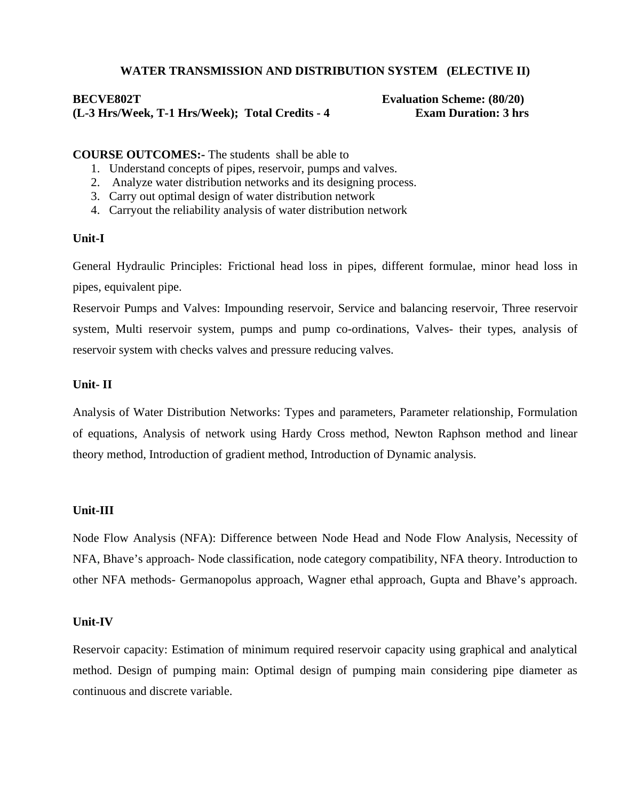# **WATER TRANSMISSION AND DISTRIBUTION SYSTEM (ELECTIVE II)**

# **BECVE802T Evaluation Scheme: (80/20) (L-3 Hrs/Week, T-1 Hrs/Week); Total Credits - 4 Exam Duration: 3 hrs**

**COURSE OUTCOMES:-** The students shall be able to

- 1. Understand concepts of pipes, reservoir, pumps and valves.
- 2. Analyze water distribution networks and its designing process.
- 3. Carry out optimal design of water distribution network
- 4. Carryout the reliability analysis of water distribution network

#### **Unit-I**

General Hydraulic Principles: Frictional head loss in pipes, different formulae, minor head loss in pipes, equivalent pipe.

Reservoir Pumps and Valves: Impounding reservoir, Service and balancing reservoir, Three reservoir system, Multi reservoir system, pumps and pump co-ordinations, Valves- their types, analysis of reservoir system with checks valves and pressure reducing valves.

#### **Unit- II**

Analysis of Water Distribution Networks: Types and parameters, Parameter relationship, Formulation of equations, Analysis of network using Hardy Cross method, Newton Raphson method and linear theory method, Introduction of gradient method, Introduction of Dynamic analysis.

#### **Unit-III**

Node Flow Analysis (NFA): Difference between Node Head and Node Flow Analysis, Necessity of NFA, Bhave's approach- Node classification, node category compatibility, NFA theory. Introduction to other NFA methods- Germanopolus approach, Wagner ethal approach, Gupta and Bhave's approach.

#### **Unit-IV**

Reservoir capacity: Estimation of minimum required reservoir capacity using graphical and analytical method. Design of pumping main: Optimal design of pumping main considering pipe diameter as continuous and discrete variable.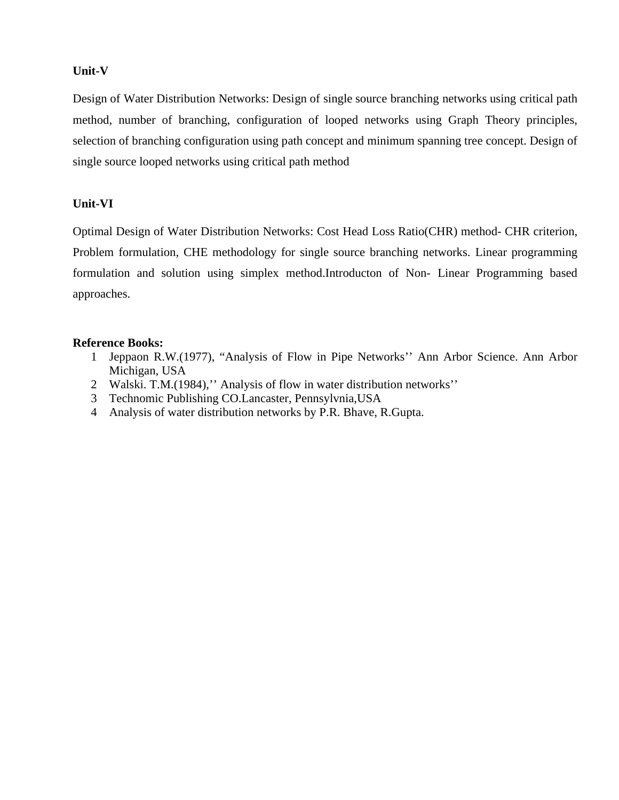# **Unit-V**

Design of Water Distribution Networks: Design of single source branching networks using critical path method, number of branching, configuration of looped networks using Graph Theory principles, selection of branching configuration using path concept and minimum spanning tree concept. Design of single source looped networks using critical path method

# **Unit-VI**

Optimal Design of Water Distribution Networks: Cost Head Loss Ratio(CHR) method- CHR criterion, Problem formulation, CHE methodology for single source branching networks. Linear programming formulation and solution using simplex method.Introducton of Non- Linear Programming based approaches.

# **Reference Books:**

- 1 Jeppaon R.W.(1977), "Analysis of Flow in Pipe Networks'' Ann Arbor Science. Ann Arbor Michigan, USA
- 2 Walski. T.M.(1984),'' Analysis of flow in water distribution networks''
- 3 Technomic Publishing CO.Lancaster, Pennsylvnia,USA
- 4 Analysis of water distribution networks by P.R. Bhave, R.Gupta.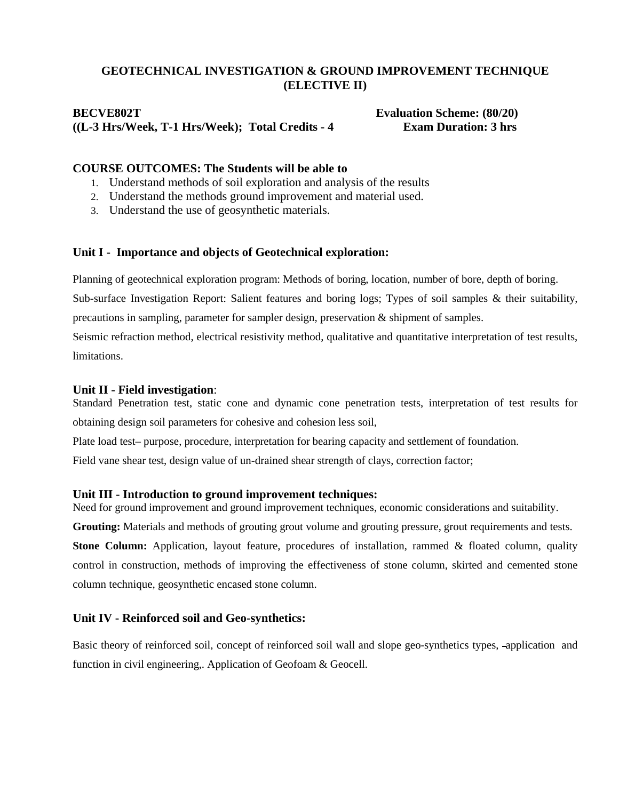# **GEOTECHNICAL INVESTIGATION & GROUND IMPROVEMENT TECHNIQUE (ELECTIVE II)**

# **BECVE802T Evaluation Scheme: (80/20) ((L-3 Hrs/Week, T-1 Hrs/Week); Total Credits - 4 Exam Duration: 3 hrs**

#### **COURSE OUTCOMES: The Students will be able to**

- 1. Understand methods of soil exploration and analysis of the results
- 2. Understand the methods ground improvement and material used.
- 3. Understand the use of geosynthetic materials.

### **Unit I - Importance and objects of Geotechnical exploration:**

Planning of geotechnical exploration program: Methods of boring, location, number of bore, depth of boring.

Sub-surface Investigation Report: Salient features and boring logs; Types of soil samples & their suitability, precautions in sampling, parameter for sampler design, preservation & shipment of samples.

Seismic refraction method, electrical resistivity method, qualitative and quantitative interpretation of test results, limitations.

### **Unit II - Field investigation**:

Standard Penetration test, static cone and dynamic cone penetration tests, interpretation of test results for obtaining design soil parameters for cohesive and cohesion less soil,

Plate load test– purpose, procedure, interpretation for bearing capacity and settlement of foundation.

Field vane shear test, design value of un-drained shear strength of clays, correction factor;

#### **Unit III - Introduction to ground improvement techniques:**

Need for ground improvement and ground improvement techniques, economic considerations and suitability.

**Grouting:** Materials and methods of grouting grout volume and grouting pressure, grout requirements and tests.

**Stone Column:** Application, layout feature, procedures of installation, rammed & floated column, quality control in construction, methods of improving the effectiveness of stone column, skirted and cemented stone column technique, geosynthetic encased stone column.

# **Unit IV - Reinforced soil and Geo-synthetics:**

Basic theory of reinforced soil, concept of reinforced soil wall and slope geo-synthetics types, application and function in civil engineering,. Application of Geofoam & Geocell.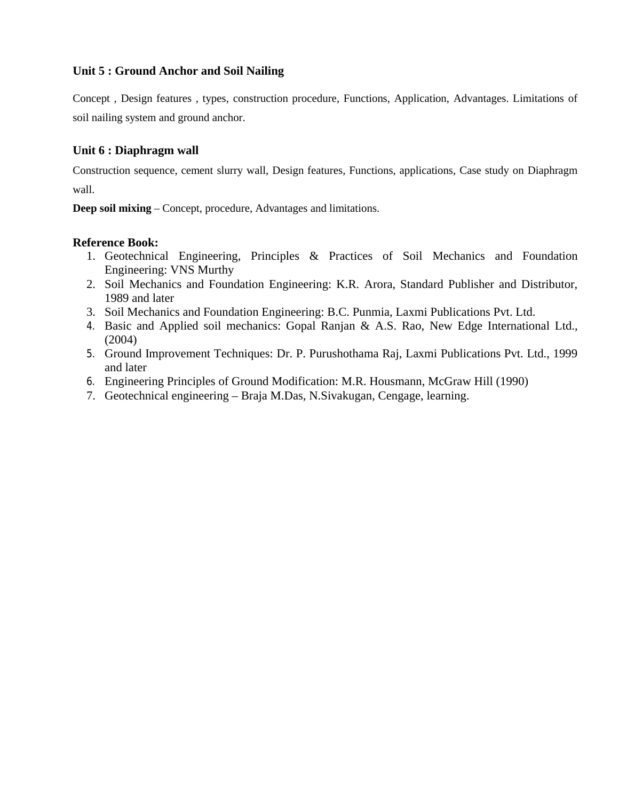# **Unit 5 : Ground Anchor and Soil Nailing**

Concept , Design features , types, construction procedure, Functions, Application, Advantages. Limitations of soil nailing system and ground anchor.

# **Unit 6 : Diaphragm wall**

Construction sequence, cement slurry wall, Design features, Functions, applications, Case study on Diaphragm wall.

**Deep soil mixing** – Concept, procedure, Advantages and limitations.

# **Reference Book:**

- 1. Geotechnical Engineering, Principles & Practices of Soil Mechanics and Foundation Engineering: VNS Murthy
- 2. Soil Mechanics and Foundation Engineering: K.R. Arora, Standard Publisher and Distributor, 1989 and later
- 3. Soil Mechanics and Foundation Engineering: B.C. Punmia, Laxmi Publications Pvt. Ltd.
- 4. Basic and Applied soil mechanics: Gopal Ranjan & A.S. Rao, New Edge International Ltd., (2004)
- 5. Ground Improvement Techniques: Dr. P. Purushothama Raj, Laxmi Publications Pvt. Ltd., 1999 and later
- 6. Engineering Principles of Ground Modification: M.R. Housmann, McGraw Hill (1990)
- 7. Geotechnical engineering Braja M.Das, N.Sivakugan, Cengage, learning.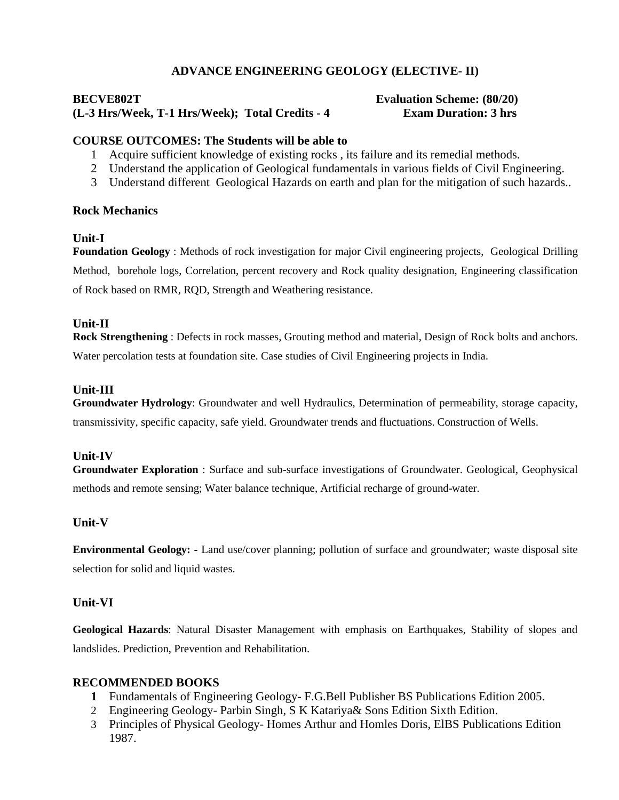# **ADVANCE ENGINEERING GEOLOGY (ELECTIVE- II)**

# **BECVE802T Evaluation Scheme: (80/20) (L-3 Hrs/Week, T-1 Hrs/Week); Total Credits - 4 Exam Duration: 3 hrs**

# **COURSE OUTCOMES: The Students will be able to**

- 1 Acquire sufficient knowledge of existing rocks , its failure and its remedial methods.
- 2 Understand the application of Geological fundamentals in various fields of Civil Engineering.
- 3 Understand different Geological Hazards on earth and plan for the mitigation of such hazards..

# **Rock Mechanics**

### **Unit-I**

**Foundation Geology** : Methods of rock investigation for major Civil engineering projects, Geological Drilling Method, borehole logs, Correlation, percent recovery and Rock quality designation, Engineering classification of Rock based on RMR, RQD, Strength and Weathering resistance.

# **Unit-II**

**Rock Strengthening** : Defects in rock masses, Grouting method and material, Design of Rock bolts and anchors. Water percolation tests at foundation site. Case studies of Civil Engineering projects in India.

# **Unit-III**

**Groundwater Hydrology**: Groundwater and well Hydraulics, Determination of permeability, storage capacity, transmissivity, specific capacity, safe yield. Groundwater trends and fluctuations. Construction of Wells.

# **Unit-IV**

**Groundwater Exploration** : Surface and sub-surface investigations of Groundwater. Geological, Geophysical methods and remote sensing; Water balance technique, Artificial recharge of ground-water.

# **Unit-V**

**Environmental Geology: -** Land use/cover planning; pollution of surface and groundwater; waste disposal site selection for solid and liquid wastes.

# **Unit-VI**

**Geological Hazards**: Natural Disaster Management with emphasis on Earthquakes, Stability of slopes and landslides. Prediction, Prevention and Rehabilitation.

#### **RECOMMENDED BOOKS**

- **1** Fundamentals of Engineering Geology- F.G.Bell Publisher BS Publications Edition 2005.
- 2 Engineering Geology- Parbin Singh, S K Katariya& Sons Edition Sixth Edition.
- 3 Principles of Physical Geology- Homes Arthur and Homles Doris, ElBS Publications Edition 1987.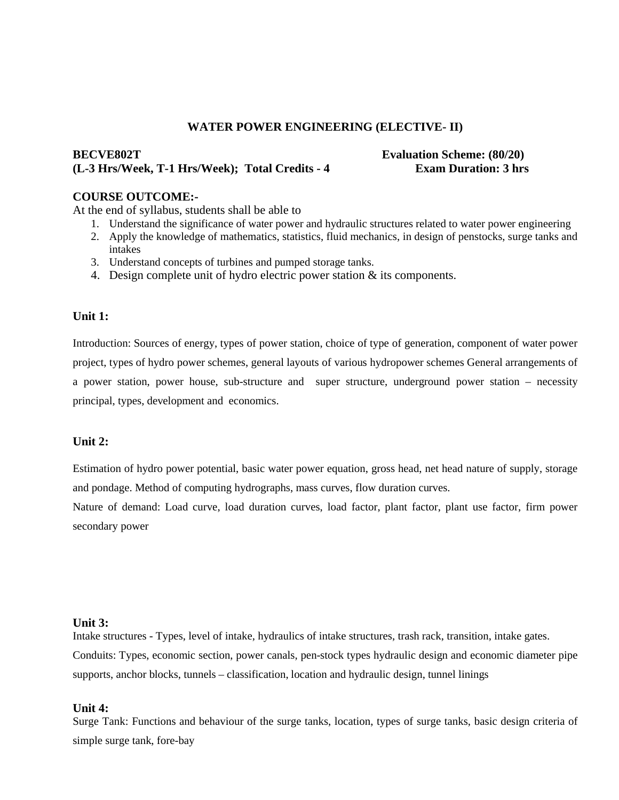### **WATER POWER ENGINEERING (ELECTIVE- II)**

# **BECVE802T Evaluation Scheme: (80/20) (L-3 Hrs/Week, T-1 Hrs/Week); Total Credits - 4 Exam Duration: 3 hrs**

### **COURSE OUTCOME:-**

At the end of syllabus, students shall be able to

- 1. Understand the significance of water power and hydraulic structures related to water power engineering
- 2. Apply the knowledge of mathematics, statistics, fluid mechanics, in design of penstocks, surge tanks and intakes
- 3. Understand concepts of turbines and pumped storage tanks.
- 4. Design complete unit of hydro electric power station & its components.

### **Unit 1:**

Introduction: Sources of energy, types of power station, choice of type of generation, component of water power project, types of hydro power schemes, general layouts of various hydropower schemes General arrangements of a power station, power house, sub-structure and super structure, underground power station – necessity principal, types, development and economics.

#### **Unit 2:**

Estimation of hydro power potential, basic water power equation, gross head, net head nature of supply, storage and pondage. Method of computing hydrographs, mass curves, flow duration curves.

Nature of demand: Load curve, load duration curves, load factor, plant factor, plant use factor, firm power secondary power

#### **Unit 3:**

Intake structures - Types, level of intake, hydraulics of intake structures, trash rack, transition, intake gates. Conduits: Types, economic section, power canals, pen-stock types hydraulic design and economic diameter pipe supports, anchor blocks, tunnels – classification, location and hydraulic design, tunnel linings

#### **Unit 4:**

Surge Tank: Functions and behaviour of the surge tanks, location, types of surge tanks, basic design criteria of simple surge tank, fore-bay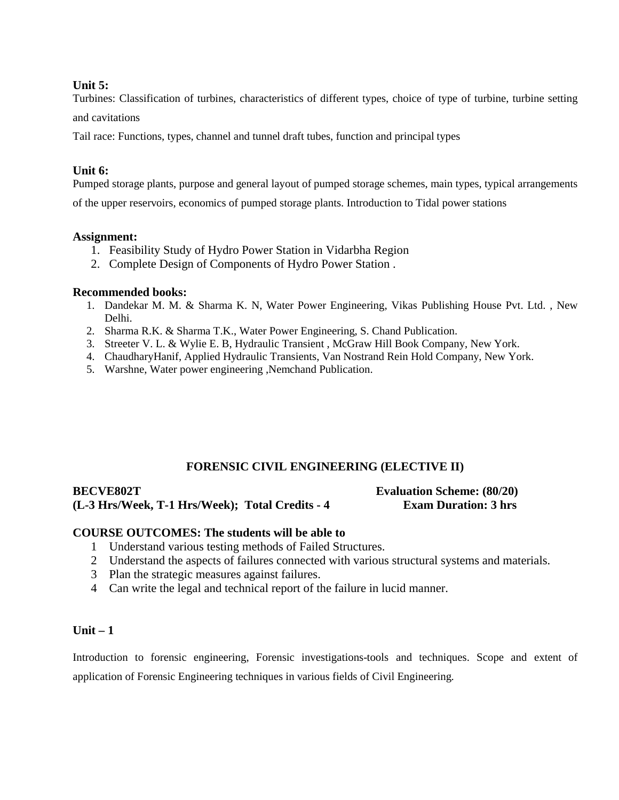# **Unit 5:**

Turbines: Classification of turbines, characteristics of different types, choice of type of turbine, turbine setting

and cavitations

Tail race: Functions, types, channel and tunnel draft tubes, function and principal types

## **Unit 6:**

Pumped storage plants, purpose and general layout of pumped storage schemes, main types, typical arrangements

of the upper reservoirs, economics of pumped storage plants. Introduction to Tidal power stations

#### **Assignment:**

- 1. Feasibility Study of Hydro Power Station in Vidarbha Region
- 2. Complete Design of Components of Hydro Power Station .

### **Recommended books:**

- 1. Dandekar M. M. & Sharma K. N, Water Power Engineering, Vikas Publishing House Pvt. Ltd. , New Delhi.
- 2. Sharma R.K. & Sharma T.K., Water Power Engineering, S. Chand Publication.
- 3. Streeter V. L. & Wylie E. B, Hydraulic Transient , McGraw Hill Book Company, New York.
- 4. ChaudharyHanif, Applied Hydraulic Transients, Van Nostrand Rein Hold Company, New York.
- 5. Warshne, Water power engineering ,Nemchand Publication.

# **FORENSIC CIVIL ENGINEERING (ELECTIVE II)**

# **BECVE802T Evaluation Scheme: (80/20) (L-3 Hrs/Week, T-1 Hrs/Week); Total Credits - 4 Exam Duration: 3 hrs**

# **COURSE OUTCOMES: The students will be able to**

- 1 Understand various testing methods of Failed Structures.
- 2 Understand the aspects of failures connected with various structural systems and materials.
- 3 Plan the strategic measures against failures.
- 4 Can write the legal and technical report of the failure in lucid manner.

#### **Unit – 1**

Introduction to forensic engineering, Forensic investigations-tools and techniques. Scope and extent of application of Forensic Engineering techniques in various fields of Civil Engineering.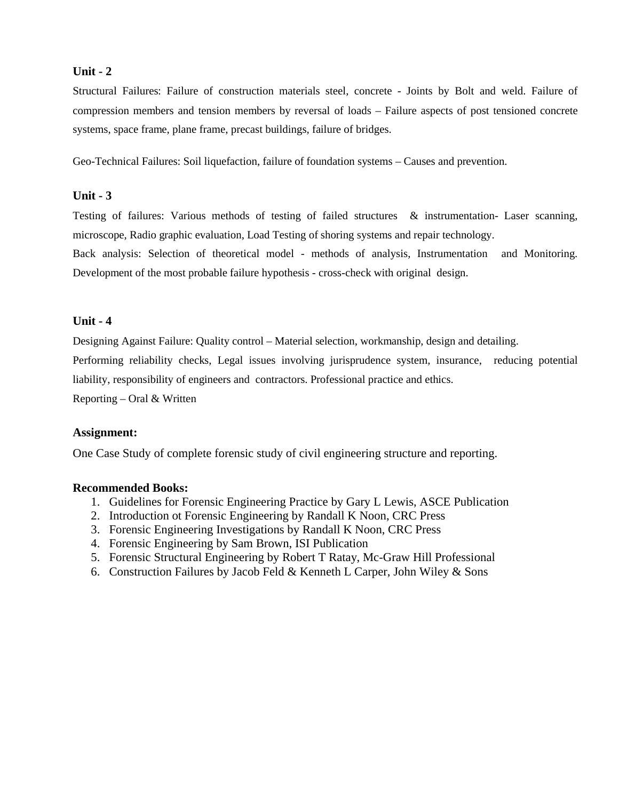### **Unit - 2**

Structural Failures: Failure of construction materials steel, concrete - Joints by Bolt and weld. Failure of compression members and tension members by reversal of loads – Failure aspects of post tensioned concrete systems, space frame, plane frame, precast buildings, failure of bridges.

Geo-Technical Failures: Soil liquefaction, failure of foundation systems – Causes and prevention.

#### **Unit - 3**

Testing of failures: Various methods of testing of failed structures & instrumentation- Laser scanning, microscope, Radio graphic evaluation, Load Testing of shoring systems and repair technology. Back analysis: Selection of theoretical model - methods of analysis, Instrumentation and Monitoring. Development of the most probable failure hypothesis - cross-check with original design.

#### **Unit - 4**

Designing Against Failure: Quality control – Material selection, workmanship, design and detailing.

Performing reliability checks, Legal issues involving jurisprudence system, insurance, reducing potential liability, responsibility of engineers and contractors. Professional practice and ethics.

Reporting – Oral & Written

#### **Assignment:**

One Case Study of complete forensic study of civil engineering structure and reporting.

#### **Recommended Books:**

- 1. Guidelines for Forensic Engineering Practice by Gary L Lewis, ASCE Publication
- 2. Introduction ot Forensic Engineering by Randall K Noon, CRC Press
- 3. Forensic Engineering Investigations by Randall K Noon, CRC Press
- 4. Forensic Engineering by Sam Brown, ISI Publication
- 5. Forensic Structural Engineering by Robert T Ratay, Mc-Graw Hill Professional
- 6. Construction Failures by Jacob Feld & Kenneth L Carper, John Wiley & Sons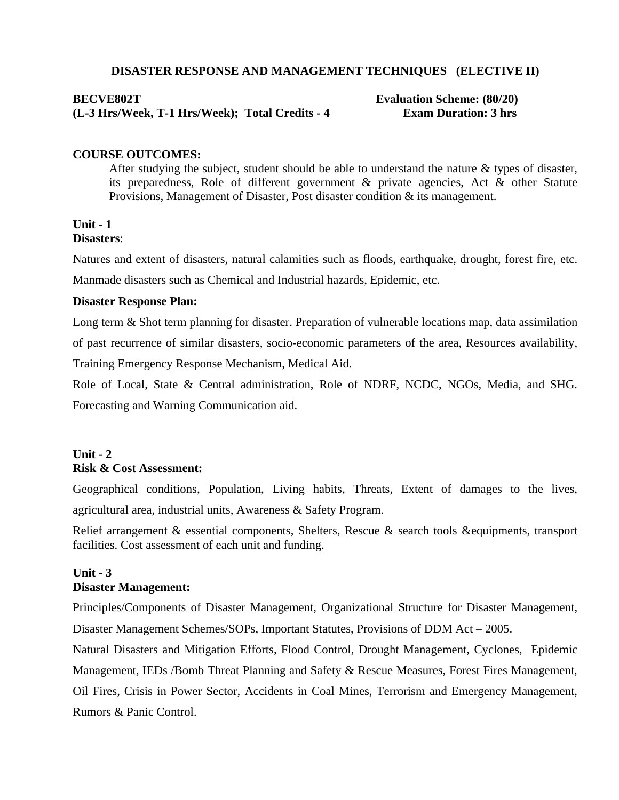# **DISASTER RESPONSE AND MANAGEMENT TECHNIQUES (ELECTIVE II)**

# **BECVE802T Evaluation Scheme: (80/20) (L-3 Hrs/Week, T-1 Hrs/Week); Total Credits - 4 Exam Duration: 3 hrs**

# **COURSE OUTCOMES:**

After studying the subject, student should be able to understand the nature  $\&$  types of disaster, its preparedness, Role of different government & private agencies, Act & other Statute Provisions, Management of Disaster, Post disaster condition & its management.

#### **Unit - 1 Disasters**:

Natures and extent of disasters, natural calamities such as floods, earthquake, drought, forest fire, etc.

Manmade disasters such as Chemical and Industrial hazards, Epidemic, etc.

### **Disaster Response Plan:**

Long term & Shot term planning for disaster. Preparation of vulnerable locations map, data assimilation of past recurrence of similar disasters, socio-economic parameters of the area, Resources availability, Training Emergency Response Mechanism, Medical Aid.

Role of Local, State & Central administration, Role of NDRF, NCDC, NGOs, Media, and SHG. Forecasting and Warning Communication aid.

# **Unit - 2 Risk & Cost Assessment:**

Geographical conditions, Population, Living habits, Threats, Extent of damages to the lives, agricultural area, industrial units, Awareness & Safety Program.

Relief arrangement & essential components, Shelters, Rescue & search tools &equipments, transport facilities. Cost assessment of each unit and funding.

# **Unit - 3 Disaster Management:**

Principles/Components of Disaster Management, Organizational Structure for Disaster Management, Disaster Management Schemes/SOPs, Important Statutes, Provisions of DDM Act – 2005.

Natural Disasters and Mitigation Efforts, Flood Control, Drought Management, Cyclones, Epidemic Management, IEDs /Bomb Threat Planning and Safety & Rescue Measures, Forest Fires Management, Oil Fires, Crisis in Power Sector, Accidents in Coal Mines, Terrorism and Emergency Management, Rumors & Panic Control.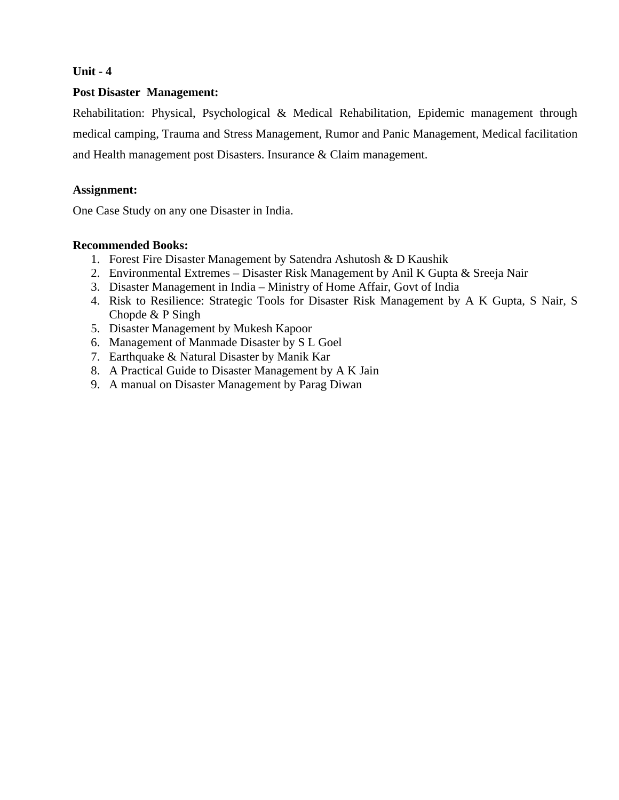# **Unit - 4**

# **Post Disaster Management:**

Rehabilitation: Physical, Psychological & Medical Rehabilitation, Epidemic management through medical camping, Trauma and Stress Management, Rumor and Panic Management, Medical facilitation and Health management post Disasters. Insurance & Claim management.

# **Assignment:**

One Case Study on any one Disaster in India.

# **Recommended Books:**

- 1. Forest Fire Disaster Management by Satendra Ashutosh & D Kaushik
- 2. Environmental Extremes Disaster Risk Management by Anil K Gupta & Sreeja Nair
- 3. Disaster Management in India Ministry of Home Affair, Govt of India
- 4. Risk to Resilience: Strategic Tools for Disaster Risk Management by A K Gupta, S Nair, S Chopde & P Singh
- 5. Disaster Management by Mukesh Kapoor
- 6. Management of Manmade Disaster by S L Goel
- 7. Earthquake & Natural Disaster by Manik Kar
- 8. A Practical Guide to Disaster Management by A K Jain
- 9. A manual on Disaster Management by Parag Diwan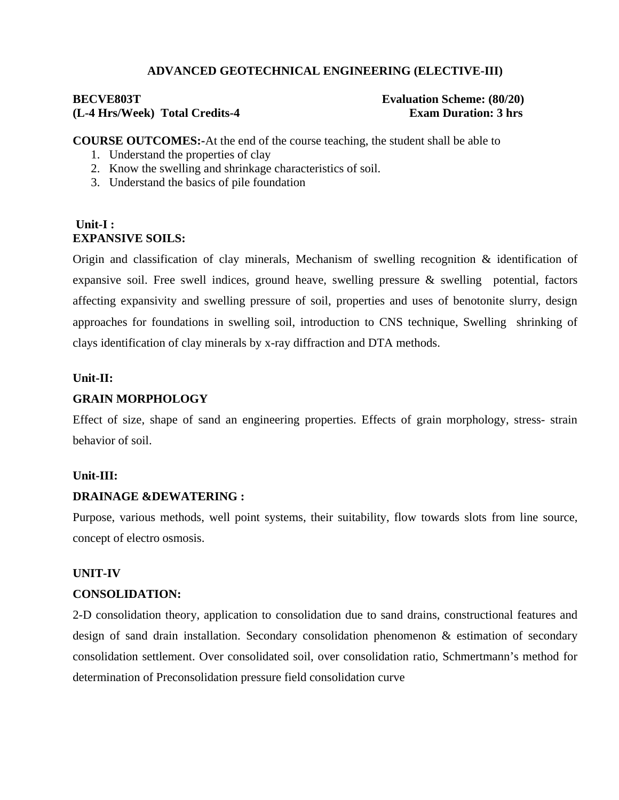# **ADVANCED GEOTECHNICAL ENGINEERING (ELECTIVE-III)**

# **BECVE803T Evaluation Scheme: (80/20) (L-4 Hrs/Week) Total Credits-4 Exam Duration: 3 hrs**

**COURSE OUTCOMES:-**At the end of the course teaching, the student shall be able to

- 1. Understand the properties of clay
- 2. Know the swelling and shrinkage characteristics of soil.
- 3. Understand the basics of pile foundation

# **Unit-I : EXPANSIVE SOILS:**

Origin and classification of clay minerals, Mechanism of swelling recognition & identification of expansive soil. Free swell indices, ground heave, swelling pressure & swelling potential, factors affecting expansivity and swelling pressure of soil, properties and uses of benotonite slurry, design approaches for foundations in swelling soil, introduction to CNS technique, Swelling shrinking of clays identification of clay minerals by x-ray diffraction and DTA methods.

# **Unit-II:**

# **GRAIN MORPHOLOGY**

Effect of size, shape of sand an engineering properties. Effects of grain morphology, stress- strain behavior of soil.

# **Unit-III:**

# **DRAINAGE &DEWATERING :**

Purpose, various methods, well point systems, their suitability, flow towards slots from line source, concept of electro osmosis.

# **UNIT-IV**

# **CONSOLIDATION:**

2-D consolidation theory, application to consolidation due to sand drains, constructional features and design of sand drain installation. Secondary consolidation phenomenon & estimation of secondary consolidation settlement. Over consolidated soil, over consolidation ratio, Schmertmann's method for determination of Preconsolidation pressure field consolidation curve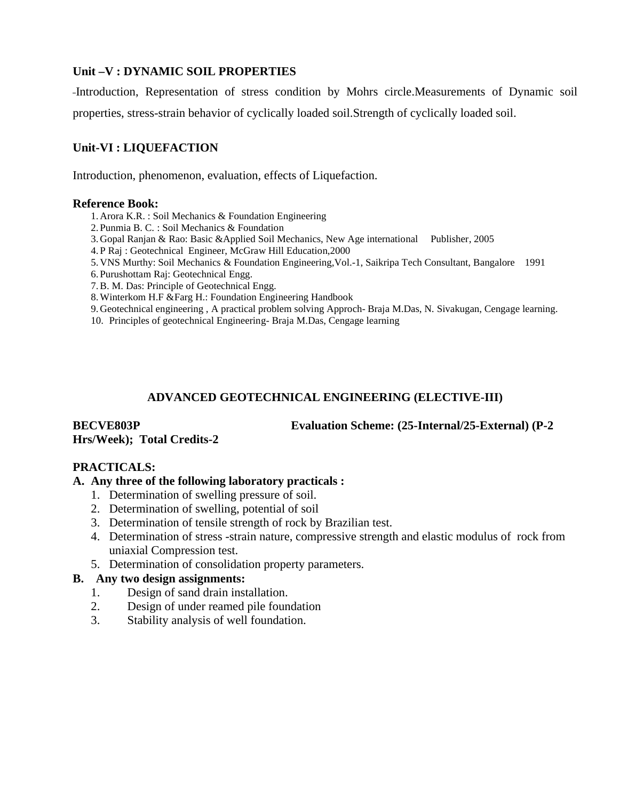# **Unit –V : DYNAMIC SOIL PROPERTIES**

Introduction, Representation of stress condition by Mohrs circle.Measurements of Dynamic soil properties, stress-strain behavior of cyclically loaded soil.Strength of cyclically loaded soil.

# **Unit-VI : LIQUEFACTION**

Introduction, phenomenon, evaluation, effects of Liquefaction.

### **Reference Book:**

1. Arora K.R. : Soil Mechanics & Foundation Engineering

2. Punmia B. C. : Soil Mechanics & Foundation

3. Gopal Ranjan & Rao: Basic &Applied Soil Mechanics, New Age international Publisher, 2005

4. P Raj : Geotechnical Engineer, McGraw Hill Education,2000

5. VNS Murthy: Soil Mechanics & Foundation Engineering,Vol.-1, Saikripa Tech Consultant, Bangalore 1991

- 6. Purushottam Raj: Geotechnical Engg.
- 7. B. M. Das: Principle of Geotechnical Engg.
- 8. Winterkom H.F &Farg H.: Foundation Engineering Handbook

9. Geotechnical engineering , A practical problem solving Approch- Braja M.Das, N. Sivakugan, Cengage learning.

10. Principles of geotechnical Engineering- Braja M.Das, Cengage learning

# **ADVANCED GEOTECHNICAL ENGINEERING (ELECTIVE-III)**

# **Hrs/Week); Total Credits-2**

**BECVE803P Evaluation Scheme: (25-Internal/25-External) (P-2** 

# **PRACTICALS:**

# **A. Any three of the following laboratory practicals :**

- 1. Determination of swelling pressure of soil.
- 2. Determination of swelling, potential of soil
- 3. Determination of tensile strength of rock by Brazilian test.
- 4. Determination of stress -strain nature, compressive strength and elastic modulus of rock from uniaxial Compression test.
- 5. Determination of consolidation property parameters.

# **B. Any two design assignments:**

- 1. Design of sand drain installation.
- 2. Design of under reamed pile foundation
- 3. Stability analysis of well foundation.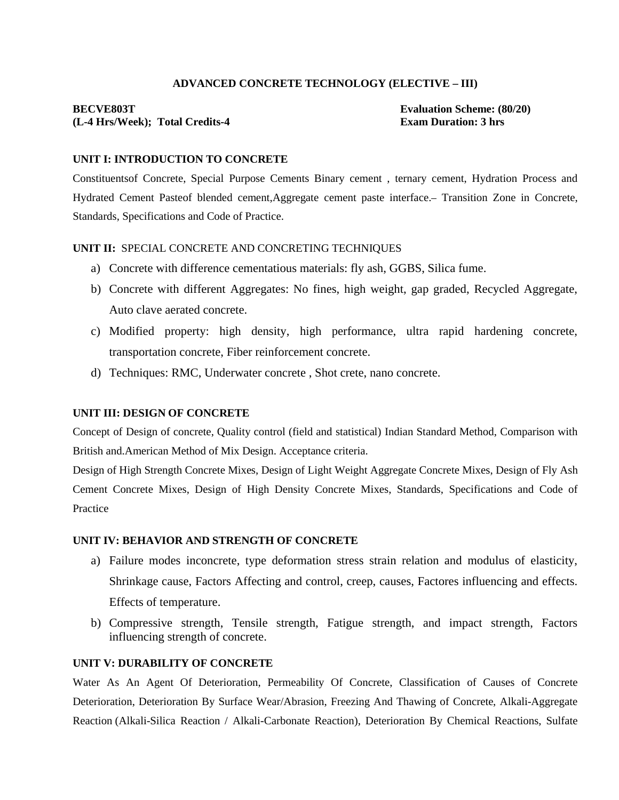#### **ADVANCED CONCRETE TECHNOLOGY (ELECTIVE – III)**

# **BECVE803T Evaluation Scheme: (80/20) (L-4 Hrs/Week); Total Credits-4 Exam Duration: 3 hrs**

#### **UNIT I: INTRODUCTION TO CONCRETE**

Constituentsof Concrete, Special Purpose Cements Binary cement , ternary cement, Hydration Process and Hydrated Cement Pasteof blended cement,Aggregate cement paste interface. Transition Zone in Concrete, Standards, Specifications and Code of Practice.

#### **UNIT II:** SPECIAL CONCRETE AND CONCRETING TECHNIQUES

- a) Concrete with difference cementatious materials: fly ash, GGBS, Silica fume.
- b) Concrete with different Aggregates: No fines, high weight, gap graded, Recycled Aggregate, Auto clave aerated concrete.
- c) Modified property: high density, high performance, ultra rapid hardening concrete, transportation concrete, Fiber reinforcement concrete.
- d) Techniques: RMC, Underwater concrete , Shot crete, nano concrete.

#### **UNIT III: DESIGN OF CONCRETE**

Concept of Design of concrete, Quality control (field and statistical) Indian Standard Method, Comparison with British and.American Method of Mix Design. Acceptance criteria.

Design of High Strength Concrete Mixes, Design of Light Weight Aggregate Concrete Mixes, Design of Fly Ash Cement Concrete Mixes, Design of High Density Concrete Mixes, Standards, Specifications and Code of Practice

#### **UNIT IV: BEHAVIOR AND STRENGTH OF CONCRETE**

- a) Failure modes inconcrete, type deformation stress strain relation and modulus of elasticity, Shrinkage cause, Factors Affecting and control, creep, causes, Factores influencing and effects. Effects of temperature.
- b) Compressive strength, Tensile strength, Fatigue strength, and impact strength, Factors influencing strength of concrete.

#### **UNIT V: DURABILITY OF CONCRETE**

Water As An Agent Of Deterioration, Permeability Of Concrete, Classification of Causes of Concrete Deterioration, Deterioration By Surface Wear/Abrasion, Freezing And Thawing of Concrete, Alkali-Aggregate Reaction (Alkali-Silica Reaction / Alkali-Carbonate Reaction), Deterioration By Chemical Reactions, Sulfate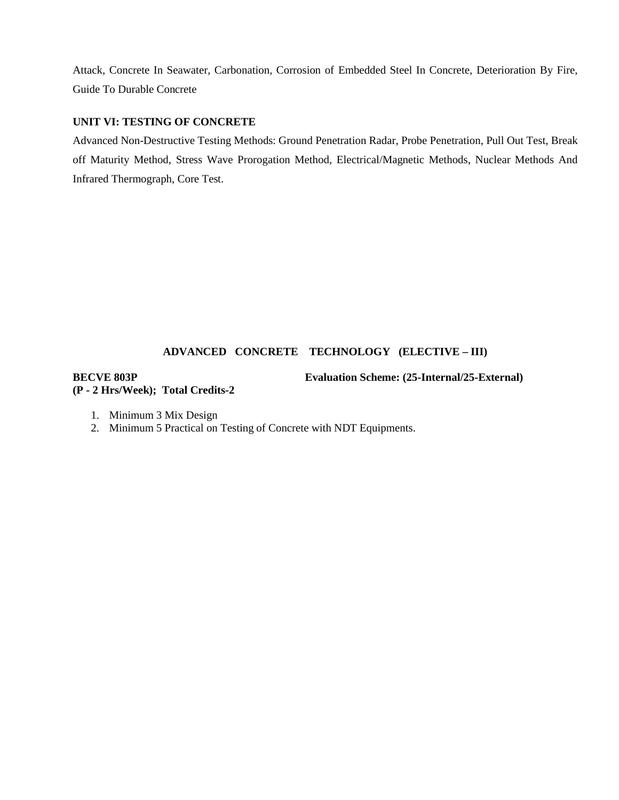Attack, Concrete In Seawater, Carbonation, Corrosion of Embedded Steel In Concrete, Deterioration By Fire, Guide To Durable Concrete

# **UNIT VI: TESTING OF CONCRETE**

Advanced Non-Destructive Testing Methods: Ground Penetration Radar, Probe Penetration, Pull Out Test, Break off Maturity Method, Stress Wave Prorogation Method, Electrical/Magnetic Methods, Nuclear Methods And Infrared Thermograph, Core Test.

# **ADVANCED CONCRETE TECHNOLOGY (ELECTIVE – III)**

# **(P - 2 Hrs/Week); Total Credits-2**

**BECVE 803P Evaluation Scheme: (25-Internal/25-External)**

- 1. Minimum 3 Mix Design
- 2. Minimum 5 Practical on Testing of Concrete with NDT Equipments.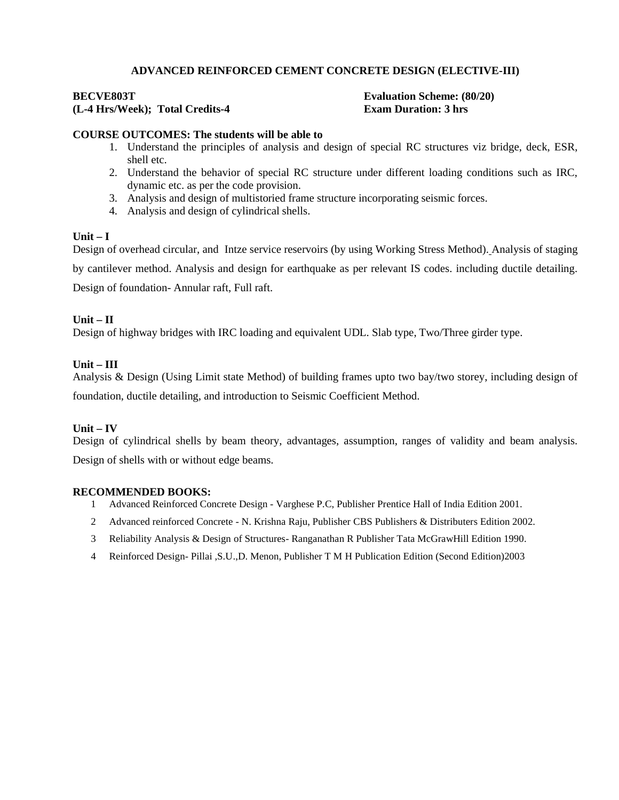### **ADVANCED REINFORCED CEMENT CONCRETE DESIGN (ELECTIVE-III)**

#### **BECVE803T Evaluation Scheme: (80/20) (L-4 Hrs/Week); Total Credits-4 Exam Duration: 3 hrs**

#### **COURSE OUTCOMES: The students will be able to**

- 1. Understand the principles of analysis and design of special RC structures viz bridge, deck, ESR, shell etc.
- 2. Understand the behavior of special RC structure under different loading conditions such as IRC, dynamic etc. as per the code provision.
- 3. Analysis and design of multistoried frame structure incorporating seismic forces.
- 4. Analysis and design of cylindrical shells.

#### **Unit – I**

Design of overhead circular, and Intze service reservoirs (by using Working Stress Method). Analysis of staging by cantilever method. Analysis and design for earthquake as per relevant IS codes. including ductile detailing. Design of foundation- Annular raft, Full raft.

### **Unit – II**

Design of highway bridges with IRC loading and equivalent UDL. Slab type, Two/Three girder type.

# **Unit – III**

Analysis & Design (Using Limit state Method) of building frames upto two bay/two storey, including design of foundation, ductile detailing, and introduction to Seismic Coefficient Method.

#### **Unit – IV**

Design of cylindrical shells by beam theory, advantages, assumption, ranges of validity and beam analysis. Design of shells with or without edge beams.

#### **RECOMMENDED BOOKS:**

- 1 Advanced Reinforced Concrete Design Varghese P.C, Publisher Prentice Hall of India Edition 2001.
- 2 Advanced reinforced Concrete N. Krishna Raju, Publisher CBS Publishers & Distributers Edition 2002.
- 3 Reliability Analysis & Design of Structures- Ranganathan R Publisher Tata McGrawHill Edition 1990.
- 4 Reinforced Design- Pillai ,S.U.,D. Menon, Publisher T M H Publication Edition (Second Edition)2003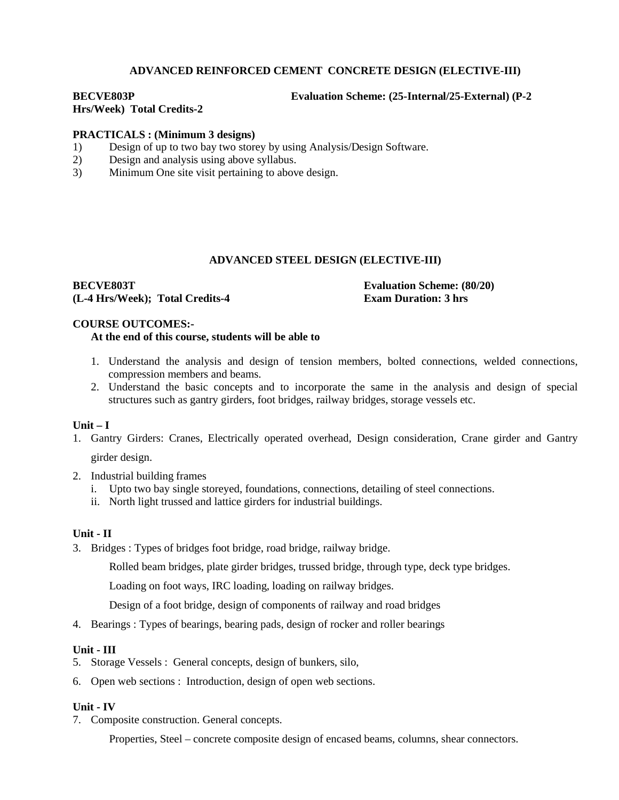### **ADVANCED REINFORCED CEMENT CONCRETE DESIGN (ELECTIVE-III)**

# **Hrs/Week) Total Credits-2**

#### **BECVE803P Evaluation Scheme: (25-Internal/25-External) (P-2**

#### **PRACTICALS : (Minimum 3 designs)**

- 1) Design of up to two bay two storey by using Analysis/Design Software.
- 2) Design and analysis using above syllabus.
- 3) Minimum One site visit pertaining to above design.

#### **ADVANCED STEEL DESIGN (ELECTIVE-III)**

#### **BECVE803T Evaluation Scheme: (80/20) (L-4 Hrs/Week); Total Credits-4 Exam Duration: 3 hrs**

#### **COURSE OUTCOMES:-**

#### **At the end of this course, students will be able to**

- 1. Understand the analysis and design of tension members, bolted connections, welded connections, compression members and beams.
- 2. Understand the basic concepts and to incorporate the same in the analysis and design of special structures such as gantry girders, foot bridges, railway bridges, storage vessels etc.

#### **Unit – I**

1. Gantry Girders: Cranes, Electrically operated overhead, Design consideration, Crane girder and Gantry girder design.

- 2. Industrial building frames
	- i. Upto two bay single storeyed, foundations, connections, detailing of steel connections.
	- ii. North light trussed and lattice girders for industrial buildings.

#### **Unit - II**

3. Bridges : Types of bridges foot bridge, road bridge, railway bridge.

Rolled beam bridges, plate girder bridges, trussed bridge, through type, deck type bridges.

Loading on foot ways, IRC loading, loading on railway bridges.

Design of a foot bridge, design of components of railway and road bridges

4. Bearings : Types of bearings, bearing pads, design of rocker and roller bearings

#### **Unit - III**

- 5. Storage Vessels : General concepts, design of bunkers, silo,
- 6. Open web sections : Introduction, design of open web sections.

#### **Unit - IV**

7. Composite construction. General concepts.

Properties, Steel – concrete composite design of encased beams, columns, shear connectors.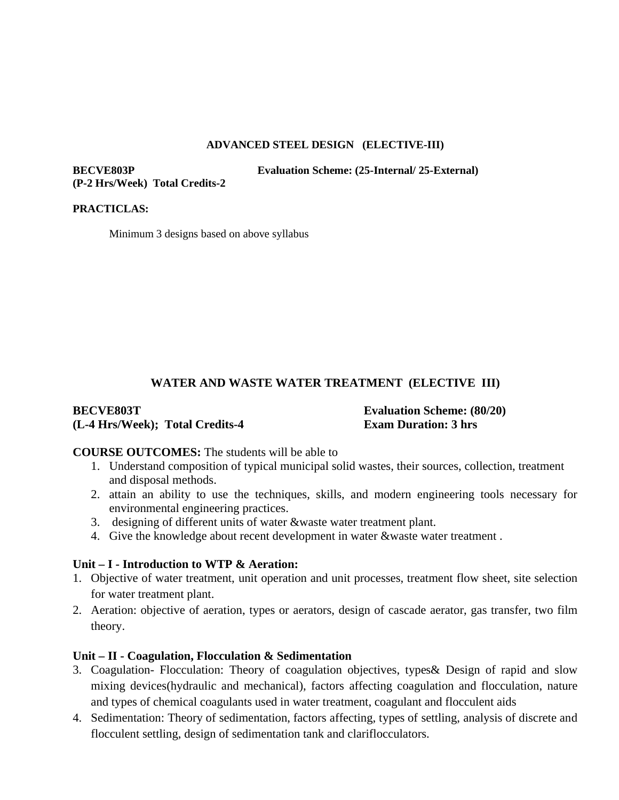### **ADVANCED STEEL DESIGN (ELECTIVE-III)**

**(P-2 Hrs/Week) Total Credits-2**

**BECVE803P Evaluation Scheme: (25-Internal/ 25-External)** 

**PRACTICLAS:**

Minimum 3 designs based on above syllabus

# **WATER AND WASTE WATER TREATMENT (ELECTIVE III)**

# **BECVE803T Evaluation Scheme: (80/20) (L-4 Hrs/Week); Total Credits-4 Exam Duration: 3 hrs**

# **COURSE OUTCOMES:** The students will be able to

- 1. Understand composition of typical municipal solid wastes, their sources, collection, treatment and disposal methods.
- 2. attain an ability to use the techniques, skills, and modern engineering tools necessary for environmental engineering practices.
- 3. designing of different units of water &waste water treatment plant.
- 4. Give the knowledge about recent development in water &waste water treatment .

# **Unit – I - Introduction to WTP & Aeration:**

- 1. Objective of water treatment, unit operation and unit processes, treatment flow sheet, site selection for water treatment plant.
- 2. Aeration: objective of aeration, types or aerators, design of cascade aerator, gas transfer, two film theory.

# **Unit – II - Coagulation, Flocculation & Sedimentation**

- 3. Coagulation- Flocculation: Theory of coagulation objectives, types& Design of rapid and slow mixing devices(hydraulic and mechanical), factors affecting coagulation and flocculation, nature and types of chemical coagulants used in water treatment, coagulant and flocculent aids
- 4. Sedimentation: Theory of sedimentation, factors affecting, types of settling, analysis of discrete and flocculent settling, design of sedimentation tank and clariflocculators.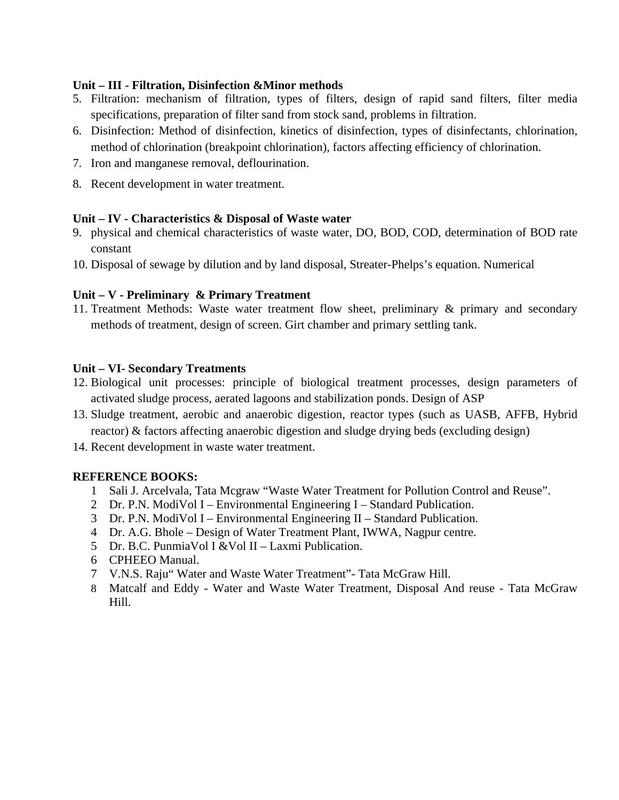# **Unit – III - Filtration, Disinfection &Minor methods**

- 5. Filtration: mechanism of filtration, types of filters, design of rapid sand filters, filter media specifications, preparation of filter sand from stock sand, problems in filtration.
- 6. Disinfection: Method of disinfection, kinetics of disinfection, types of disinfectants, chlorination, method of chlorination (breakpoint chlorination), factors affecting efficiency of chlorination.
- 7. Iron and manganese removal, deflourination.
- 8. Recent development in water treatment.

# **Unit – IV - Characteristics & Disposal of Waste water**

- 9. physical and chemical characteristics of waste water, DO, BOD, COD, determination of BOD rate constant
- 10. Disposal of sewage by dilution and by land disposal, Streater-Phelps's equation. Numerical

# **Unit – V - Preliminary & Primary Treatment**

11. Treatment Methods: Waste water treatment flow sheet, preliminary & primary and secondary methods of treatment, design of screen. Girt chamber and primary settling tank.

# **Unit – VI- Secondary Treatments**

- 12. Biological unit processes: principle of biological treatment processes, design parameters of activated sludge process, aerated lagoons and stabilization ponds. Design of ASP
- 13. Sludge treatment, aerobic and anaerobic digestion, reactor types (such as UASB, AFFB, Hybrid reactor) & factors affecting anaerobic digestion and sludge drying beds (excluding design)
- 14. Recent development in waste water treatment.

# **REFERENCE BOOKS:**

- 1 Sali J. Arcelvala, Tata Mcgraw "Waste Water Treatment for Pollution Control and Reuse".
- 2 Dr. P.N. ModiVol I Environmental Engineering I Standard Publication.
- 3 Dr. P.N. ModiVol I Environmental Engineering II Standard Publication.
- 4 Dr. A.G. Bhole Design of Water Treatment Plant, IWWA, Nagpur centre.
- 5 Dr. B.C. PunmiaVol I &Vol II Laxmi Publication.
- 6 CPHEEO Manual.
- 7 V.N.S. Raju" Water and Waste Water Treatment"- Tata McGraw Hill.
- 8 Matcalf and Eddy Water and Waste Water Treatment, Disposal And reuse Tata McGraw Hill.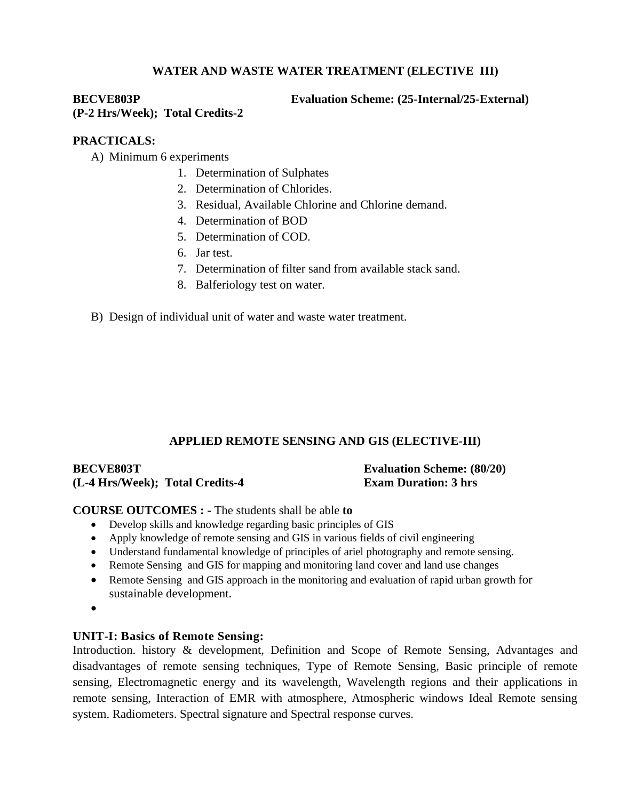# **WATER AND WASTE WATER TREATMENT (ELECTIVE III)**

# **BECVE803P Evaluation Scheme: (25-Internal/25-External) (P-2 Hrs/Week); Total Credits-2**

#### **PRACTICALS:**

- A) Minimum 6 experiments
	- 1. Determination of Sulphates
	- 2. Determination of Chlorides.
	- 3. Residual, Available Chlorine and Chlorine demand.
	- 4. Determination of BOD
	- 5. Determination of COD.
	- 6. Jar test.
	- 7. Determination of filter sand from available stack sand.
	- 8. Balferiology test on water.
- B) Design of individual unit of water and waste water treatment.

#### **APPLIED REMOTE SENSING AND GIS (ELECTIVE-III)**

### **BECVE803T Evaluation Scheme: (80/20) (L-4 Hrs/Week); Total Credits-4 Exam Duration: 3 hrs**

#### **COURSE OUTCOMES : -** The students shall be able **to**

- Develop skills and knowledge regarding basic principles of GIS
- Apply knowledge of remote sensing and GIS in various fields of civil engineering
- Understand fundamental knowledge of principles of ariel photography and remote sensing.
- Remote Sensing and GIS for mapping and monitoring land cover and land use changes
- Remote Sensing and GIS approach in the monitoring and evaluation of rapid urban growth for sustainable development.
- $\bullet$

#### **UNIT-I: Basics of Remote Sensing:**

Introduction. history & development, Definition and Scope of Remote Sensing, Advantages and disadvantages of remote sensing techniques, Type of Remote Sensing, Basic principle of remote sensing, Electromagnetic energy and its wavelength, Wavelength regions and their applications in remote sensing, Interaction of EMR with atmosphere, Atmospheric windows Ideal Remote sensing system. Radiometers. Spectral signature and Spectral response curves.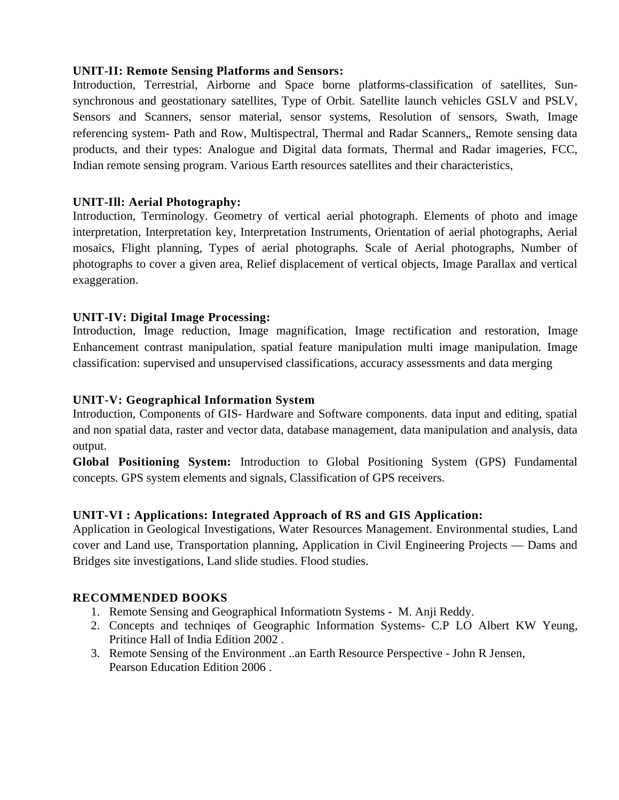# **UNIT-II: Remote Sensing Platforms and Sensors:**

Introduction, Terrestrial, Airborne and Space borne platforms-classification of satellites, Sunsynchronous and geostationary satellites, Type of Orbit. Satellite launch vehicles GSLV and PSLV, Sensors and Scanners, sensor material, sensor systems, Resolution of sensors, Swath, Image referencing system- Path and Row, Multispectral, Thermal and Radar Scanners,, Remote sensing data products, and their types: Analogue and Digital data formats, Thermal and Radar imageries, FCC, Indian remote sensing program. Various Earth resources satellites and their characteristics,

# **UNIT-Ill: Aerial Photography:**

Introduction, Terminology. Geometry of vertical aerial photograph. Elements of photo and image interpretation, Interpretation key, Interpretation Instruments, Orientation of aerial photographs, Aerial mosaics, Flight planning, Types of aerial photographs. Scale of Aerial photographs, Number of photographs to cover a given area, Relief displacement of vertical objects, Image Parallax and vertical exaggeration.

# **UNIT-IV: Digital Image Processing:**

Introduction, Image reduction, Image magnification, Image rectification and restoration, Image Enhancement contrast manipulation, spatial feature manipulation multi image manipulation. Image classification: supervised and unsupervised classifications, accuracy assessments and data merging

# **UNIT-V: Geographical Information System**

Introduction, Components of GIS- Hardware and Software components. data input and editing, spatial and non spatial data, raster and vector data, database management, data manipulation and analysis, data output.

**Global Positioning System:** Introduction to Global Positioning System (GPS) Fundamental concepts. GPS system elements and signals, Classification of GPS receivers.

# **UNIT-VI : Applications: Integrated Approach of RS and GIS Application:**

Application in Geological Investigations, Water Resources Management. Environmental studies, Land cover and Land use, Transportation planning, Application in Civil Engineering Projects — Dams and Bridges site investigations, Land slide studies. Flood studies.

# **RECOMMENDED BOOKS**

- 1. Remote Sensing and Geographical Informatiotn Systems M. Anji Reddy.
- 2. Concepts and techniqes of Geographic Information Systems- C.P LO Albert KW Yeung, Pritince Hall of India Edition 2002 .
- 3. Remote Sensing of the Environment ..an Earth Resource Perspective John R Jensen, Pearson Education Edition 2006 .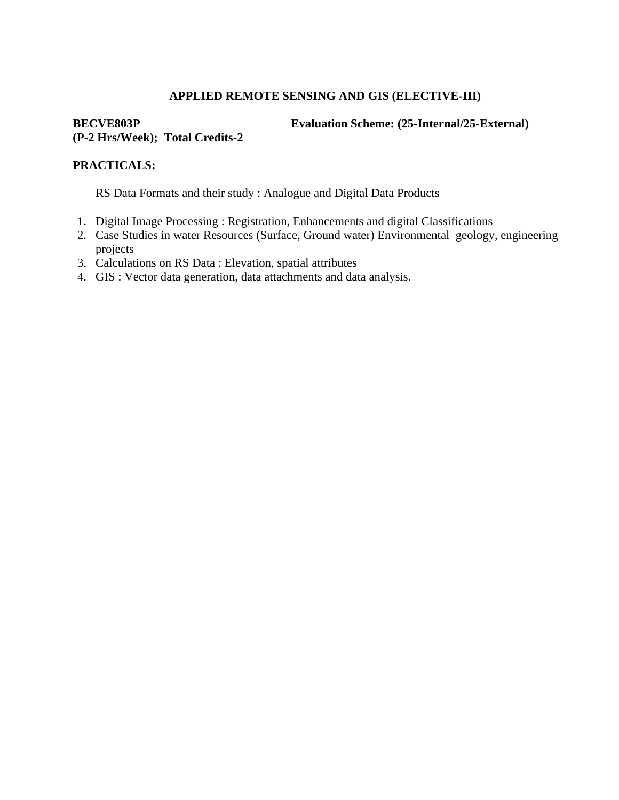# **APPLIED REMOTE SENSING AND GIS (ELECTIVE-III)**

# **BECVE803P Evaluation Scheme: (25-Internal/25-External) (P-2 Hrs/Week); Total Credits-2**

# **PRACTICALS:**

RS Data Formats and their study : Analogue and Digital Data Products

- 1. Digital Image Processing : Registration, Enhancements and digital Classifications
- 2. Case Studies in water Resources (Surface, Ground water) Environmental geology, engineering projects
- 3. Calculations on RS Data : Elevation, spatial attributes
- 4. GIS : Vector data generation, data attachments and data analysis.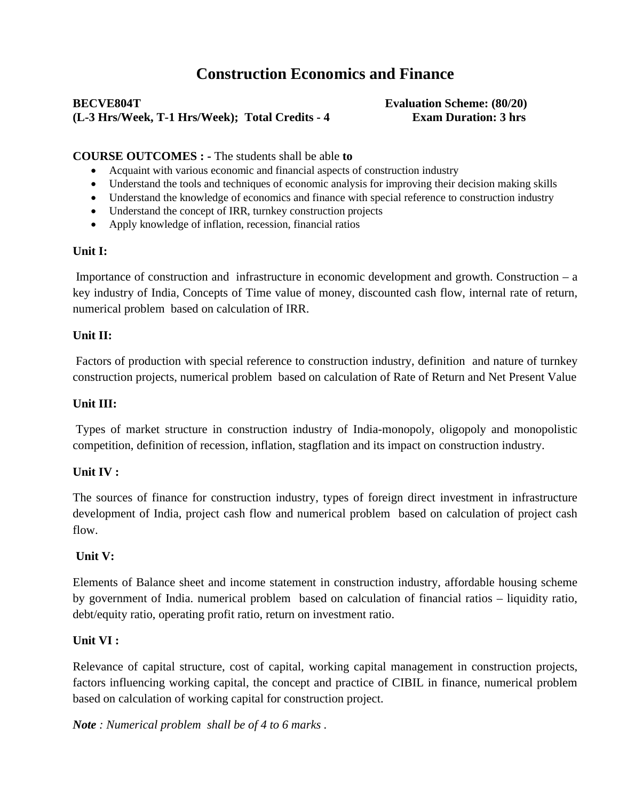# **Construction Economics and Finance**

# **BECVE804T**<br>
(L-3 Hrs/Week, T-1 Hrs/Week): Total Credits - 4 Exam Duration: 3 hrs **(L-3 Hrs/Week, T-1 Hrs/Week); Total Credits - 4**

# **COURSE OUTCOMES : -** The students shall be able **to**

- Acquaint with various economic and financial aspects of construction industry
- Understand the tools and techniques of economic analysis for improving their decision making skills
- Understand the knowledge of economics and finance with special reference to construction industry
- Understand the concept of IRR, turnkey construction projects
- Apply knowledge of inflation, recession, financial ratios

# **Unit I:**

Importance of construction and infrastructure in economic development and growth. Construction – a key industry of India, Concepts of Time value of money, discounted cash flow, internal rate of return, numerical problem based on calculation of IRR.

# **Unit II:**

Factors of production with special reference to construction industry, definition and nature of turnkey construction projects, numerical problem based on calculation of Rate of Return and Net Present Value

# **Unit III:**

Types of market structure in construction industry of India-monopoly, oligopoly and monopolistic competition, definition of recession, inflation, stagflation and its impact on construction industry.

# **Unit IV :**

The sources of finance for construction industry, types of foreign direct investment in infrastructure development of India, project cash flow and numerical problem based on calculation of project cash flow.

# **Unit V:**

Elements of Balance sheet and income statement in construction industry, affordable housing scheme by government of India. numerical problem based on calculation of financial ratios – liquidity ratio, debt/equity ratio, operating profit ratio, return on investment ratio.

# **Unit VI :**

Relevance of capital structure, cost of capital, working capital management in construction projects, factors influencing working capital, the concept and practice of CIBIL in finance, numerical problem based on calculation of working capital for construction project.

*Note : Numerical problem shall be of 4 to 6 marks .*